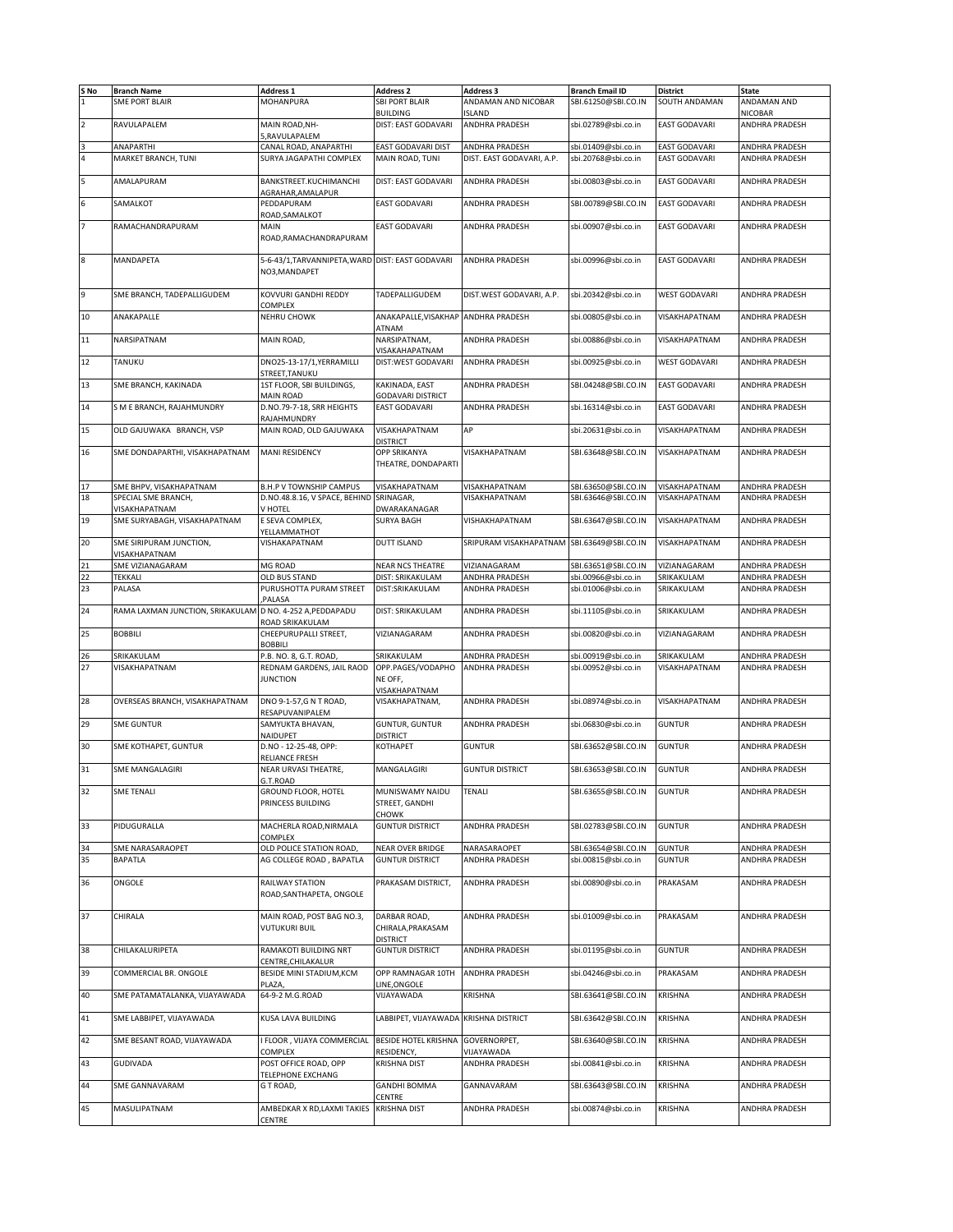| S No                | <b>Branch Name</b>                                        | <b>Address 1</b>                                 | <b>Address 2</b>                      | <b>Address 3</b>                            | <b>Branch Email ID</b>                     | <b>District</b>                              | <b>State</b>                     |
|---------------------|-----------------------------------------------------------|--------------------------------------------------|---------------------------------------|---------------------------------------------|--------------------------------------------|----------------------------------------------|----------------------------------|
| $\overline{1}$      | <b>SME PORT BLAIR</b>                                     | MOHANPURA                                        | <b>SBI PORT BLAIR</b>                 | ANDAMAN AND NICOBAR                         | SBI.61250@SBI.CO.IN                        | SOUTH ANDAMAN                                | ANDAMAN AND                      |
|                     |                                                           |                                                  |                                       |                                             |                                            |                                              |                                  |
|                     |                                                           | MAIN ROAD.NH-                                    | <b>BUILDING</b>                       | <b>ISLAND</b>                               |                                            | <b>EAST GODAVARI</b>                         | <b>NICOBAR</b>                   |
| $\overline{2}$      | RAVULAPALEM                                               | RAVULAPALEM                                      | DIST: EAST GODAVARI                   | ANDHRA PRADESH                              | sbi.02789@sbi.co.in                        |                                              | ANDHRA PRADESH                   |
|                     |                                                           |                                                  |                                       |                                             |                                            |                                              |                                  |
| 3<br>$\overline{4}$ | ANAPARTHI<br>MARKET BRANCH, TUNI                          | CANAL ROAD, ANAPARTHI<br>SURYA JAGAPATHI COMPLEX | EAST GODAVARI DIST<br>MAIN ROAD, TUNI | ANDHRA PRADESH<br>DIST. EAST GODAVARI, A.P. | sbi.01409@sbi.co.in<br>sbi.20768@sbi.co.in | <b>EAST GODAVARI</b><br><b>EAST GODAVARI</b> | ANDHRA PRADESH<br>ANDHRA PRADESH |
|                     |                                                           |                                                  |                                       |                                             |                                            |                                              |                                  |
| 5                   | AMALAPURAM                                                | BANKSTREET.KUCHIMANCHI                           | DIST: EAST GODAVARI                   | ANDHRA PRADESH                              | sbi.00803@sbi.co.in                        | <b>EAST GODAVARI</b>                         | ANDHRA PRADESH                   |
|                     |                                                           | AGRAHAR, AMALAPUR                                |                                       |                                             |                                            |                                              |                                  |
| 6                   | SAMALKOT                                                  | PEDDAPURAM                                       | <b>EAST GODAVARI</b>                  | ANDHRA PRADESH                              | SBI.00789@SBI.CO.IN                        | <b>EAST GODAVARI</b>                         | ANDHRA PRADESH                   |
|                     |                                                           | ROAD, SAMALKOT                                   |                                       |                                             |                                            |                                              |                                  |
| 7                   | RAMACHANDRAPURAM                                          | MAIN                                             | <b>EAST GODAVARI</b>                  | ANDHRA PRADESH                              | sbi.00907@sbi.co.in                        | <b>EAST GODAVARI</b>                         | ANDHRA PRADESH                   |
|                     |                                                           | ROAD, RAMACHANDRAPURAM                           |                                       |                                             |                                            |                                              |                                  |
|                     |                                                           |                                                  |                                       |                                             |                                            |                                              |                                  |
| 8                   | MANDAPETA                                                 | 5-6-43/1, TARVANNIPETA, WARD DIST: EAST GODAVARI |                                       | ANDHRA PRADESH                              | sbi.00996@sbi.co.in                        | <b>EAST GODAVARI</b>                         | ANDHRA PRADESH                   |
|                     |                                                           | NO3, MANDAPET                                    |                                       |                                             |                                            |                                              |                                  |
|                     |                                                           |                                                  |                                       |                                             |                                            |                                              |                                  |
| 9                   | SME BRANCH, TADEPALLIGUDEM                                | KOVVURI GANDHI REDDY                             | TADEPALLIGUDEM                        | DIST. WEST GODAVARI, A.P.                   | sbi.20342@sbi.co.in                        | <b>WEST GODAVARI</b>                         | ANDHRA PRADESH                   |
|                     |                                                           | COMPLEX                                          |                                       |                                             |                                            |                                              |                                  |
| 10                  | ANAKAPALLE                                                | <b>NEHRU CHOWK</b>                               | ANAKAPALLE, VISAKHAP ANDHRA PRADESH   |                                             | sbi.00805@sbi.co.in                        | VISAKHAPATNAM                                | ANDHRA PRADESH                   |
|                     |                                                           |                                                  | ATNAM                                 |                                             |                                            |                                              |                                  |
| 11                  | NARSIPATNAM                                               | MAIN ROAD,                                       | NARSIPATNAM,                          | ANDHRA PRADESH                              | sbi.00886@sbi.co.in                        | VISAKHAPATNAM                                | ANDHRA PRADESH                   |
|                     |                                                           |                                                  | VISAKAHAPATNAM                        |                                             |                                            |                                              |                                  |
| 12                  | TANUKU                                                    | DNO25-13-17/1, YERRAMILLI                        | DIST:WEST GODAVARI                    | ANDHRA PRADESH                              | sbi.00925@sbi.co.in                        | <b>WEST GODAVARI</b>                         | ANDHRA PRADESH                   |
|                     |                                                           | STREET,TANUKU                                    |                                       |                                             |                                            |                                              |                                  |
| 13                  | SME BRANCH, KAKINADA                                      | 1ST FLOOR, SBI BUILDINGS,                        | KAKINADA, EAST                        | ANDHRA PRADESH                              | SBI.04248@SBI.CO.IN                        | <b>EAST GODAVARI</b>                         | ANDHRA PRADESH                   |
|                     |                                                           | <b>MAIN ROAD</b>                                 | <b>GODAVARI DISTRICT</b>              |                                             |                                            |                                              |                                  |
| 14                  | S M E BRANCH, RAJAHMUNDRY                                 | D.NO.79-7-18, SRR HEIGHTS                        | <b>EAST GODAVARI</b>                  | ANDHRA PRADESH                              | sbi.16314@sbi.co.in                        | <b>EAST GODAVARI</b>                         | <b>ANDHRA PRADESH</b>            |
|                     |                                                           | RAJAHMUNDRY                                      |                                       |                                             |                                            |                                              |                                  |
| 15                  | OLD GAJUWAKA BRANCH, VSP                                  | MAIN ROAD, OLD GAJUWAKA                          | VISAKHAPATNAM                         | AP                                          | sbi.20631@sbi.co.in                        | VISAKHAPATNAM                                | ANDHRA PRADESH                   |
|                     |                                                           |                                                  | <b>DISTRICT</b>                       |                                             |                                            |                                              |                                  |
| 16                  | SME DONDAPARTHI, VISAKHAPATNAM                            | <b>MANI RESIDENCY</b>                            | OPP SRIKANYA                          | VISAKHAPATNAM                               | SBI.63648@SBI.CO.IN                        | VISAKHAPATNAM                                | ANDHRA PRADESH                   |
|                     |                                                           |                                                  | THEATRE, DONDAPARTI                   |                                             |                                            |                                              |                                  |
| 17                  | SME BHPV, VISAKHAPATNAM                                   | <b>B.H.P V TOWNSHIP CAMPUS</b>                   | VISAKHAPATNAM                         | VISAKHAPATNAM                               | SBI.63650@SBI.CO.IN                        | VISAKHAPATNAM                                | ANDHRA PRADESH                   |
| 18                  | SPECIAL SME BRANCH,                                       | D.NO.48.8.16, V SPACE, BEHIND                    | SRINAGAR,                             | VISAKHAPATNAM                               | SBI.63646@SBI.CO.IN                        | VISAKHAPATNAM                                | ANDHRA PRADESH                   |
|                     | VISAKHAPATNAM                                             | V HOTEL                                          | DWARAKANAGAR                          |                                             |                                            |                                              |                                  |
| 19                  | SME SURYABAGH, VISAKHAPATNAM                              | E SEVA COMPLEX,                                  | <b>SURYA BAGH</b>                     | VISHAKHAPATNAM                              | SBI.63647@SBI.CO.IN                        | VISAKHAPATNAM                                | ANDHRA PRADESH                   |
|                     |                                                           | YELLAMMATHOT                                     |                                       |                                             |                                            |                                              |                                  |
| 20                  | SME SIRIPURAM JUNCTION,                                   | VISHAKAPATNAM                                    | <b>DUTT ISLAND</b>                    | SRIPURAM VISAKHAPATNAM SBI.63649@SBI.CO.IN  |                                            | VISAKHAPATNAM                                | ANDHRA PRADESH                   |
|                     | VISAKHAPATNAM                                             |                                                  |                                       |                                             |                                            |                                              |                                  |
| 21                  | SME VIZIANAGARAM                                          | MG ROAD                                          | <b>NEAR NCS THEATRE</b>               | VIZIANAGARAM                                | SBI.63651@SBI.CO.IN                        | VIZIANAGARAM                                 | ANDHRA PRADESH                   |
| 22                  | <b>TEKKALI</b>                                            | OLD BUS STAND                                    | DIST: SRIKAKULAM                      | ANDHRA PRADESH                              | sbi.00966@sbi.co.in                        | SRIKAKULAM                                   | ANDHRA PRADESH                   |
| 23                  | PALASA                                                    | PURUSHOTTA PURAM STREET                          | DIST:SRIKAKULAM                       | ANDHRA PRADESH                              | sbi.01006@sbi.co.in                        | SRIKAKULAM                                   | ANDHRA PRADESH                   |
|                     |                                                           | PALASA                                           |                                       |                                             |                                            |                                              |                                  |
| 24                  | RAMA LAXMAN JUNCTION, SRIKAKULAM D NO. 4-252 A, PEDDAPADU |                                                  | DIST: SRIKAKULAM                      | ANDHRA PRADESH                              | sbi.11105@sbi.co.in                        | SRIKAKULAM                                   | ANDHRA PRADESH                   |
|                     |                                                           | ROAD SRIKAKULAM                                  |                                       |                                             |                                            |                                              |                                  |
| 25                  | <b>BOBBILI</b>                                            | CHEEPURUPALLI STREET,                            | VIZIANAGARAM                          | ANDHRA PRADESH                              | sbi.00820@sbi.co.in                        | VIZIANAGARAM                                 | ANDHRA PRADESH                   |
|                     |                                                           | <b>BOBBILI</b>                                   |                                       |                                             |                                            |                                              |                                  |
| 26                  | SRIKAKULAM                                                | P.B. NO. 8, G.T. ROAD,                           | SRIKAKULAM                            | ANDHRA PRADESH                              | sbi.00919@sbi.co.in                        | SRIKAKULAM                                   | ANDHRA PRADESH                   |
| 27                  | VISAKHAPATNAM                                             | REDNAM GARDENS, JAIL RAOD                        | OPP.PAGES/VODAPHO                     | ANDHRA PRADESH                              | sbi.00952@sbi.co.in                        | VISAKHAPATNAM                                | ANDHRA PRADESH                   |
|                     |                                                           | <b>JUNCTION</b>                                  | NE OFF,                               |                                             |                                            |                                              |                                  |
|                     |                                                           |                                                  | VISAKHAPATNAM                         |                                             |                                            |                                              |                                  |
| 28                  | OVERSEAS BRANCH, VISAKHAPATNAM                            | DNO 9-1-57,G N T ROAD,                           | VISAKHAPATNAM,                        | ANDHRA PRADESH                              | sbi.08974@sbi.co.in                        | VISAKHAPATNAM                                | ANDHRA PRADESH                   |
|                     |                                                           | RESAPUVANIPALEM                                  |                                       |                                             |                                            |                                              |                                  |
| 29                  | <b>SME GUNTUR</b>                                         | SAMYUKTA BHAVAN,                                 | <b>GUNTUR, GUNTUR</b>                 | ANDHRA PRADESH                              | sbi.06830@sbi.co.in                        | <b>GUNTUR</b>                                | ANDHRA PRADESH                   |
|                     |                                                           | NAIDUPET                                         | <b>DISTRICT</b>                       |                                             |                                            |                                              |                                  |
| 30                  | SME KOTHAPET, GUNTUR                                      | D.NO - 12-25-48, OPP:                            | KOTHAPET                              | <b>GUNTUR</b>                               | SBI.63652@SBI.CO.IN                        | <b>GUNTUR</b>                                | ANDHRA PRADESH                   |
| 31                  | <b>SME MANGALAGIRI</b>                                    | RELIANCE FRESH<br>NEAR URVASI THEATRE,           | MANGALAGIRI                           | <b>GUNTUR DISTRICT</b>                      | SBI.63653@SBI.CO.IN                        | <b>GUNTUR</b>                                | <b>ANDHRA PRADESH</b>            |
|                     |                                                           |                                                  |                                       |                                             |                                            |                                              |                                  |
| 32                  | <b>SME TENALI</b>                                         | s.I.ROAD<br>GROUND FLOOR, HOTEL                  | MUNISWAMY NAIDU                       | <b>TENALI</b>                               | SBI.63655@SBI.CO.IN                        | <b>GUNTUR</b>                                | ANDHRA PRADESH                   |
|                     |                                                           | PRINCESS BUILDING                                | STREET, GANDHI                        |                                             |                                            |                                              |                                  |
|                     |                                                           |                                                  | CHOWK                                 |                                             |                                            |                                              |                                  |
| 33                  | PIDUGURALLA                                               | MACHERLA ROAD, NIRMALA                           | <b>GUNTUR DISTRICT</b>                | ANDHRA PRADESH                              | SBI.02783@SBI.CO.IN                        | <b>GUNTUR</b>                                | ANDHRA PRADESH                   |
|                     |                                                           | COMPLEX                                          |                                       |                                             |                                            |                                              |                                  |
| 34                  | SME NARASARAOPET                                          | OLD POLICE STATION ROAD                          | NEAR OVER BRIDGE                      | NARASARAOPET                                | SBI.63654@SBI.CO.IN                        | <b>GUNTUR</b>                                | ANDHRA PRADESH                   |
| 35                  | <b>BAPATLA</b>                                            | AG COLLEGE ROAD, BAPATLA                         | <b>GUNTUR DISTRICT</b>                | ANDHRA PRADESH                              | sbi.00815@sbi.co.in                        | <b>GUNTUR</b>                                | ANDHRA PRADESH                   |
|                     |                                                           |                                                  |                                       |                                             |                                            |                                              |                                  |
| 36                  | ONGOLE                                                    | RAILWAY STATION                                  | PRAKASAM DISTRICT,                    | ANDHRA PRADESH                              | sbi.00890@sbi.co.in                        | PRAKASAM                                     | ANDHRA PRADESH                   |
|                     |                                                           | ROAD, SANTHAPETA, ONGOLE                         |                                       |                                             |                                            |                                              |                                  |
|                     |                                                           |                                                  |                                       |                                             |                                            |                                              |                                  |
| 37                  | CHIRALA                                                   | MAIN ROAD, POST BAG NO.3,                        | DARBAR ROAD,                          | ANDHRA PRADESH                              | sbi.01009@sbi.co.in                        | PRAKASAM                                     | ANDHRA PRADESH                   |
|                     |                                                           | <b>VUTUKURI BUIL</b>                             | CHIRALA, PRAKASAM                     |                                             |                                            |                                              |                                  |
|                     |                                                           |                                                  | <b>DISTRICT</b>                       |                                             |                                            |                                              |                                  |
| 38                  | CHILAKALURIPETA                                           | RAMAKOTI BUILDING NRT                            | <b>GUNTUR DISTRICT</b>                | ANDHRA PRADESH                              | sbi.01195@sbi.co.in                        | <b>GUNTUR</b>                                | ANDHRA PRADESH                   |
|                     |                                                           | CENTRE, CHILAKALUR                               |                                       |                                             |                                            |                                              |                                  |
| 39                  | COMMERCIAL BR. ONGOLE                                     | BESIDE MINI STADIUM, KCM                         | OPP RAMNAGAR 10TH                     | ANDHRA PRADESH                              | sbi.04246@sbi.co.in                        | PRAKASAM                                     | ANDHRA PRADESH                   |
|                     |                                                           | PLAZA                                            | LINE, ONGOLE                          |                                             |                                            |                                              |                                  |
| 40                  | SME PATAMATALANKA, VIJAYAWADA                             | 64-9-2 M.G.ROAD                                  | VIJAYAWADA                            | KRISHNA                                     | SBI.63641@SBI.CO.IN                        | <b>KRISHNA</b>                               | ANDHRA PRADESH                   |
|                     |                                                           |                                                  |                                       |                                             |                                            |                                              |                                  |
| 41                  | SME LABBIPET, VIJAYAWADA                                  | KUSA LAVA BUILDING                               | LABBIPET, VIJAYAWADA                  | <b>KRISHNA DISTRICT</b>                     | SBI.63642@SBI.CO.IN                        | <b>KRISHNA</b>                               | ANDHRA PRADESH                   |
|                     |                                                           |                                                  |                                       |                                             |                                            |                                              |                                  |
| 42                  | SME BESANT ROAD, VIJAYAWADA                               | I FLOOR, VIJAYA COMMERCIAL                       | <b>BESIDE HOTEL KRISHNA</b>           | GOVERNORPET,                                | SBI.63640@SBI.CO.IN                        | <b>KRISHNA</b>                               | ANDHRA PRADESH                   |
|                     | <b>GUDIVADA</b>                                           | COMPLEX                                          | RESIDENCY,<br><b>KRISHNA DIST</b>     | VIJAYAWADA                                  |                                            | <b>KRISHNA</b>                               | ANDHRA PRADESH                   |
| 43                  |                                                           | POST OFFICE ROAD, OPP<br>TELEPHONE EXCHANG       |                                       | ANDHRA PRADESH                              | sbi.00841@sbi.co.in                        |                                              |                                  |
| 44                  | SME GANNAVARAM                                            | GT ROAD,                                         | <b>GANDHI BOMMA</b>                   | GANNAVARAM                                  | SBI.63643@SBI.CO.IN                        | KRISHNA                                      | ANDHRA PRADESH                   |
|                     |                                                           |                                                  | CENTRE                                |                                             |                                            |                                              |                                  |
|                     |                                                           |                                                  |                                       |                                             |                                            |                                              |                                  |
| 45                  | MASULIPATNAM                                              | AMBEDKAR X RD, LAXMI TAKIES                      | <b>KRISHNA DIST</b>                   | ANDHRA PRADESH                              | sbi.00874@sbi.co.in                        | KRISHNA                                      | ANDHRA PRADESH                   |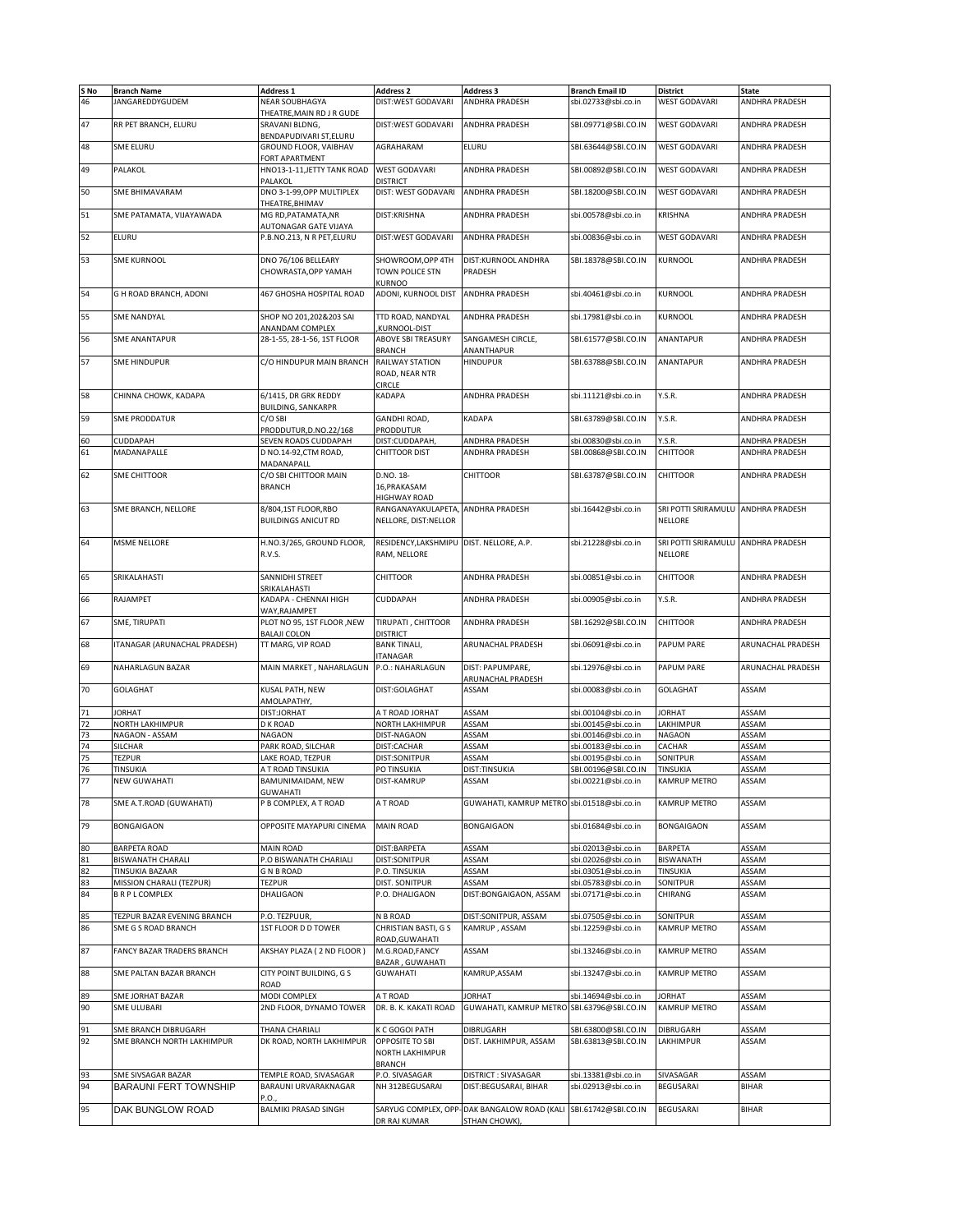| S No | <b>Branch Name</b>           | <b>Address 1</b>                             | <b>Address 2</b>                         | <b>Address 3</b>                           | <b>Branch Email ID</b> | <b>District</b>                    | <b>State</b>          |
|------|------------------------------|----------------------------------------------|------------------------------------------|--------------------------------------------|------------------------|------------------------------------|-----------------------|
| 46   | JANGAREDDYGUDEM              | NEAR SOUBHAGYA                               | DIST:WEST GODAVARI                       | ANDHRA PRADESH                             | sbi.02733@sbi.co.in    | <b>WEST GODAVARI</b>               | ANDHRA PRADESH        |
|      |                              | THEATRE, MAIN RD J R GUDE                    |                                          |                                            |                        |                                    |                       |
| 47   | RR PET BRANCH, ELURU         | SRAVANI BLDNG,                               | DIST:WEST GODAVARI                       | ANDHRA PRADESH                             | SBI.09771@SBI.CO.IN    | <b>WEST GODAVARI</b>               | ANDHRA PRADESH        |
|      |                              | BENDAPUDIVARI ST, ELURU                      |                                          |                                            |                        |                                    |                       |
| 48   | SME ELURU                    | GROUND FLOOR, VAIBHAV                        | AGRAHARAM                                | ELURU                                      | SBI.63644@SBI.CO.IN    | <b>WEST GODAVARI</b>               | ANDHRA PRADESH        |
|      |                              | FORT APARTMENT                               |                                          |                                            |                        |                                    |                       |
| 49   | PALAKOL                      | HNO13-1-11, JETTY TANK ROAD                  | <b>WEST GODAVARI</b>                     | <b>ANDHRA PRADESH</b>                      | SBI.00892@SBI.CO.IN    | <b>WEST GODAVARI</b>               | ANDHRA PRADESH        |
|      |                              | PALAKOL                                      | <b>DISTRICT</b>                          |                                            |                        |                                    |                       |
| 50   | SME BHIMAVARAM               | DNO 3-1-99, OPP MULTIPLEX                    | DIST: WEST GODAVARI                      | <b>ANDHRA PRADESH</b>                      | SBI.18200@SBI.CO.IN    | <b>WEST GODAVARI</b>               | ANDHRA PRADESH        |
|      |                              |                                              |                                          |                                            |                        |                                    |                       |
| 51   |                              | THEATRE, BHIMAV                              |                                          |                                            |                        |                                    |                       |
|      | SME PATAMATA, VIJAYAWADA     | MG RD, PATAMATA, NR<br>AUTONAGAR GATE VIJAYA | DIST:KRISHNA                             | ANDHRA PRADESH                             | sbi.00578@sbi.co.in    | KRISHNA                            | ANDHRA PRADESH        |
| 52   | ELURU                        | P.B.NO.213, N R PET,ELURU                    | DIST:WEST GODAVARI                       | ANDHRA PRADESH                             | sbi.00836@sbi.co.in    | <b>WEST GODAVARI</b>               | <b>ANDHRA PRADESH</b> |
|      |                              |                                              |                                          |                                            |                        |                                    |                       |
| 53   | SME KURNOOL                  | DNO 76/106 BELLEARY                          | SHOWROOM, OPP 4TH                        | DIST:KURNOOL ANDHRA                        | SBI.18378@SBI.CO.IN    | <b>KURNOOL</b>                     | ANDHRA PRADESH        |
|      |                              |                                              |                                          | PRADESH                                    |                        |                                    |                       |
|      |                              | CHOWRASTA, OPP YAMAH                         | TOWN POLICE STN                          |                                            |                        |                                    |                       |
| 54   | G H ROAD BRANCH, ADONI       | 467 GHOSHA HOSPITAL ROAD                     | KURNOO<br>ADONI, KURNOOL DIST            | <b>ANDHRA PRADESH</b>                      | sbi.40461@sbi.co.in    | <b>KURNOOL</b>                     | ANDHRA PRADESH        |
|      |                              |                                              |                                          |                                            |                        |                                    |                       |
| 55   | <b>SME NANDYAL</b>           | SHOP NO 201,202&203 SAI                      | TTD ROAD, NANDYAL                        | ANDHRA PRADESH                             | sbi.17981@sbi.co.in    | <b>KURNOOL</b>                     | ANDHRA PRADESH        |
|      |                              | ANANDAM COMPLEX                              | KURNOOL-DIST                             |                                            |                        |                                    |                       |
| 56   | SME ANANTAPUR                | 28-1-55, 28-1-56, 1ST FLOOR                  | ABOVE SBI TREASURY                       | SANGAMESH CIRCLE,                          | SBI.61577@SBI.CO.IN    | ANANTAPUR                          | ANDHRA PRADESH        |
|      |                              |                                              | <b>BRANCH</b>                            | ANANTHAPUR                                 |                        |                                    |                       |
| 57   | <b>SME HINDUPUR</b>          | C/O HINDUPUR MAIN BRANCH                     | RAILWAY STATION                          | <b>HINDUPUR</b>                            | SBI.63788@SBI.CO.IN    | <b>ANANTAPUR</b>                   | ANDHRA PRADESH        |
|      |                              |                                              | ROAD, NEAR NTR                           |                                            |                        |                                    |                       |
|      |                              |                                              | <b>CIRCLE</b>                            |                                            |                        |                                    |                       |
| 58   | CHINNA CHOWK, KADAPA         | 6/1415. DR GRK REDDY                         | KADAPA                                   | ANDHRA PRADESH                             | sbi.11121@sbi.co.in    | Y.S.R.                             | ANDHRA PRADESH        |
|      |                              | <b>BUILDING, SANKARPR</b>                    |                                          |                                            |                        |                                    |                       |
| 59   | SME PRODDATUR                | C/O SBI                                      | GANDHI ROAD,                             | KADAPA                                     | SBI.63789@SBI.CO.IN    | Y.S.R.                             | ANDHRA PRADESH        |
|      |                              | PRODDUTUR, D.NO.22/168                       | PRODDUTUR                                |                                            |                        |                                    |                       |
| 60   | <b>CUDDAPAH</b>              | SEVEN ROADS CUDDAPAH                         | DIST:CUDDAPAH,                           | ANDHRA PRADESH                             | sbi.00830@sbi.co.in    | Y.S.R.                             | ANDHRA PRADESH        |
|      |                              |                                              |                                          |                                            |                        |                                    |                       |
| 61   | MADANAPALLE                  | D NO.14-92, CTM ROAD,<br>MADANAPALL          | CHITTOOR DIST                            | ANDHRA PRADESH                             | SBI.00868@SBI.CO.IN    | <b>CHITTOOR</b>                    | ANDHRA PRADESH        |
|      |                              |                                              |                                          |                                            |                        |                                    |                       |
| 62   | <b>SME CHITTOOR</b>          | C/O SBI CHITTOOR MAIN                        | D.NO. 18-                                | <b>CHITTOOR</b>                            | SBI.63787@SBI.CO.IN    | <b>CHITTOOR</b>                    | ANDHRA PRADESH        |
|      |                              | <b>BRANCH</b>                                | 16, PRAKASAM                             |                                            |                        |                                    |                       |
|      |                              |                                              | HIGHWAY ROAD                             |                                            |                        |                                    |                       |
| 63   | SME BRANCH, NELLORE          | 8/804,1ST FLOOR,RBO                          | RANGANAYAKULAPETA,                       | ANDHRA PRADESH                             | sbi.16442@sbi.co.in    | SRI POTTI SRIRAMULU ANDHRA PRADESH |                       |
|      |                              | <b>BUILDINGS ANICUT RD</b>                   | NELLORE, DIST:NELLOR                     |                                            |                        | <b>NELLORE</b>                     |                       |
|      |                              |                                              |                                          |                                            |                        |                                    |                       |
| 64   | <b>MSME NELLORE</b>          | H.NO.3/265, GROUND FLOOR,                    | RESIDENCY, LAKSHMIPU DIST. NELLORE, A.P. |                                            | sbi.21228@sbi.co.in    | SRI POTTI SRIRAMULU ANDHRA PRADESH |                       |
|      |                              | R.V.S.                                       | RAM, NELLORE                             |                                            |                        | NELLORE                            |                       |
|      |                              |                                              |                                          |                                            |                        |                                    |                       |
| 65   | SRIKALAHASTI                 | SANNIDHI STREET                              | CHITTOOR                                 | ANDHRA PRADESH                             | sbi.00851@sbi.co.in    | CHITTOOR                           | ANDHRA PRADESH        |
|      |                              | SRIKALAHASTI                                 |                                          |                                            |                        |                                    |                       |
| 66   | RAJAMPET                     | KADAPA - CHENNAI HIGH                        | CUDDAPAH                                 | ANDHRA PRADESH                             | sbi.00905@sbi.co.in    | Y.S.R.                             | ANDHRA PRADESH        |
|      |                              | WAY, RAJAMPET                                |                                          |                                            |                        |                                    |                       |
| 67   | SME, TIRUPATI                | PLOT NO 95, 1ST FLOOR , NEW                  | TIRUPATI, CHITTOOR                       | ANDHRA PRADESH                             | SBI.16292@SBI.CO.IN    | <b>CHITTOOR</b>                    | ANDHRA PRADESH        |
|      |                              | <b>BALAJI COLON</b>                          | <b>DISTRICT</b>                          |                                            |                        |                                    |                       |
| 68   | ITANAGAR (ARUNACHAL PRADESH) | TT MARG, VIP ROAD                            | <b>BANK TINALI,</b>                      | ARUNACHAL PRADESH                          | sbi.06091@sbi.co.in    | <b>PAPUM PARE</b>                  | ARUNACHAL PRADESH     |
|      |                              |                                              | <b>ITANAGAR</b>                          |                                            |                        |                                    |                       |
| 69   | NAHARLAGUN BAZAR             | <b>MAIN MARKET, NAHARLAGUN</b>               | P.O.: NAHARLAGUN                         | DIST: PAPUMPARE,                           | sbi.12976@sbi.co.in    | PAPUM PARE                         | ARUNACHAL PRADESH     |
|      |                              |                                              |                                          | ARUNACHAL PRADESH                          |                        |                                    |                       |
| 70   | <b>GOLAGHAT</b>              | KUSAL PATH, NEW                              | DIST:GOLAGHAT                            | ASSAM                                      | sbi.00083@sbi.co.in    | <b>GOLAGHAT</b>                    | ASSAM                 |
|      |                              | AMOLAPATHY,                                  |                                          |                                            |                        |                                    |                       |
| 71   | <b>JORHAT</b>                | DIST:JORHAT                                  | A T ROAD JORHAT                          | ASSAM                                      | sbi.00104@sbi.co.in    | <b>JORHAT</b>                      | ASSAM                 |
| 72   | NORTH LAKHIMPUR              | D K ROAD                                     | <b>NORTH LAKHIMPUR</b>                   | ASSAM                                      | sbi.00145@sbi.co.in    | LAKHIMPUR                          | ASSAM                 |
| 73   | NAGAON - ASSAM               | <b>NAGAON</b>                                | DIST-NAGAON                              | ASSAM                                      | sbi.00146@sbi.co.in    | <b>NAGAON</b>                      | ASSAM                 |
| 74   | SILCHAR                      | PARK ROAD, SILCHAR                           | DIST:CACHAR                              | ASSAM                                      | sbi.00183@sbi.co.in    | CACHAR                             | ASSAM                 |
| 75   | <b>TEZPUR</b>                | LAKE ROAD, TEZPUR                            | DIST:SONITPUR                            | ASSAM                                      | sbi.00195@sbi.co.in    | SONITPUR                           | ASSAM                 |
| 76   | TINSUKIA                     | A T ROAD TINSUKIA                            | PO TINSUKIA                              | DIST:TINSUKIA                              | SBI.00196@SBI.CO.IN    | TINSUKIA                           | ASSAM                 |
| 77   | <b>NEW GUWAHATI</b>          | BAMUNIMAIDAM, NEW                            | DIST-KAMRUP                              | ASSAM                                      | sbi.00221@sbi.co.in    | <b>KAMRUP METRO</b>                | ASSAM                 |
|      |                              | <b>GUWAHATI</b>                              |                                          |                                            |                        |                                    |                       |
| 78   | SME A.T.ROAD (GUWAHATI)      | P B COMPLEX, A T ROAD                        | A T ROAD                                 | GUWAHATI, KAMRUP METRO sbi.01518@sbi.co.in |                        | KAMRUP METRO                       | ASSAM                 |
|      |                              |                                              |                                          |                                            |                        |                                    |                       |
| 79   | <b>BONGAIGAON</b>            | OPPOSITE MAYAPURI CINEMA                     | <b>MAIN ROAD</b>                         | <b>BONGAIGAON</b>                          | sbi.01684@sbi.co.in    | <b>BONGAIGAON</b>                  | ASSAM                 |
|      |                              |                                              |                                          |                                            |                        |                                    |                       |
| 80   | <b>BARPETA ROAD</b>          | <b>MAIN ROAD</b>                             | DIST:BARPETA                             | ASSAM                                      | sbi.02013@sbi.co.in    | <b>BARPETA</b>                     | ASSAM                 |
| 81   | <b>BISWANATH CHARALI</b>     | P.O BISWANATH CHARIALI                       | DIST:SONITPUR                            | ASSAM                                      | sbi.02026@sbi.co.in    | BISWANATH                          | ASSAM                 |
| 82   | TINSUKIA BAZAAR              | <b>GNBROAD</b>                               | P.O. TINSUKIA                            | ASSAM                                      | sbi.03051@sbi.co.in    | TINSUKIA                           | ASSAM                 |
| 83   | MISSION CHARALI (TEZPUR)     | <b>TEZPUR</b>                                | DIST. SONITPUR                           | ASSAM                                      | sbi.05783@sbi.co.in    | SONITPUR                           | ASSAM                 |
| 84   | <b>B R P L COMPLEX</b>       | DHALIGAON                                    | P.O. DHALIGAON                           | DIST:BONGAIGAON, ASSAM                     | sbi.07171@sbi.co.in    | CHIRANG                            | ASSAM                 |
|      |                              |                                              |                                          |                                            |                        |                                    |                       |
| 85   | TEZPUR BAZAR EVENING BRANCH  | P.O. TEZPUUR,                                | N B ROAD                                 | DIST:SONITPUR, ASSAM                       | sbi.07505@sbi.co.in    | SONITPUR                           | ASSAM                 |
| 86   | SME G S ROAD BRANCH          | 1ST FLOOR D D TOWER                          | CHRISTIAN BASTI, G S                     | KAMRUP, ASSAM                              | sbi.12259@sbi.co.in    | KAMRUP METRO                       | ASSAM                 |
|      |                              |                                              | ROAD, GUWAHATI                           |                                            |                        |                                    |                       |
| 87   | FANCY BAZAR TRADERS BRANCH   | AKSHAY PLAZA (2 ND FLOOR)                    | M.G.ROAD, FANCY                          | ASSAM                                      | sbi.13246@sbi.co.in    | KAMRUP METRO                       | ASSAM                 |
|      |                              |                                              |                                          |                                            |                        |                                    |                       |
| 88   | SME PALTAN BAZAR BRANCH      | CITY POINT BUILDING, G S                     | BAZAR, GUWAHATI                          |                                            |                        | KAMRUP METRO                       | ASSAM                 |
|      |                              | ROAD                                         | <b>GUWAHATI</b>                          | KAMRUP, ASSAM                              | sbi.13247@sbi.co.in    |                                    |                       |
|      |                              |                                              |                                          |                                            |                        |                                    |                       |
| 89   | SME JORHAT BAZAR             | MODI COMPLEX                                 | A T ROAD                                 | <b>JORHAT</b>                              | sbi.14694@sbi.co.in    | <b>JORHAT</b>                      | ASSAM                 |
| 90   | <b>SME ULUBARI</b>           | 2ND FLOOR, DYNAMO TOWER                      | DR. B. K. KAKATI ROAD                    | GUWAHATI, KAMRUP METRO SBI.63796@SBI.CO.IN |                        | KAMRUP METRO                       | ASSAM                 |
|      |                              |                                              |                                          |                                            |                        |                                    |                       |
| 91   | SME BRANCH DIBRUGARH         | THANA CHARIALI                               | K C GOGOI PATH                           | <b>DIBRUGARH</b>                           | SBI.63800@SBI.CO.IN    | DIBRUGARH                          | ASSAM                 |
| 92   | SME BRANCH NORTH LAKHIMPUR   | DK ROAD, NORTH LAKHIMPUR                     | OPPOSITE TO SBI                          | DIST. LAKHIMPUR, ASSAM                     | SBI.63813@SBI.CO.IN    | LAKHIMPUR                          | ASSAM                 |
|      |                              |                                              | NORTH LAKHIMPUR                          |                                            |                        |                                    |                       |
|      |                              |                                              | <b>BRANCH</b>                            |                                            |                        |                                    |                       |
| 93   | SME SIVSAGAR BAZAR           | TEMPLE ROAD, SIVASAGAR                       | P.O. SIVASAGAR                           | DISTRICT : SIVASAGAR                       | sbi.13381@sbi.co.in    | SIVASAGAR                          | ASSAM                 |
| 94   | <b>BARAUNI FERT TOWNSHIP</b> | BARAUNI URVARAKNAGAR                         | NH 312BEGUSARAI                          | DIST:BEGUSARAI, BIHAR                      | sbi.02913@sbi.co.in    | <b>BEGUSARAI</b>                   | <b>BIHAR</b>          |
|      |                              | P.O.                                         |                                          |                                            |                        |                                    |                       |
| 95   | DAK BUNGLOW ROAD             | <b>BALMIKI PRASAD SINGH</b>                  | SARYUG COMPLEX, OPP                      | DAK BANGALOW ROAD (KALI                    | SBI.61742@SBI.CO.IN    | <b>BEGUSARAI</b>                   | BIHAR                 |
|      |                              |                                              | DR RAJ KUMAR                             | STHAN CHOWK),                              |                        |                                    |                       |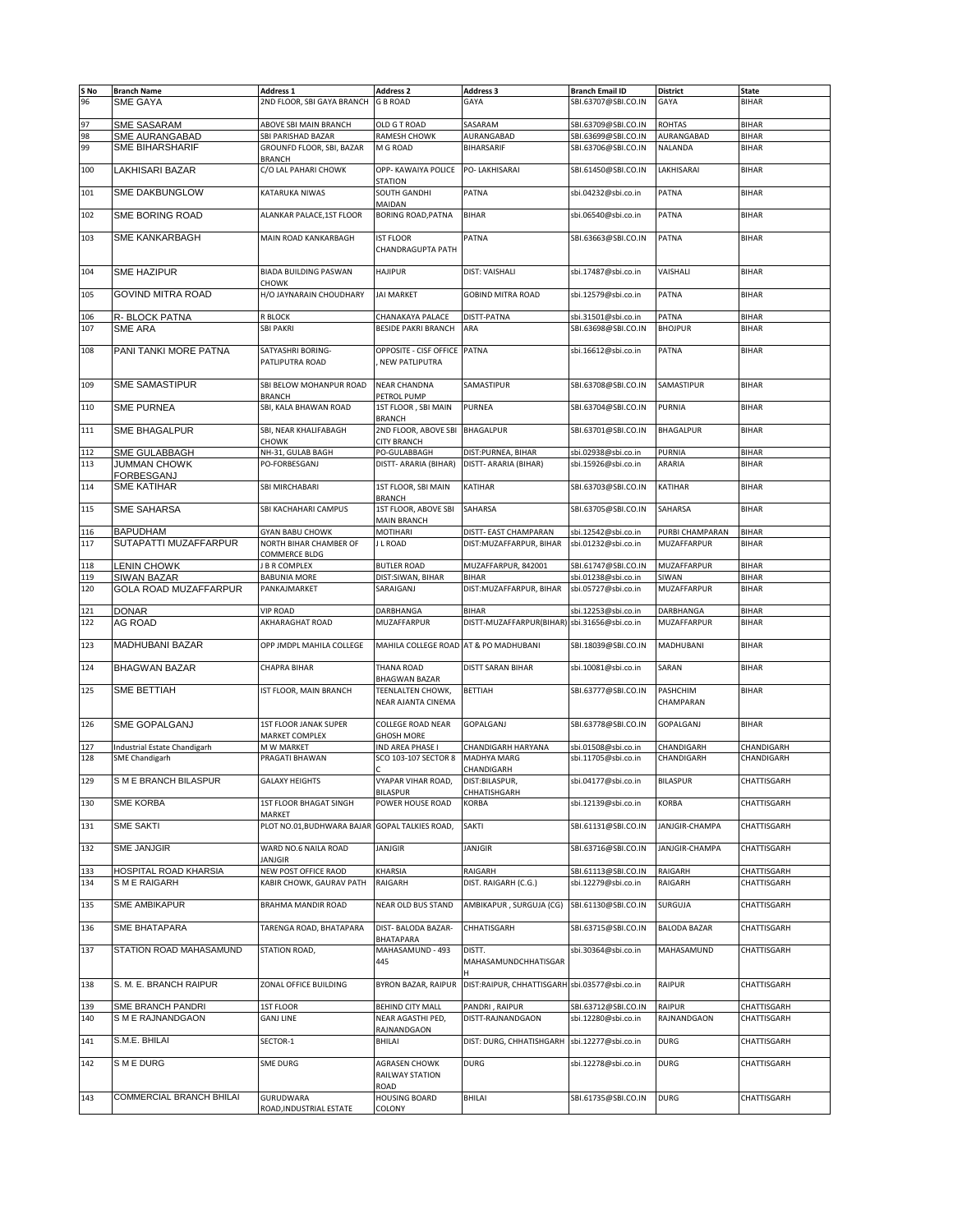| S No       | <b>Branch Name</b>                     | Address 1                                        | Address 2                                     | <b>Address 3</b>                              | <b>Branch Email ID</b>                     | <b>District</b>       | <b>State</b>               |
|------------|----------------------------------------|--------------------------------------------------|-----------------------------------------------|-----------------------------------------------|--------------------------------------------|-----------------------|----------------------------|
| 96         | <b>SME GAYA</b>                        | 2ND FLOOR, SBI GAYA BRANCH                       | <b>G B ROAD</b>                               | GAYA                                          | SBI.63707@SBI.CO.IN                        | GAYA                  | <b>BIHAR</b>               |
|            |                                        |                                                  |                                               |                                               |                                            |                       |                            |
| 97         | <b>SME SASARAM</b>                     | ABOVE SBI MAIN BRANCH                            | OLD G T ROAD                                  | SASARAM                                       | SBI.63709@SBI.CO.IN                        | <b>ROHTAS</b>         | <b>BIHAR</b>               |
| 98         | <b>SME AURANGABAD</b>                  | SBI PARISHAD BAZAR                               | RAMESH CHOWK                                  | AURANGABAD                                    | SBI.63699@SBI.CO.IN                        | AURANGABAD            | <b>BIHAR</b>               |
| 99         | <b>SME BIHARSHARIF</b>                 | GROUNFD FLOOR, SBI, BAZAR<br><b>BRANCH</b>       | M G ROAD                                      | BIHARSARIF                                    | SBI.63706@SBI.CO.IN                        | NALANDA               | <b>BIHAR</b>               |
| 100        | LAKHISARI BAZAR                        | C/O LAL PAHARI CHOWK                             | OPP- KAWAIYA POLICE<br><b>STATION</b>         | PO- LAKHISARAI                                | SBI.61450@SBI.CO.IN                        | LAKHISARAI            | <b>BIHAR</b>               |
| 101        | SME DAKBUNGLOW                         | KATARUKA NIWAS                                   | SOUTH GANDHI<br>MAIDAN                        | PATNA                                         | sbi.04232@sbi.co.in                        | <b>PATNA</b>          | <b>BIHAR</b>               |
| 102        | <b>SME BORING ROAD</b>                 | ALANKAR PALACE, 1ST FLOOR                        | <b>BORING ROAD, PATNA</b>                     | <b>BIHAR</b>                                  | sbi.06540@sbi.co.in                        | PATNA                 | <b>BIHAR</b>               |
| 103        | <b>SME KANKARBAGH</b>                  | MAIN ROAD KANKARBAGH                             | <b>IST FLOOR</b><br>CHANDRAGUPTA PATH         | PATNA                                         | SBI.63663@SBI.CO.IN                        | PATNA                 | <b>BIHAR</b>               |
| 104        | <b>SME HAZIPUR</b>                     | <b>BIADA BUILDING PASWAN</b><br><b>CHOWK</b>     | <b>HAJIPUR</b>                                | DIST: VAISHALI                                | sbi.17487@sbi.co.in                        | VAISHALI              | <b>BIHAR</b>               |
| 105        | <b>GOVIND MITRA ROAD</b>               | H/O JAYNARAIN CHOUDHARY                          | <b>JAI MARKET</b>                             | <b>GOBIND MITRA ROAD</b>                      | sbi.12579@sbi.co.in                        | <b>PATNA</b>          | <b>BIHAR</b>               |
| 106        | R- BLOCK PATNA                         | R BLOCK                                          | CHANAKAYA PALACE                              | DISTT-PATNA                                   | sbi.31501@sbi.co.in                        | PATNA                 | <b>BIHAR</b>               |
| 107        | <b>SME ARA</b>                         | <b>SBI PAKRI</b>                                 | <b>BESIDE PAKRI BRANCH</b>                    | ARA                                           | SBI.63698@SBI.CO.IN                        | <b>BHOJPUR</b>        | <b>BIHAR</b>               |
|            |                                        |                                                  |                                               |                                               |                                            |                       |                            |
| 108        | PANI TANKI MORE PATNA                  | SATYASHRI BORING-<br>PATLIPUTRA ROAD             | OPPOSITE - CISF OFFICE<br>NEW PATLIPUTRA      | <b>PATNA</b>                                  | sbi.16612@sbi.co.in                        | <b>PATNA</b>          | <b>BIHAR</b>               |
| 109        | <b>SME SAMASTIPUR</b>                  | SBI BELOW MOHANPUR ROAD                          | <b>NEAR CHANDNA</b><br>PETROL PUMP            | SAMASTIPUR                                    | SBI.63708@SBI.CO.IN                        | SAMASTIPUR            | <b>BIHAR</b>               |
| 110        | <b>SME PURNEA</b>                      | <b>BRANCH</b><br>SBI, KALA BHAWAN ROAD           | 1ST FLOOR, SBI MAIN                           | <b>PURNEA</b>                                 | SBI.63704@SBI.CO.IN                        | <b>PURNIA</b>         | <b>BIHAR</b>               |
| 111        | <b>SME BHAGALPUR</b>                   | SBI, NEAR KHALIFABAGH                            | <b>BRANCH</b><br>2ND FLOOR, ABOVE SBI         | <b>BHAGALPUR</b>                              | SBI.63701@SBI.CO.IN                        | <b>BHAGALPUR</b>      | <b>BIHAR</b>               |
|            | <b>SME GULABBAGH</b>                   | CHOWK                                            | <b>CITY BRANCH</b>                            |                                               |                                            |                       | <b>BIHAR</b>               |
| 112<br>113 | <b>JUMMAN CHOWK</b>                    | NH-31, GULAB BAGH<br>PO-FORBESGANJ               | PO-GULABBAGH<br>DISTT- ARARIA (BIHAR)         | DIST:PURNEA, BIHAR<br>DISTT- ARARIA (BIHAR)   | sbi.02938@sbi.co.in<br>sbi.15926@sbi.co.in | PURNIA<br>ARARIA      | <b>BIHAR</b>               |
|            | FORBESGANJ                             |                                                  |                                               |                                               |                                            |                       |                            |
| 114        | <b>SME KATIHAR</b>                     | SBI MIRCHABARI                                   | 1ST FLOOR, SBI MAIN<br><b>BRANCH</b>          | KATIHAR                                       | SBI.63703@SBI.CO.IN                        | KATIHAR               | <b>BIHAR</b>               |
| 115        | <b>SME SAHARSA</b>                     | SBI KACHAHARI CAMPUS                             | 1ST FLOOR, ABOVE SBI<br>MAIN BRANCH           | SAHARSA                                       | SBI.63705@SBI.CO.IN                        | SAHARSA               | <b>BIHAR</b>               |
| 116        | <b>BAPUDHAM</b>                        | <b>GYAN BABU CHOWK</b>                           | MOTIHARI                                      | DISTT- EAST CHAMPARAN                         | sbi.12542@sbi.co.in                        | PURBI CHAMPARAN       | <b>BIHAR</b>               |
| 117        | SUTAPATTI MUZAFFARPUR                  | NORTH BIHAR CHAMBER OF                           | J L ROAD                                      | DIST: MUZAFFARPUR, BIHAR                      | sbi.01232@sbi.co.in                        | MUZAFFARPUR           | <b>BIHAR</b>               |
|            |                                        | COMMERCE BLDG                                    |                                               |                                               |                                            |                       |                            |
| 118        | <b>LENIN CHOWK</b>                     | J B R COMPLEX                                    | <b>BUTLER ROAD</b>                            | MUZAFFARPUR, 842001                           | SBI.61747@SBI.CO.IN                        | <b>MUZAFFARPUR</b>    | <b>BIHAR</b>               |
| 119        | <b>SIWAN BAZAR</b>                     | <b>BABUNIA MORE</b>                              | DIST:SIWAN, BIHAR                             | <b>BIHAR</b>                                  | sbi.01238@sbi.co.in                        | SIWAN                 | <b>BIHAR</b>               |
| 120        | GOLA ROAD MUZAFFARPUR                  | PANKAJMARKET                                     | SARAIGANJ                                     | DIST: MUZAFFARPUR, BIHAR                      | sbi.05727@sbi.co.in                        | MUZAFFARPUR           | <b>BIHAR</b>               |
| 121        | <b>DONAR</b>                           | <b>VIP ROAD</b>                                  | DARBHANGA                                     | <b>BIHAR</b>                                  | sbi.12253@sbi.co.in                        | DARBHANGA             | <b>BIHAR</b>               |
| 122        | <b>AG ROAD</b>                         | AKHARAGHAT ROAD                                  | MUZAFFARPUR                                   | DISTT-MUZAFFARPUR(BIHAR) sbi.31656@sbi.co.in  |                                            | MUZAFFARPUR           | <b>BIHAR</b>               |
| 123        | <b>MADHUBANI BAZAR</b>                 | OPP JMDPL MAHILA COLLEGE                         | MAHILA COLLEGE ROAD AT & PO MADHUBANI         |                                               | SBI.18039@SBI.CO.IN                        | MADHUBANI             | <b>BIHAR</b>               |
| 124        | <b>BHAGWAN BAZAR</b>                   | CHAPRA BIHAR                                     | THANA ROAD                                    | DISTT SARAN BIHAR                             | sbi.10081@sbi.co.in                        | SARAN                 | <b>BIHAR</b>               |
|            |                                        |                                                  | BHAGWAN BAZAR                                 |                                               |                                            |                       |                            |
| 125        | SME BETTIAH                            | IST FLOOR, MAIN BRANCH                           | TEENLALTEN CHOWK,<br>NEAR AJANTA CINEMA       | BETTIAH                                       | SBI.63777@SBI.CO.IN                        | PASHCHIM<br>CHAMPARAN | <b>BIHAR</b>               |
| 126        | SME GOPALGANJ                          | 1ST FLOOR JANAK SUPER<br>MARKET COMPLEX          | <b>COLLEGE ROAD NEAR</b><br><b>GHOSH MORE</b> | GOPALGANJ                                     | SBI.63778@SBI.CO.IN                        | GOPALGANJ             | <b>BIHAR</b>               |
| 127        | Industrial Estate Chandigarh           | M W MARKET                                       | IND AREA PHASE I                              | CHANDIGARH HARYANA                            | sbi.01508@sbi.co.in                        | CHANDIGARH            | CHANDIGARH                 |
| 128        | <b>SME Chandigarh</b>                  | PRAGATI BHAWAN                                   | SCO 103-107 SECTOR 8                          | <b>MADHYA MARG</b>                            | sbi.11705@sbi.co.in                        | CHANDIGARH            | CHANDIGARH                 |
| 129        | S M E BRANCH BILASPUR                  | GALAXY HEIGHTS                                   | VYAPAR VIHAR ROAD,                            | CHANDIGARH<br>DIST:BILASPUR,                  | sbi.04177@sbi.co.in                        | <b>BILASPUR</b>       | CHATTISGARH                |
| 130        | SME KORBA                              | 1ST FLOOR BHAGAT SINGH                           | BILASPUR<br>POWER HOUSE ROAD                  | CHHATISHGARH<br>KORBA                         | sbi.12139@sbi.co.in                        | <b>KORBA</b>          | CHATTISGARH                |
| 131        | SME SAKTI                              | MARKET<br>PLOT NO.01, BUDHWARA BAJAR             | <b>GOPAL TALKIES ROAD,</b>                    | SAKTI                                         | SBI.61131@SBI.CO.IN                        | JANJGIR-CHAMPA        | CHATTISGARH                |
|            |                                        |                                                  |                                               |                                               |                                            |                       |                            |
| 132        | SME JANJGIR                            | WARD NO.6 NAILA ROAD<br>JANJGIR                  | JANJGIR                                       | JANJGIR                                       | SBI.63716@SBI.CO.IN                        | JANJGIR-CHAMPA        | CHATTISGARH                |
| 133        | HOSPITAL ROAD KHARSIA<br>S M E RAIGARH | NEW POST OFFICE RAOD<br>KABIR CHOWK, GAURAV PATH | KHARSIA<br>RAIGARH                            | RAIGARH<br>DIST. RAIGARH (C.G.)               | SBI.61113@SBI.CO.IN<br>sbi.12279@sbi.co.in | RAIGARH               | CHATTISGARH<br>CHATTISGARH |
| 134        |                                        |                                                  |                                               |                                               |                                            | <b>RAIGARH</b>        |                            |
| 135        | <b>SME AMBIKAPUR</b>                   | BRAHMA MANDIR ROAD                               | NEAR OLD BUS STAND                            | AMBIKAPUR, SURGUJA (CG)                       | SBI.61130@SBI.CO.IN                        | SURGUJA               | CHATTISGARH                |
| 136        | SME BHATAPARA                          | TARENGA ROAD, BHATAPARA                          | DIST- BALODA BAZAR-<br>BHATAPARA              | CHHATISGARH                                   | SBI.63715@SBI.CO.IN                        | <b>BALODA BAZAR</b>   | CHATTISGARH                |
| 137        | STATION ROAD MAHASAMUND                | STATION ROAD,                                    | MAHASAMUND - 493<br>445                       | DISTT.<br>MAHASAMUNDCHHATISGAR                | sbi.30364@sbi.co.in                        | MAHASAMUND            | CHATTISGARH                |
| 138        | S. M. E. BRANCH RAIPUR                 | ZONAL OFFICE BUILDING                            | BYRON BAZAR, RAIPUR                           | DIST:RAIPUR, CHHATTISGARH sbi.03577@sbi.co.in |                                            | <b>RAIPUR</b>         | CHATTISGARH                |
| 139        | SME BRANCH PANDRI                      | <b>1ST FLOOR</b>                                 | <b>BEHIND CITY MALL</b>                       | PANDRI, RAIPUR                                | SBI.63712@SBI.CO.IN                        | <b>RAIPUR</b>         | CHATTISGARH                |
| 140        | S M E RAJNANDGAON                      | <b>GANJ LINE</b>                                 | NEAR AGASTHI PED,                             | DISTT-RAJNANDGAON                             | sbi.12280@sbi.co.in                        | RAJNANDGAON           | CHATTISGARH                |
| 141        | S.M.E. BHILAI                          | SECTOR-1                                         | RAJNANDGAON<br>BHILAI                         | DIST: DURG, CHHATISHGARH                      | sbi.12277@sbi.co.in                        | <b>DURG</b>           | CHATTISGARH                |
| 142        | S M E DURG                             | SME DURG                                         | <b>AGRASEN CHOWK</b>                          | <b>DURG</b>                                   | sbi.12278@sbi.co.in                        | <b>DURG</b>           | CHATTISGARH                |
|            |                                        |                                                  | RAILWAY STATION<br>ROAD                       |                                               |                                            |                       |                            |
| 143        | COMMERCIAL BRANCH BHILAI               | GURUDWARA                                        | <b>HOUSING BOARD</b>                          | BHILAI                                        | SBI.61735@SBI.CO.IN                        | <b>DURG</b>           | CHATTISGARH                |
|            |                                        | ROAD, INDUSTRIAL ESTATE                          | COLONY                                        |                                               |                                            |                       |                            |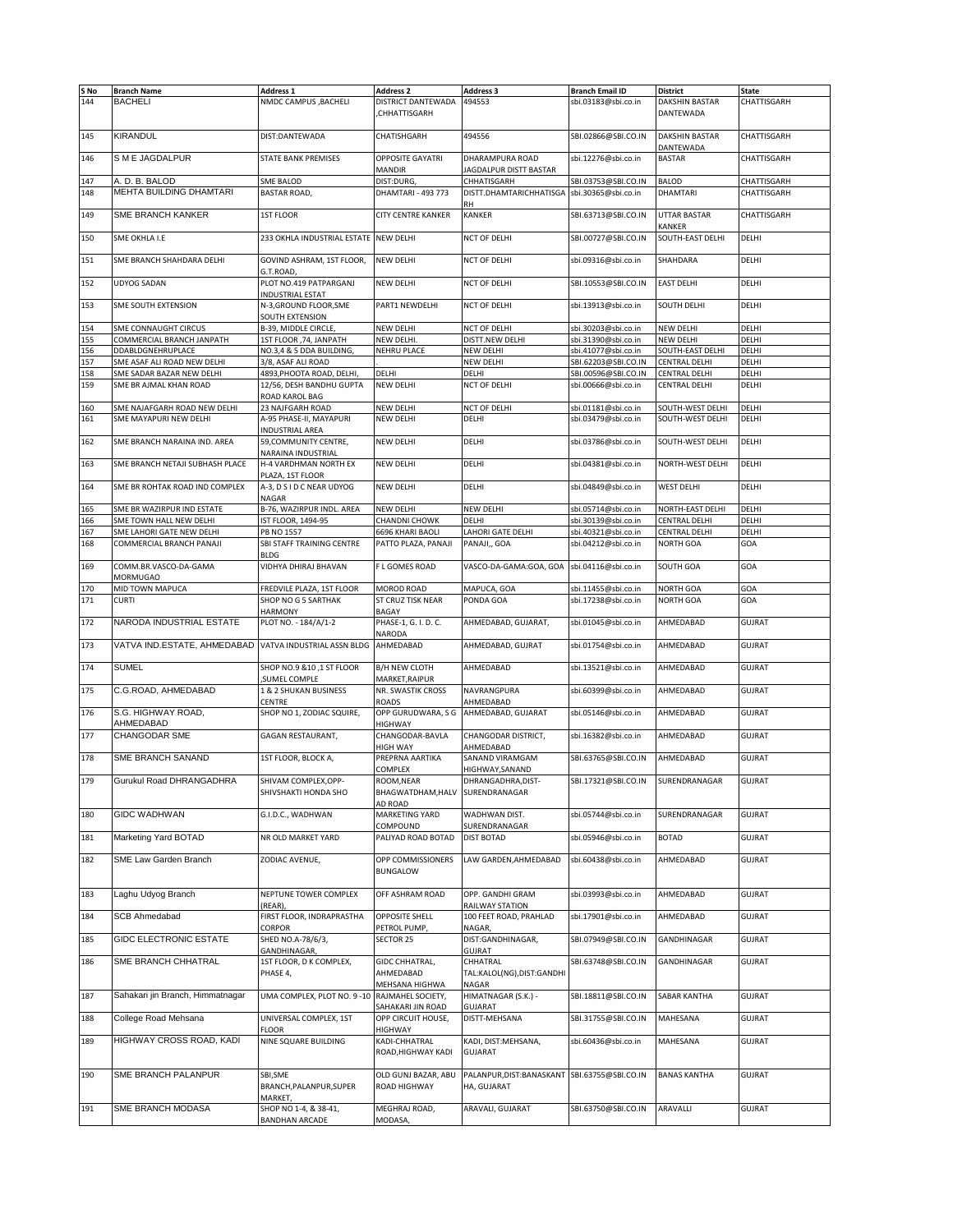| S No       | <b>Branch Name</b>                                    | <b>Address 1</b>                                  | <b>Address 2</b>                              | <b>Address 3</b>                                             | <b>Branch Email ID</b>                     | <b>District</b>               | State         |
|------------|-------------------------------------------------------|---------------------------------------------------|-----------------------------------------------|--------------------------------------------------------------|--------------------------------------------|-------------------------------|---------------|
| 144        | <b>BACHELI</b>                                        | NMDC CAMPUS , BACHELI                             | DISTRICT DANTEWADA<br>CHHATTISGARH            | 494553                                                       | sbi.03183@sbi.co.in                        | DAKSHIN BASTAR<br>DANTEWADA   | CHATTISGARH   |
| 145        | <b>KIRANDUL</b>                                       | DIST:DANTEWADA                                    | CHATISHGARH                                   | 494556                                                       | SBI.02866@SBI.CO.IN                        | DAKSHIN BASTAR                | CHATTISGARH   |
| 146        | S M E JAGDALPUR                                       | <b>STATE BANK PREMISES</b>                        | <b>OPPOSITE GAYATRI</b><br>MANDIR             | DHARAMPURA ROAD<br>JAGDALPUR DISTT BASTAR                    | sbi.12276@sbi.co.in                        | DANTEWADA<br><b>BASTAR</b>    | CHATTISGARH   |
| 147        | A. D. B. BALOD                                        | <b>SME BALOD</b>                                  | DIST:DURG,                                    | CHHATISGARH                                                  | SBI.03753@SBI.CO.IN                        | <b>BALOD</b>                  | CHATTISGARH   |
| 148        | MEHTA BUILDING DHAMTARI                               | <b>BASTAR ROAD,</b>                               | DHAMTARI - 493 773                            | DISTT.DHAMTARICHHATISGA<br>RН                                | sbi.30365@sbi.co.in                        | DHAMTARI                      | CHATTISGARH   |
| 149        | SME BRANCH KANKER                                     | <b>1ST FLOOR</b>                                  | CITY CENTRE KANKER                            | <b>KANKER</b>                                                | SBI.63713@SBI.CO.IN                        | <b>UTTAR BASTAR</b><br>KANKER | CHATTISGARH   |
| 150        | SME OKHLA I.E                                         | 233 OKHLA INDUSTRIAL ESTATE                       | <b>NEW DELHI</b>                              | NCT OF DELHI                                                 | SBI.00727@SBI.CO.IN                        | SOUTH-EAST DELHI              | DELHI         |
| 151        | SME BRANCH SHAHDARA DELHI                             | GOVIND ASHRAM, 1ST FLOOR,<br>G.T.ROAD,            | <b>NEW DELHI</b>                              | NCT OF DELHI                                                 | sbi.09316@sbi.co.in                        | SHAHDARA                      | DELHI         |
| 152        | <b>UDYOG SADAN</b>                                    | PLOT NO.419 PATPARGANJ<br><b>INDUSTRIAL ESTAT</b> | NEW DELHI                                     | NCT OF DELHI                                                 | SBI.10553@SBI.CO.IN                        | <b>EAST DELHI</b>             | DELHI         |
| 153        | SME SOUTH EXTENSION                                   | N-3, GROUND FLOOR, SME<br>SOUTH EXTENSION         | PART1 NEWDELHI                                | NCT OF DELHI                                                 | sbi.13913@sbi.co.in                        | SOUTH DELHI                   | DELHI         |
| 154        | SME CONNAUGHT CIRCUS                                  | B-39, MIDDLE CIRCLE,                              | NEW DELHI                                     | NCT OF DELHI                                                 | sbi.30203@sbi.co.in                        | <b>NEW DELHI</b>              | DELHI         |
| 155        | COMMERCIAL BRANCH JANPATH                             | 1ST FLOOR , 74, JANPATH                           | NEW DELHI.                                    | DISTT.NEW DELHI                                              | sbi.31390@sbi.co.in                        | NEW DELHI                     | DELHI         |
|            |                                                       |                                                   |                                               |                                                              |                                            |                               |               |
| 156        | DDABLDGNEHRUPLACE                                     | NO.3,4 & 5 DDA BUILDING,                          | NEHRU PLACE                                   | <b>NEW DELHI</b>                                             | sbi.41077@sbi.co.in                        | SOUTH-EAST DELHI              | DELHI         |
| 157        | SME ASAF ALI ROAD NEW DELHI                           | 3/8, ASAF ALI ROAD                                |                                               | NEW DELHI                                                    | SBI.62203@SBI.CO.IN                        | CENTRAL DELHI                 | DELHI         |
| 158        | SME SADAR BAZAR NEW DELHI                             | 4893, PHOOTA ROAD, DELHI,                         | DELHI                                         | DELHI                                                        | SBI.00596@SBI.CO.IN                        | CENTRAL DELHI                 | DELHI         |
| 159        | SME BR AJMAL KHAN ROAD                                | 12/56, DESH BANDHU GUPTA<br>ROAD KAROL BAG        | NEW DELHI                                     | NCT OF DELHI                                                 | sbi.00666@sbi.co.in                        | <b>CENTRAL DELHI</b>          | DELHI         |
| 160        | SME NAJAFGARH ROAD NEW DELHI                          | 23 NAJFGARH ROAD                                  | <b>NEW DELHI</b>                              | NCT OF DELHI                                                 | sbi.01181@sbi.co.in                        | SOUTH-WEST DELHI              | DELHI         |
| 161        | SME MAYAPURI NEW DELHI                                | A-95 PHASE-II, MAYAPURI<br>INDUSTRIAL AREA        | NEW DELHI                                     | DELHI                                                        | sbi.03479@sbi.co.in                        | SOUTH-WEST DELHI              | DELHI         |
| 162        | SME BRANCH NARAINA IND. AREA                          | 59, COMMUNITY CENTRE,<br>NARAINA INDUSTRIAL       | NEW DELHI                                     | DELHI                                                        | sbi.03786@sbi.co.in                        | SOUTH-WEST DELHI              | DELHI         |
| 163        | SME BRANCH NETAJI SUBHASH PLACE                       | H-4 VARDHMAN NORTH EX<br>PLAZA, 1ST FLOOR         | NFW DFLHI                                     | DELHI                                                        | sbi.04381@sbi.co.in                        | NORTH-WEST DELHI              | DELHI         |
| 164        | SME BR ROHTAK ROAD IND COMPLEX                        | A-3, D S I D C NEAR UDYOG<br>NAGAR                | NEW DELHI                                     | DELHI                                                        | sbi.04849@sbi.co.in                        | <b>WEST DELHI</b>             | DELHI         |
| 165        | SME BR WAZIRPUR IND ESTATE                            | B-76, WAZIRPUR INDL. AREA                         | NEW DELHI                                     | NEW DELHI                                                    | sbi.05714@sbi.co.in                        | NORTH-EAST DELHI              | DELHI         |
|            |                                                       |                                                   |                                               |                                                              |                                            |                               |               |
| 166        | SME TOWN HALL NEW DELHI                               | IST FLOOR, 1494-95                                | <b>CHANDNI CHOWK</b>                          | DELHI                                                        | sbi.30139@sbi.co.in                        | <b>CENTRAL DELHI</b>          | DELHI         |
| 167<br>168 | SME LAHORI GATE NEW DELHI<br>COMMERCIAL BRANCH PANAJI | PB NO 1557<br>SBI STAFF TRAINING CENTRE           | 6696 KHARI BAOLI<br>PATTO PLAZA, PANAJI       | LAHORI GATE DELHI<br>PANAJI,, GOA                            | sbi.40321@sbi.co.in<br>sbi.04212@sbi.co.in | CENTRAL DELHI<br>NORTH GOA    | DELHI<br>GOA  |
| 169        | COMM.BR.VASCO-DA-GAMA<br><b>MORMUGAO</b>              | <b>BLDG</b><br>VIDHYA DHIRAJ BHAVAN               | F L GOMES ROAD                                | VASCO-DA-GAMA:GOA, GOA                                       | sbi.04116@sbi.co.in                        | SOUTH GOA                     | GOA           |
| 170        | MID TOWN MAPUCA                                       | FREDVILE PLAZA, 1ST FLOOR                         | MOROD ROAD                                    | MAPUCA, GOA                                                  | sbi.11455@sbi.co.in                        | <b>NORTH GOA</b>              | GOA           |
| 171        | <b>CURTI</b>                                          | SHOP NO G 5 SARTHAK                               | ST CRUZ TISK NEAR                             | PONDA GOA                                                    | sbi.17238@sbi.co.in                        | <b>NORTH GOA</b>              | GOA           |
| 172        | NARODA INDUSTRIAL ESTATE                              | HARMONY<br>PLOT NO. - 184/A/1-2                   | BAGAY<br>PHASE-1, G. I. D. C.<br>NARODA       | AHMEDABAD, GUJARAT,                                          | sbi.01045@sbi.co.in                        | AHMEDABAD                     | <b>GUJRAT</b> |
| 173        | VATVA IND.ESTATE, AHMEDABAD                           | VATVA INDUSTRIAL ASSN BLDG                        | AHMEDABAD                                     | AHMEDABAD, GUJRAT                                            | sbi.01754@sbi.co.in                        | AHMEDABAD                     | <b>GUJRAT</b> |
| 174        | <b>SUMEL</b>                                          | SHOP NO.9 &10,1 ST FLOOR<br>SUMEL COMPLE          | B/H NEW CLOTH<br>MARKET, RAIPUR               | AHMEDABAD                                                    | sbi.13521@sbi.co.in                        | AHMEDABAD                     | <b>GUJRAT</b> |
| 175        | C.G.ROAD, AHMEDABAD                                   | 1 & 2 SHUKAN BUSINESS<br>CENTRE                   | NR. SWASTIK CROSS<br><b>ROADS</b>             | NAVRANGPURA<br>AHMEDABAD                                     | sbi.60399@sbi.co.in                        | AHMEDABAD                     | <b>GUJRAT</b> |
| 176        | S.G. HIGHWAY ROAD,<br>AHMEDABAD                       | SHOP NO 1, ZODIAC SQUIRE,                         | OPP GURUDWARA, S G<br>HIGHWAY                 | AHMEDABAD, GUJARAT                                           | sbi.05146@sbi.co.in                        | AHMEDABAD                     | <b>GUJRAT</b> |
| 177        | <b>CHANGODAR SME</b>                                  | GAGAN RESTAURANT,                                 | CHANGODAR-BAVLA<br>HIGH WAY                   | CHANGODAR DISTRICT,<br>AHMEDABAD                             | sbi.16382@sbi.co.in                        | AHMEDABAD                     | <b>GUJRAT</b> |
| 178        | SME BRANCH SANAND                                     | 1ST FLOOR, BLOCK A,                               | PREPRNA AARTIKA<br>COMPLEX                    | SANAND VIRAMGAM<br>HIGHWAY, SANAND                           | SBI.63765@SBI.CO.IN                        | AHMEDABAD                     | <b>GUJRAT</b> |
| 179        | Gurukul Road DHRANGADHRA                              | SHIVAM COMPLEX, OPP-<br>SHIVSHAKTI HONDA SHO      | ROOM,NEAR<br>BHAGWATDHAM, HALV<br>AD ROAD     | DHRANGADHRA.DISI-<br>SURENDRANAGAR                           | SBI.17321@SBI.CO.IN                        | SURENDRANAGAR                 | <b>GUJRAT</b> |
| 180        | <b>GIDC WADHWAN</b>                                   | G.I.D.C., WADHWAN                                 | MARKETING YARD<br>COMPOUND                    | WADHWAN DIST.<br>SURENDRANAGAR                               | sbi.05744@sbi.co.in                        | SURENDRANAGAR                 | GUJRAT        |
| 181        | Marketing Yard BOTAD                                  | NR OLD MARKET YARD                                | PALIYAD ROAD BOTAD                            | <b>DIST BOTAD</b>                                            | sbi.05946@sbi.co.in                        | <b>BOTAD</b>                  | <b>GUJRAT</b> |
| 182        | SME Law Garden Branch                                 | ZODIAC AVENUE,                                    | OPP COMMISSIONERS<br><b>BUNGALOW</b>          | LAW GARDEN, AHMEDABAD                                        | sbi.60438@sbi.co.in                        | AHMEDABAD                     | <b>GUJRAT</b> |
| 183        | Laghu Udyog Branch                                    | NEPTUNE TOWER COMPLEX<br>(REAR),                  | OFF ASHRAM ROAD                               | OPP. GANDHI GRAM<br>RAILWAY STATION                          | sbi.03993@sbi.co.in                        | AHMEDABAD                     | GUJRAT        |
| 184        | <b>SCB Ahmedabad</b>                                  | FIRST FLOOR, INDRAPRASTHA<br><b>CORPOR</b>        | OPPOSITE SHELL<br>PETROL PUMP,                | 100 FEET ROAD, PRAHLAD<br>NAGAR,                             | sbi.17901@sbi.co.in                        | AHMEDABAD                     | <b>GUJRAT</b> |
| 185        | <b>GIDC ELECTRONIC ESTATE</b>                         | SHED NO.A-78/6/3,<br>GANDHINAGAR,                 | SECTOR 25                                     | DIST:GANDHINAGAR,<br>GUJRAT                                  | SBI.07949@SBI.CO.IN                        | GANDHINAGAR                   | GUJRAT        |
|            | SME BRANCH CHHATRAL                                   |                                                   |                                               |                                                              |                                            | GANDHINAGAR                   |               |
| 186        |                                                       | 1ST FLOOR, D K COMPLEX,<br>PHASE 4,               | GIDC CHHATRAL,<br>AHMEDABAD<br>MEHSANA HIGHWA | CHHATRAL<br>TAL:KALOL(NG),DIST:GANDHI<br>NAGAR               | SBI.63748@SBI.CO.IN                        |                               | GUJRAT        |
| 187        | Sahakari jin Branch, Himmatnagar                      | UMA COMPLEX, PLOT NO. 9-10                        | RAJMAHEL SOCIETY,<br>SAHAKARI JIN ROAD        | HIMATNAGAR (S.K.) -<br><b>GUJARAT</b>                        | SBI.18811@SBI.CO.IN                        | SABAR KANTHA                  | <b>GUJRAT</b> |
| 188        | College Road Mehsana                                  | UNIVERSAL COMPLEX, 1ST<br><b>FLOOR</b>            | OPP CIRCUIT HOUSE,<br>HIGHWAY                 | DISTT-MEHSANA                                                | SBI.31755@SBI.CO.IN                        | MAHESANA                      | GUJRAT        |
| 189        | HIGHWAY CROSS ROAD, KADI                              | NINE SQUARE BUILDING                              | KADI-CHHATRAL<br>ROAD, HIGHWAY KADI           | KADI, DIST:MEHSANA,<br>GUJARAT                               | sbi.60436@sbi.co.in                        | MAHESANA                      | <b>GUJRAT</b> |
| 190        | SME BRANCH PALANPUR                                   | SBI, SME<br>BRANCH, PALANPUR, SUPER<br>MARKET,    | OLD GUNJ BAZAR, ABU<br>ROAD HIGHWAY           | PALANPUR, DIST: BANASKANT SBI.63755@SBI.CO.IN<br>HA, GUJARAT |                                            | <b>BANAS KANTHA</b>           | <b>GUJRAT</b> |
| 191        | SME BRANCH MODASA                                     | SHOP NO 1-4, & 38-41,<br><b>BANDHAN ARCADE</b>    | MEGHRAJ ROAD,<br>MODASA,                      | ARAVALI, GUJARAT                                             | SBI.63750@SBI.CO.IN                        | ARAVALLI                      | <b>GUJRAT</b> |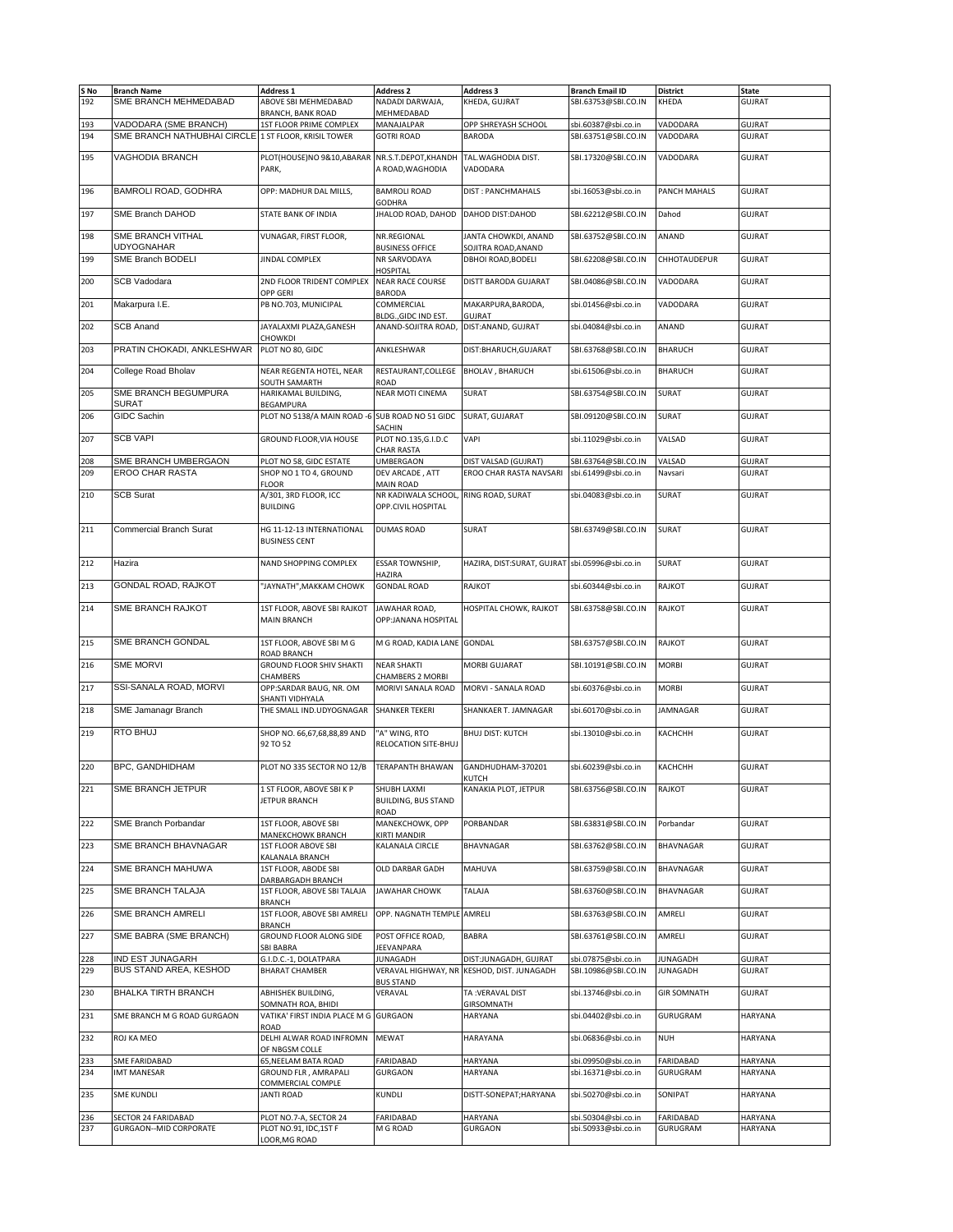| S No<br>192 | <b>Branch Name</b><br>SME BRANCH MEHMEDABAD                                   | <b>Address 1</b><br>ABOVE SBI MEHMEDABAD           | <b>Address 2</b><br>NADADI DARWAJA,           | <b>Address 3</b><br>KHEDA, GUJRAT               | <b>Branch Email ID</b><br>SBI.63753@SBI.CO.IN | <b>District</b><br>KHEDA | <b>State</b><br><b>GUJRAT</b>  |
|-------------|-------------------------------------------------------------------------------|----------------------------------------------------|-----------------------------------------------|-------------------------------------------------|-----------------------------------------------|--------------------------|--------------------------------|
|             |                                                                               | <b>BRANCH, BANK ROAD</b>                           | MEHMEDABAD                                    |                                                 |                                               |                          |                                |
| 193<br>194  | VADODARA (SME BRANCH)<br>SME BRANCH NATHUBHAI CIRCLE 1 ST FLOOR, KRISIL TOWER | 1ST FLOOR PRIME COMPLEX                            | MANAJALPAR<br><b>GOTRI ROAD</b>               | OPP SHREYASH SCHOOL<br><b>BARODA</b>            | sbi.60387@sbi.co.in<br>SBI.63751@SBI.CO.IN    | VADODARA<br>VADODARA     | <b>GUJRAT</b><br>GUJRAT        |
|             |                                                                               |                                                    |                                               |                                                 |                                               |                          |                                |
| 195         | VAGHODIA BRANCH                                                               | PLOT(HOUSE)NO 9&10,ABARAR<br>PARK,                 | NR.S.T.DEPOT,KHANDH<br>A ROAD, WAGHODIA       | TAL.WAGHODIA DIST.<br>VADODARA                  | SBI.17320@SBI.CO.IN                           | VADODARA                 | <b>GUJRAT</b>                  |
| 196         | BAMROLI ROAD, GODHRA                                                          | OPP: MADHUR DAL MILLS,                             | <b>BAMROLI ROAD</b><br><b>GODHRA</b>          | DIST: PANCHMAHALS                               | sbi.16053@sbi.co.in                           | PANCH MAHALS             | <b>GUJRAT</b>                  |
| 197         | SME Branch DAHOD                                                              | STATE BANK OF INDIA                                | JHALOD ROAD, DAHOD                            | DAHOD DIST:DAHOD                                | SBI.62212@SBI.CO.IN                           | Dahod                    | <b>GUJRAT</b>                  |
| 198         | SME BRANCH VITHAL                                                             | VUNAGAR, FIRST FLOOR,                              | NR.REGIONAL                                   | JANTA CHOWKDI, ANAND                            | SBI.63752@SBI.CO.IN                           | ANAND                    | <b>GUJRAT</b>                  |
| 199         | <b>UDYOGNAHAR</b><br>SME Branch BODELI                                        | <b>JINDAL COMPLEX</b>                              | <b>BUSINESS OFFICE</b><br>NR SARVODAYA        | SOJITRA ROAD.ANAND<br>DBHOI ROAD, BODELI        | SBI.62208@SBI.CO.IN                           | CHHOTAUDEPUR             | <b>GUJRAT</b>                  |
| 200         | <b>SCB Vadodara</b>                                                           | 2ND FLOOR TRIDENT COMPLEX                          | HOSPITAL<br><b>NEAR RACE COURSE</b>           | DISTT BARODA GUJARAT                            | SBI.04086@SBI.CO.IN                           | VADODARA                 | <b>GUJRAT</b>                  |
|             |                                                                               | OPP GERI                                           | <b>BARODA</b>                                 |                                                 |                                               |                          |                                |
| 201         | Makarpura I.E.                                                                | PB NO.703, MUNICIPAL                               | COMMERCIAL<br>BLDG., GIDC IND EST.            | MAKARPURA, BARODA,<br><b>GUJRAT</b>             | sbi.01456@sbi.co.in                           | VADODARA                 | <b>GUJRAT</b>                  |
| 202         | <b>SCB Anand</b>                                                              | JAYALAXMI PLAZA, GANESH<br><b>CHOWKDI</b>          | ANAND-SOJITRA ROAD,                           | DIST: ANAND, GUJRAT                             | sbi.04084@sbi.co.in                           | ANAND                    | <b>GUJRAT</b>                  |
| 203         | PRATIN CHOKADI, ANKLESHWAR                                                    | PLOT NO 80, GIDC                                   | ANKLESHWAR                                    | DIST:BHARUCH, GUJARAT                           | SBI.63768@SBI.CO.IN                           | <b>BHARUCH</b>           | <b>GUJRAT</b>                  |
| 204         | College Road Bholav                                                           | NEAR REGENTA HOTEL, NEAR<br><b>SOUTH SAMARTH</b>   | RESTAURANT, COLLEGE<br>ROAD                   | <b>BHOLAV, BHARUCH</b>                          | sbi.61506@sbi.co.in                           | <b>BHARUCH</b>           | <b>GUJRAT</b>                  |
| 205         | SME BRANCH BEGUMPURA<br><b>SURAT</b>                                          | HARIKAMAL BUILDING,<br>BEGAMPURA                   | <b>NEAR MOTI CINEMA</b>                       | SURAT                                           | SBI.63754@SBI.CO.IN                           | <b>SURAT</b>             | <b>GUJRAT</b>                  |
| 206         | <b>GIDC Sachin</b>                                                            | PLOT NO 5138/A MAIN ROAD -6 SUB ROAD NO 51 GIDC    |                                               | SURAT, GUJARAT                                  | SBI.09120@SBI.CO.IN                           | <b>SURAT</b>             | <b>GUJRAT</b>                  |
| 207         | <b>SCB VAPI</b>                                                               | GROUND FLOOR, VIA HOUSE                            | SACHIN<br>PLOT NO.135, G.I.D.C                | VAPI                                            | sbi.11029@sbi.co.in                           | VALSAD                   | <b>GUJRAT</b>                  |
|             |                                                                               |                                                    | <b>CHAR RASTA</b>                             |                                                 |                                               |                          |                                |
| 208<br>209  | SME BRANCH UMBERGAON<br><b>EROO CHAR RASTA</b>                                | PLOT NO 58, GIDC ESTATE<br>SHOP NO 1 TO 4, GROUND  | <b>UMBERGAON</b><br>DEV ARCADE, ATT           | DIST VALSAD (GUJRAT)<br>EROO CHAR RASTA NAVSARI | SBI.63764@SBI.CO.IN<br>sbi.61499@sbi.co.in    | VALSAD<br>Navsari        | <b>GUJRAT</b><br><b>GUJRAT</b> |
|             |                                                                               | <b>FLOOR</b>                                       | MAIN ROAD                                     |                                                 |                                               |                          |                                |
| 210         | <b>SCB Surat</b>                                                              | A/301, 3RD FLOOR, ICC<br><b>BUILDING</b>           | NR KADIWALA SCHOOL,<br>OPP.CIVIL HOSPITAL     | RING ROAD, SURAT                                | sbi.04083@sbi.co.in                           | SURAT                    | <b>GUJRAT</b>                  |
| 211         | Commercial Branch Surat                                                       | HG 11-12-13 INTERNATIONAL<br><b>BUSINESS CENT</b>  | <b>DUMAS ROAD</b>                             | SURAT                                           | SBI.63749@SBI.CO.IN                           | SURAT                    | <b>GUJRAT</b>                  |
| 212         | Hazira                                                                        | NAND SHOPPING COMPLEX                              | <b>ESSAR TOWNSHIP,</b>                        | HAZIRA, DIST:SURAT, GUJRAT sbi.05996@sbi.co.in  |                                               | <b>SURAT</b>             | <b>GUJRAT</b>                  |
| 213         | GONDAL ROAD, RAJKOT                                                           | "JAYNATH", MAKKAM CHOWK                            | HAZIRA<br><b>GONDAL ROAD</b>                  | RAJKOT                                          | sbi.60344@sbi.co.in                           | RAJKOT                   | <b>GUJRAT</b>                  |
| 214         | SME BRANCH RAJKOT                                                             | 1ST FLOOR, ABOVE SBI RAJKOT<br><b>MAIN BRANCH</b>  | JAWAHAR ROAD,<br>OPP:JANANA HOSPITAL          | HOSPITAL CHOWK, RAJKOT                          | SBI.63758@SBI.CO.IN                           | RAJKOT                   | <b>GUJRAT</b>                  |
| 215         | SME BRANCH GONDAL                                                             | 1ST FLOOR, ABOVE SBI M G<br>ROAD BRANCH            | M G ROAD, KADIA LANE                          | <b>GONDAL</b>                                   | SBI.63757@SBI.CO.IN                           | RAJKOT                   | <b>GUJRAT</b>                  |
| 216         | <b>SME MORVI</b>                                                              | <b>GROUND FLOOR SHIV SHAKTI</b><br><b>CHAMBERS</b> | <b>NEAR SHAKTI</b><br><b>CHAMBERS 2 MORBI</b> | MORBI GUJARAT                                   | SBI.10191@SBI.CO.IN                           | <b>MORBI</b>             | GUJRAT                         |
| 217         | SSI-SANALA ROAD, MORVI                                                        | OPP:SARDAR BAUG, NR. OM<br>SHANTI VIDHYALA         | MORIVI SANALA ROAD                            | MORVI - SANALA ROAD                             | sbi.60376@sbi.co.in                           | <b>MORBI</b>             | <b>GUJRAT</b>                  |
| 218         | SME Jamanagr Branch                                                           | THE SMALL IND.UDYOGNAGAR                           | SHANKER TEKERI                                | SHANKAER T. JAMNAGAR                            | sbi.60170@sbi.co.in                           | <b>JAMNAGAR</b>          | <b>GUJRAT</b>                  |
| 219         | <b>RTO BHUJ</b>                                                               | SHOP NO. 66,67,68,88,89 AND<br>92 TO 52            | "A" WING, RTO<br>RELOCATION SITE-BHUJ         | BHUJ DIST: KUTCH                                | sbi.13010@sbi.co.in                           | КАСНСНН                  | <b>GUJRAT</b>                  |
| 220         | <b>BPC. GANDHIDHAM</b>                                                        | PLOT NO 335 SECTOR NO 12/B                         | <b>TERAPANTH BHAWAN</b>                       | GANDHUDHAM-370201<br>KLITCH                     | sbi.60239@sbi.co.in                           | КАСНСНН                  | <b>GUJRAT</b>                  |
| 221         | SME BRANCH JETPUR                                                             | 1 ST FLOOR, ABOVE SBIKP<br>JETPUR BRANCH           | SHUBH LAXMI<br><b>BUILDING, BUS STAND</b>     | KANAKIA PLOT, JETPUR                            | SBI.63756@SBI.CO.IN                           | RAJKOT                   | <b>GUJRAT</b>                  |
| 222         | SME Branch Porbandar                                                          | 1ST FLOOR, ABOVE SBI                               | ROAD<br>MANEKCHOWK, OPP                       | PORBANDAR                                       | SBI.63831@SBI.CO.IN                           | Porbandar                | <b>GUJRAT</b>                  |
| 223         | SME BRANCH BHAVNAGAR                                                          | MANEKCHOWK BRANCH<br><b>1ST FLOOR ABOVE SBI</b>    | KIRTI MANDIR<br>KALANALA CIRCLE               | BHAVNAGAR                                       | SBI.63762@SBI.CO.IN                           | BHAVNAGAR                | <b>GUJRAT</b>                  |
| 224         | SME BRANCH MAHUWA                                                             | KALANALA BRANCH<br>1ST FLOOR, ABODE SBI            | OLD DARBAR GADH                               | MAHUVA                                          | SBI.63759@SBI.CO.IN                           | BHAVNAGAR                | <b>GUJRAT</b>                  |
| 225         | SME BRANCH TALAJA                                                             | DARBARGADH BRANCH<br>1ST FLOOR, ABOVE SBI TALAJA   | <b>JAWAHAR CHOWK</b>                          | TALAJA                                          | SBI.63760@SBI.CO.IN                           | BHAVNAGAR                | <b>GUJRAT</b>                  |
| 226         | SME BRANCH AMRELI                                                             | <b>BRANCH</b><br>1ST FLOOR, ABOVE SBI AMRELI       | OPP. NAGNATH TEMPLE AMRELI                    |                                                 | SBI.63763@SBI.CO.IN                           | AMRELI                   | GUJRAT                         |
| 227         | SME BABRA (SME BRANCH)                                                        | <b>BRANCH</b><br>GROUND FLOOR ALONG SIDE           | POST OFFICE ROAD,                             | BABRA                                           | SBI.63761@SBI.CO.IN                           | AMRELI                   | <b>GUJRAT</b>                  |
|             | <b>IND EST JUNAGARH</b>                                                       | <b>SBI BABRA</b><br>G.I.D.C.-1, DOLATPARA          | JEEVANPARA<br><b>JUNAGADH</b>                 | DIST:JUNAGADH, GUJRAT                           | sbi.07875@sbi.co.in                           | JUNAGADH                 | <b>GUJRAT</b>                  |
| 228<br>229  | BUS STAND AREA, KESHOD                                                        | <b>BHARAT CHAMBER</b>                              | VERAVAL HIGHWAY, NR                           | KESHOD, DIST. JUNAGADH                          | SBI.10986@SBI.CO.IN                           | <b>JUNAGADH</b>          | <b>GUJRAT</b>                  |
|             | <b>BHALKA TIRTH BRANCH</b>                                                    |                                                    | <b>BUS STAND</b><br>VERAVAL                   |                                                 |                                               |                          | <b>GUJRAT</b>                  |
| 230         |                                                                               | ABHISHEK BUILDING,<br>SOMNATH ROA, BHIDI           |                                               | TA: VERAVAL DIST<br>GIRSOMNATH                  | sbi.13746@sbi.co.in                           | <b>GIR SOMNATH</b>       |                                |
| 231         | SME BRANCH M G ROAD GURGAON                                                   | VATIKA' FIRST INDIA PLACE M G<br>ROAD              | <b>GURGAON</b>                                | <b>HARYANA</b>                                  | sbi.04402@sbi.co.in                           | GURUGRAM                 | HARYANA                        |
| 232         | ROJ KA MEO                                                                    | DELHI ALWAR ROAD INFROMN<br>OF NBGSM COLLE         | <b>MEWAT</b>                                  | HARAYANA                                        | sbi.06836@sbi.co.in                           | <b>NUH</b>               | HARYANA                        |
| 233         | SME FARIDABAD                                                                 | 65, NEELAM BATA ROAD                               | FARIDABAD                                     | HARYANA                                         | sbi.09950@sbi.co.in                           | FARIDABAD                | HARYANA                        |
| 234         | <b>IMT MANESAR</b>                                                            | GROUND FLR, AMRAPALI                               | <b>GURGAON</b>                                | HARYANA                                         | sbi.16371@sbi.co.in                           | GURUGRAM                 | <b>HARYANA</b>                 |
| 235         | <b>SME KUNDLI</b>                                                             | COMMERCIAL COMPLE<br><b>JANTI ROAD</b>             | KUNDLI                                        | DISTT-SONEPAT;HARYANA                           | sbi.50270@sbi.co.in                           | SONIPAT                  | <b>HARYANA</b>                 |
| 236         | SECTOR 24 FARIDABAD                                                           | PLOT NO.7-A, SECTOR 24                             | FARIDABAD                                     | HARYANA                                         | sbi.50304@sbi.co.in                           | FARIDABAD                | HARYANA                        |
| 237         | <b>GURGAON--MID CORPORATE</b>                                                 | PLOT NO.91, IDC, 1ST F                             | M G ROAD                                      | GURGAON                                         | sbi.50933@sbi.co.in                           | GURUGRAM                 | HARYANA                        |
|             |                                                                               | LOOR, MG ROAD                                      |                                               |                                                 |                                               |                          |                                |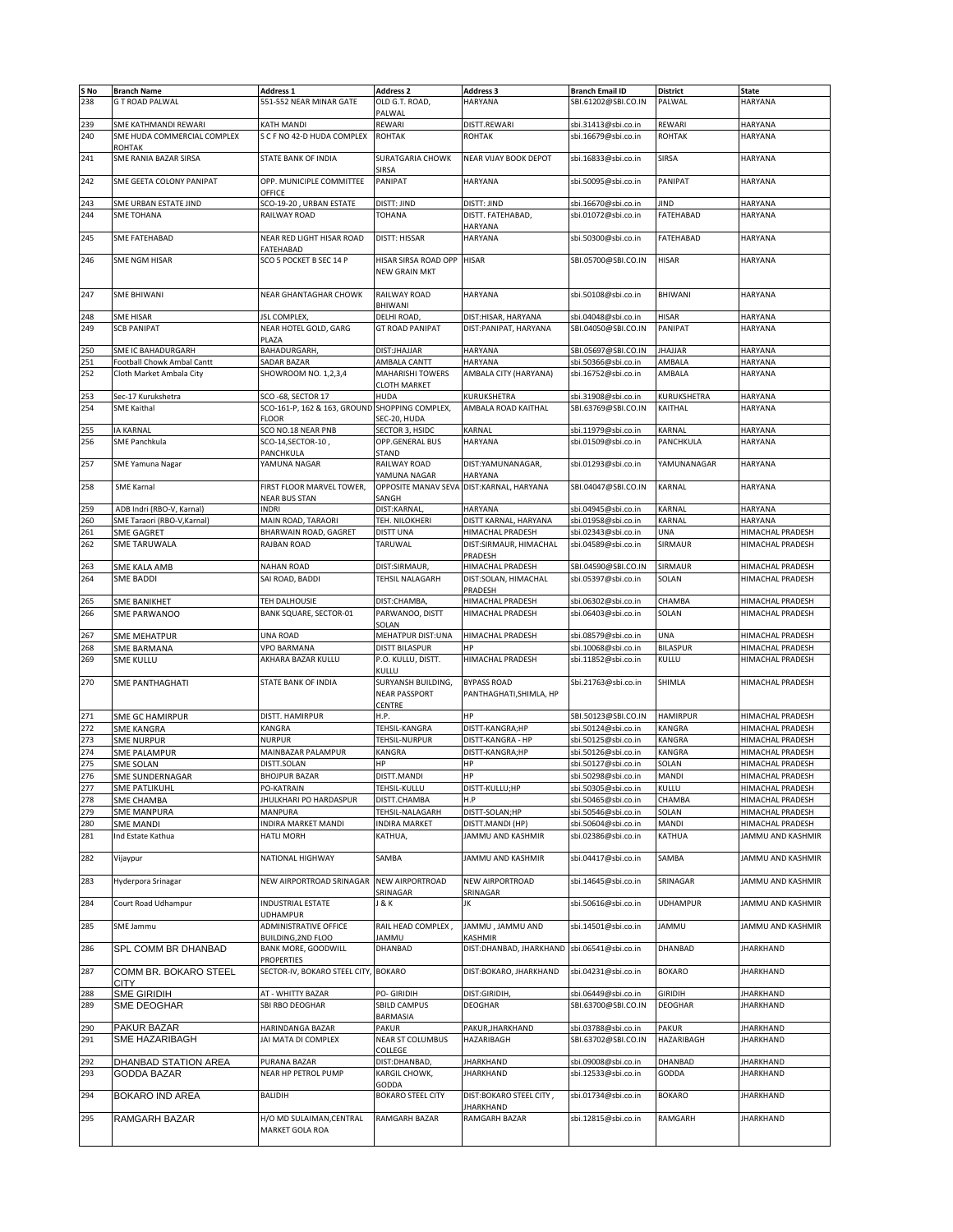| S No |                             | <b>Address 1</b>                               |                          |                         | <b>Branch Email ID</b> |                 |                         |
|------|-----------------------------|------------------------------------------------|--------------------------|-------------------------|------------------------|-----------------|-------------------------|
|      | <b>Branch Name</b>          |                                                | <b>Address 2</b>         | <b>Address 3</b>        |                        | <b>District</b> | <b>State</b>            |
| 238  | <b>G T ROAD PALWAL</b>      | 551-552 NEAR MINAR GATE                        | OLD G.T. ROAD,           | <b>HARYANA</b>          | SBI.61202@SBI.CO.IN    | PALWAL          | <b>HARYANA</b>          |
|      |                             |                                                | PALWAL                   |                         |                        |                 |                         |
| 239  | SME KATHMANDI REWARI        | KATH MANDI                                     | REWARI                   | DISTT.REWARI            | sbi.31413@sbi.co.in    | REWARI          | HARYANA                 |
| 240  | SME HUDA COMMERCIAL COMPLEX | S C F NO 42-D HUDA COMPLEX                     | <b>ROHTAK</b>            | <b>ROHTAK</b>           | sbi.16679@sbi.co.in    | <b>ROHTAK</b>   | HARYANA                 |
|      |                             |                                                |                          |                         |                        |                 |                         |
|      | <b>ROHTAK</b>               |                                                |                          |                         |                        |                 |                         |
| 241  | SME RANIA BAZAR SIRSA       | STATE BANK OF INDIA                            | SURATGARIA CHOWK         | NEAR VIJAY BOOK DEPOT   | sbi.16833@sbi.co.in    | SIRSA           | HARYANA                 |
|      |                             |                                                | SIRSA                    |                         |                        |                 |                         |
| 242  | SME GEETA COLONY PANIPAT    | OPP. MUNICIPLE COMMITTEE                       | PANIPAT                  | <b>HARYANA</b>          | sbi.50095@sbi.co.in    | PANIPAT         | HARYANA                 |
|      |                             | OFFICE                                         |                          |                         |                        |                 |                         |
| 243  |                             |                                                | DISTT: JIND              | DISTT: JIND             |                        | JIND            | HARYANA                 |
|      | SME URBAN ESTATE JIND       | SCO-19-20, URBAN ESTATE                        |                          |                         | sbi.16670@sbi.co.in    |                 |                         |
| 244  | SME TOHANA                  | RAILWAY ROAD                                   | TOHANA                   | DISTT. FATEHABAD,       | sbi.01072@sbi.co.in    | FATEHABAD       | HARYANA                 |
|      |                             |                                                |                          | HARYANA                 |                        |                 |                         |
| 245  | SME FATEHABAD               | NEAR RED LIGHT HISAR ROAD                      | <b>DISTT: HISSAR</b>     | HARYANA                 | sbi.50300@sbi.co.in    | FATEHABAD       | HARYANA                 |
|      |                             | FATEHABAD                                      |                          |                         |                        |                 |                         |
| 246  | SME NGM HISAR               | SCO 5 POCKET B SEC 14 P                        |                          | <b>HISAR</b>            | SBI.05700@SBI.CO.IN    | HISAR           | HARYANA                 |
|      |                             |                                                | HISAR SIRSA ROAD OPP     |                         |                        |                 |                         |
|      |                             |                                                | NEW GRAIN MKT            |                         |                        |                 |                         |
|      |                             |                                                |                          |                         |                        |                 |                         |
| 247  | <b>SME BHIWANI</b>          | NEAR GHANTAGHAR CHOWK                          | RAILWAY ROAD             | HARYANA                 | sbi.50108@sbi.co.in    | <b>BHIWANI</b>  | HARYANA                 |
|      |                             |                                                | BHIWANI                  |                         |                        |                 |                         |
|      |                             |                                                |                          |                         |                        |                 |                         |
| 248  | <b>SME HISAR</b>            | JSL COMPLEX,                                   | DELHI ROAD               | DIST:HISAR, HARYANA     | sbi.04048@sbi.co.in    | <b>HISAR</b>    | HARYANA                 |
| 249  | <b>SCB PANIPAT</b>          | NEAR HOTEL GOLD, GARG                          | <b>GT ROAD PANIPAT</b>   | DIST:PANIPAT, HARYANA   | SBI.04050@SBI.CO.IN    | PANIPAT         | <b>HARYANA</b>          |
|      |                             | PLAZA                                          |                          |                         |                        |                 |                         |
| 250  | SME IC BAHADURGARH          | <b>BAHADURGARH</b>                             | DIST:JHAJJAR             | <b>HARYANA</b>          | SBI.05697@SBI.CO.IN    | <b>JHAJJAR</b>  | HARYANA                 |
| 251  | Football Chowk Ambal Cantt  | SADAR BAZAR                                    | AMBALA CANTT             | HARYANA                 | sbi.50366@sbi.co.in    | AMBALA          | HARYANA                 |
|      |                             |                                                |                          |                         |                        |                 |                         |
| 252  | Cloth Market Ambala City    | SHOWROOM NO. 1,2,3,4                           | MAHARISHI TOWERS         | AMBALA CITY (HARYANA)   | sbi.16752@sbi.co.in    | AMBALA          | HARYANA                 |
|      |                             |                                                | CLOTH MARKET             |                         |                        |                 |                         |
| 253  | Sec-17 Kurukshetra          | SCO-68, SECTOR 17                              | <b>HUDA</b>              | KURUKSHETRA             | sbi.31908@sbi.co.in    | KURUKSHETRA     | HARYANA                 |
| 254  | <b>SME Kaithal</b>          | SCO-161-P, 162 & 163, GROUND SHOPPING COMPLEX, |                          | AMBALA ROAD KAITHAL     | SBI.63769@SBI.CO.IN    | KAITHAL         | <b>HARYANA</b>          |
|      |                             | <b>FLOOR</b>                                   | SEC-20, HUDA             |                         |                        |                 |                         |
|      |                             |                                                |                          |                         |                        |                 |                         |
| 255  | <b>IA KARNAL</b>            | SCO NO.18 NEAR PNB                             | SECTOR 3. HSIDC          | KARNAL                  | sbi.11979@sbi.co.in    | KARNAL          | HARYANA                 |
| 256  | SME Panchkula               | SCO-14,SECTOR-10,                              | OPP.GENERAL BUS          | HARYANA                 | sbi.01509@sbi.co.in    | PANCHKULA       | HARYANA                 |
|      |                             | PANCHKULA                                      | STAND                    |                         |                        |                 |                         |
| 257  |                             | YAMUNA NAGAR                                   | RAILWAY ROAD             |                         |                        |                 |                         |
|      | <b>SME Yamuna Nagar</b>     |                                                |                          | DIST:YAMUNANAGAR,       | sbi.01293@sbi.co.in    | YAMUNANAGAR     | HARYANA                 |
|      |                             |                                                | YAMUNA NAGAR             | HARYANA                 |                        |                 |                         |
| 258  | SME Karnal                  | FIRST FLOOR MARVEL TOWER,                      | OPPOSITE MANAV SEVA      | DIST:KARNAL, HARYANA    | SBI.04047@SBI.CO.IN    | KARNAL          | <b>HARYANA</b>          |
|      |                             | <b>NEAR BUS STAN</b>                           | SANGH                    |                         |                        |                 |                         |
| 259  | ADB Indri (RBO-V, Karnal)   |                                                | DIST:KARNAL              | <b>HARYANA</b>          |                        |                 |                         |
|      |                             | INDRI                                          |                          |                         | sbi.04945@sbi.co.in    | KARNAL          | HARYANA                 |
| 260  | SME Taraori (RBO-V, Karnal) | MAIN ROAD, TARAORI                             | TEH. NILOKHERI           | DISTT KARNAL, HARYANA   | sbi.01958@sbi.co.in    | KARNAL          | HARYANA                 |
| 261  | <b>SME GAGRET</b>           | BHARWAIN ROAD, GAGRET                          | <b>DISTT UNA</b>         | HIMACHAL PRADESH        | sbi.02343@sbi.co.in    | UNA             | HIMACHAL PRADESH        |
| 262  | <b>SME TARUWALA</b>         | RAJBAN ROAD                                    | TARUWAL                  | DIST:SIRMAUR, HIMACHAL  | sbi.04589@sbi.co.in    | SIRMAUR         | HIMACHAL PRADESH        |
|      |                             |                                                |                          |                         |                        |                 |                         |
|      |                             |                                                |                          | PRADESH                 |                        |                 |                         |
| 263  | SME KALA AMB                | <b>NAHAN ROAD</b>                              | DIST:SIRMAUR,            | HIMACHAL PRADESH        | SBI.04590@SBI.CO.IN    | SIRMAUR         | HIMACHAL PRADESH        |
| 264  | <b>SME BADDI</b>            | SAI ROAD, BADDI                                | TEHSIL NALAGARH          | DIST:SOLAN, HIMACHAL    | sbi.05397@sbi.co.in    | SOLAN           | HIMACHAL PRADESH        |
|      |                             |                                                |                          | PRADESH                 |                        |                 |                         |
| 265  |                             | TEH DALHOUSIE                                  | DIST:CHAMBA,             | HIMACHAL PRADESH        |                        | CHAMBA          | HIMACHAL PRADESH        |
|      | <b>SME BANIKHET</b>         |                                                |                          |                         | sbi.06302@sbi.co.in    |                 |                         |
| 266  | SME PARWANOO                | BANK SQUARE, SECTOR-01                         | PARWANOO, DISTT          | HIMACHAL PRADESH        | sbi.06403@sbi.co.in    | SOLAN           | HIMACHAL PRADESH        |
|      |                             |                                                | SOLAN                    |                         |                        |                 |                         |
| 267  | <b>SME MEHATPUR</b>         | <b>UNA ROAD</b>                                | MEHATPUR DIST:UNA        | HIMACHAL PRADESH        | sbi.08579@sbi.co.in    | UNA             | HIMACHAL PRADESH        |
|      |                             |                                                |                          | HP                      |                        |                 |                         |
|      |                             |                                                |                          |                         |                        |                 |                         |
| 268  | SME BARMANA                 | VPO BARMANA                                    | DISTT BILASPUR           |                         | sbi.10068@sbi.co.in    | <b>BILASPUR</b> | HIMACHAL PRADESH        |
| 269  | <b>SME KULLU</b>            | AKHARA BAZAR KULLU                             | P.O. KULLU, DISTT.       | HIMACHAL PRADESH        | sbi.11852@sbi.co.in    | KULLU           | HIMACHAL PRADESH        |
|      |                             |                                                | <b>KULLU</b>             |                         |                        |                 |                         |
|      |                             |                                                |                          |                         |                        |                 |                         |
| 270  | <b>SME PANTHAGHATI</b>      | STATE BANK OF INDIA                            | SURYANSH BUILDING,       | <b>BYPASS ROAD</b>      | Sbi.21763@sbi.co.in    | SHIMLA          | HIMACHAL PRADESH        |
|      |                             |                                                | NEAR PASSPORT            | PANTHAGHATI, SHIMLA, HP |                        |                 |                         |
|      |                             |                                                | CENTRE                   |                         |                        |                 |                         |
| 271  | <b>SME GC HAMIRPUR</b>      | DISTT. HAMIRPUR                                | Н.Р.                     | HP                      | SBI.50123@SBI.CO.IN    | <b>HAMIRPUR</b> | HIMACHAL PRADESH        |
|      |                             |                                                |                          |                         |                        |                 |                         |
| 272  | <b>SME KANGRA</b>           | KANGRA                                         | TEHSIL-KANGRA            | DISTT-KANGRA;HP         | sbi.50124@sbi.co.in    | KANGRA          | HIMACHAL PRADESH        |
| 273  | <b>SME NURPUR</b>           | <b>NURPUR</b>                                  | TEHSIL-NURPUR            | DISTT-KANGRA - HP       | sbi.50125@sbi.co.in    | KANGRA          | HIMACHAL PRADESH        |
| 274  | <b>SME PALAMPUR</b>         | MAINBAZAR PALAMPUR                             | KANGRA                   | DISTT-KANGRA;HP         | sbi.50126@sbi.co.in    | KANGRA          | HIMACHAL PRADESH        |
|      | <b>SME SOLAN</b>            | DISTT.SOLAN                                    | НP                       | HP                      |                        | SOLAN           | HIMACHAL PRADESH        |
| 275  |                             |                                                |                          |                         | sbi.50127@sbi.co.in    |                 |                         |
| 276  | SME SUNDERNAGAR             | <b>BHOJPUR BAZAR</b>                           | DISTT.MANDI              | HP                      | sbi.50298@sbi.co.in    | MANDI           | <b>HIMACHAL PRADESH</b> |
| 277  | <b>SME PATLIKUHL</b>        | PO-KATRAIN                                     | TEHSIL-KULLU             | DISTT-KULLU;HP          | sbi.50305@sbi.co.in    | KULLU           | HIMACHAL PRADESH        |
| 278  | SME CHAMBA                  | JHULKHARI PO HARDASPUR                         | DISTT.CHAMBA             | H.P                     | sbi.50465@sbi.co.in    | CHAMBA          | HIMACHAL PRADESH        |
|      |                             |                                                |                          |                         |                        |                 |                         |
| 279  | <b>SME MANPURA</b>          | MANPURA                                        | TEHSIL-NALAGARH          | DISTT-SOLAN;HP          | sbi.50546@sbi.co.in    | SOLAN           | HIMACHAL PRADESH        |
| 280  | <b>SME MANDI</b>            | INDIRA MARKET MANDI                            | <b>INDIRA MARKET</b>     | DISTT.MANDI (HP)        | sbi.50604@sbi.co.in    | MANDI           | HIMACHAL PRADESH        |
| 281  | Ind Estate Kathua           | HATLI MORH                                     | KATHUA,                  | JAMMU AND KASHMIR       | sbi.02386@sbi.co.in    | KATHUA          | JAMMU AND KASHMIR       |
|      |                             |                                                |                          |                         |                        |                 |                         |
|      |                             |                                                |                          |                         |                        |                 |                         |
| 282  | Vijaypur                    | NATIONAL HIGHWAY                               | SAMBA                    | JAMMU AND KASHMIR       | sbi.04417@sbi.co.in    | SAMBA           | JAMMU AND KASHMIR       |
|      |                             |                                                |                          |                         |                        |                 |                         |
| 283  | Hyderpora Srinagar          | NEW AIRPORTROAD SRINAGAR                       | NEW AIRPORTROAD          | NEW AIRPORTROAD         | sbi.14645@sbi.co.in    | SRINAGAR        | JAMMU AND KASHMIR       |
|      |                             |                                                | SRINAGAR                 | SRINAGAR                |                        |                 |                         |
| 284  | Court Road Udhampur         | <b>INDUSTRIAL ESTATE</b>                       | J & K                    | JK                      | sbi.50616@sbi.co.in    | UDHAMPUR        | JAMMU AND KASHMIR       |
|      |                             |                                                |                          |                         |                        |                 |                         |
|      |                             | <b>UDHAMPUR</b>                                |                          |                         |                        |                 |                         |
| 285  | SME Jammu                   | ADMINISTRATIVE OFFICE                          | RAIL HEAD COMPLEX,       | JAMMU, JAMMU AND        | sbi.14501@sbi.co.in    | JAMMU           | JAMMU AND KASHMIR       |
|      |                             | BUILDING, 2ND FLOO                             | <b>JAMMU</b>             | <b>KASHMIR</b>          |                        |                 |                         |
| 286  | SPL COMM BR DHANBAD         | BANK MORE, GOODWILL                            | DHANBAD                  | DIST:DHANBAD, JHARKHAND | sbi.06541@sbi.co.in    | DHANBAD         | <b>JHARKHAND</b>        |
|      |                             |                                                |                          |                         |                        |                 |                         |
|      |                             | <b>PROPERTIES</b>                              |                          |                         |                        |                 |                         |
| 287  | COMM BR. BOKARO STEEL       | SECTOR-IV, BOKARO STEEL CITY, BOKARO           |                          | DIST:BOKARO, JHARKHAND  | sbi.04231@sbi.co.in    | <b>BOKARO</b>   | <b>JHARKHAND</b>        |
|      | CITY                        |                                                |                          |                         |                        |                 |                         |
| 288  |                             | AT - WHITTY BAZAR                              | PO- GIRIDIH              | DIST:GIRIDIH,           | sbi.06449@sbi.co.in    | <b>GIRIDIH</b>  | <b>JHARKHAND</b>        |
|      | SME GIRIDIH                 |                                                |                          |                         |                        |                 |                         |
| 289  | SME DEOGHAR                 | SBI RBO DEOGHAR                                | SBILD CAMPUS             | DEOGHAR                 | SBI.63700@SBI.CO.IN    | <b>DEOGHAR</b>  | <b>JHARKHAND</b>        |
|      |                             |                                                | BARMASIA                 |                         |                        |                 |                         |
| 290  | PAKUR BAZAR                 | HARINDANGA BAZAR                               | <b>PAKUR</b>             | PAKUR, JHARKHAND        | sbi.03788@sbi.co.in    | PAKUR           | JHARKHAND               |
|      |                             |                                                |                          |                         |                        | HAZARIBAGH      | <b>JHARKHAND</b>        |
| 291  | SME HAZARIBAGH              | JAI MATA DI COMPLEX                            | <b>NEAR ST COLUMBUS</b>  | HAZARIBAGH              | SBI.63702@SBI.CO.IN    |                 |                         |
|      |                             |                                                | COLLEGE                  |                         |                        |                 |                         |
| 292  | DHANBAD STATION AREA        | PURANA BAZAR                                   | DIST:DHANBAD,            | JHARKHAND               | sbi.09008@sbi.co.in    | DHANBAD         | JHARKHAND               |
| 293  | GODDA BAZAR                 | NEAR HP PETROL PUMP                            | KARGIL CHOWK,            | <b>JHARKHAND</b>        | sbi.12533@sbi.co.in    | GODDA           | <b>JHARKHAND</b>        |
|      |                             |                                                |                          |                         |                        |                 |                         |
|      |                             |                                                | GODDA                    |                         |                        |                 |                         |
| 294  | BOKARO IND AREA             | <b>BALIDIH</b>                                 | <b>BOKARO STEEL CITY</b> | DIST:BOKARO STEEL CITY, | sbi.01734@sbi.co.in    | <b>BOKARO</b>   | <b>JHARKHAND</b>        |
|      |                             |                                                |                          | <b>JHARKHAND</b>        |                        |                 |                         |
| 295  | RAMGARH BAZAR               | H/O MD SULAIMAN, CENTRAL                       | RAMGARH BAZAR            | RAMGARH BAZAR           | sbi.12815@sbi.co.in    | RAMGARH         | <b>JHARKHAND</b>        |
|      |                             | MARKET GOLA ROA                                |                          |                         |                        |                 |                         |
|      |                             |                                                |                          |                         |                        |                 |                         |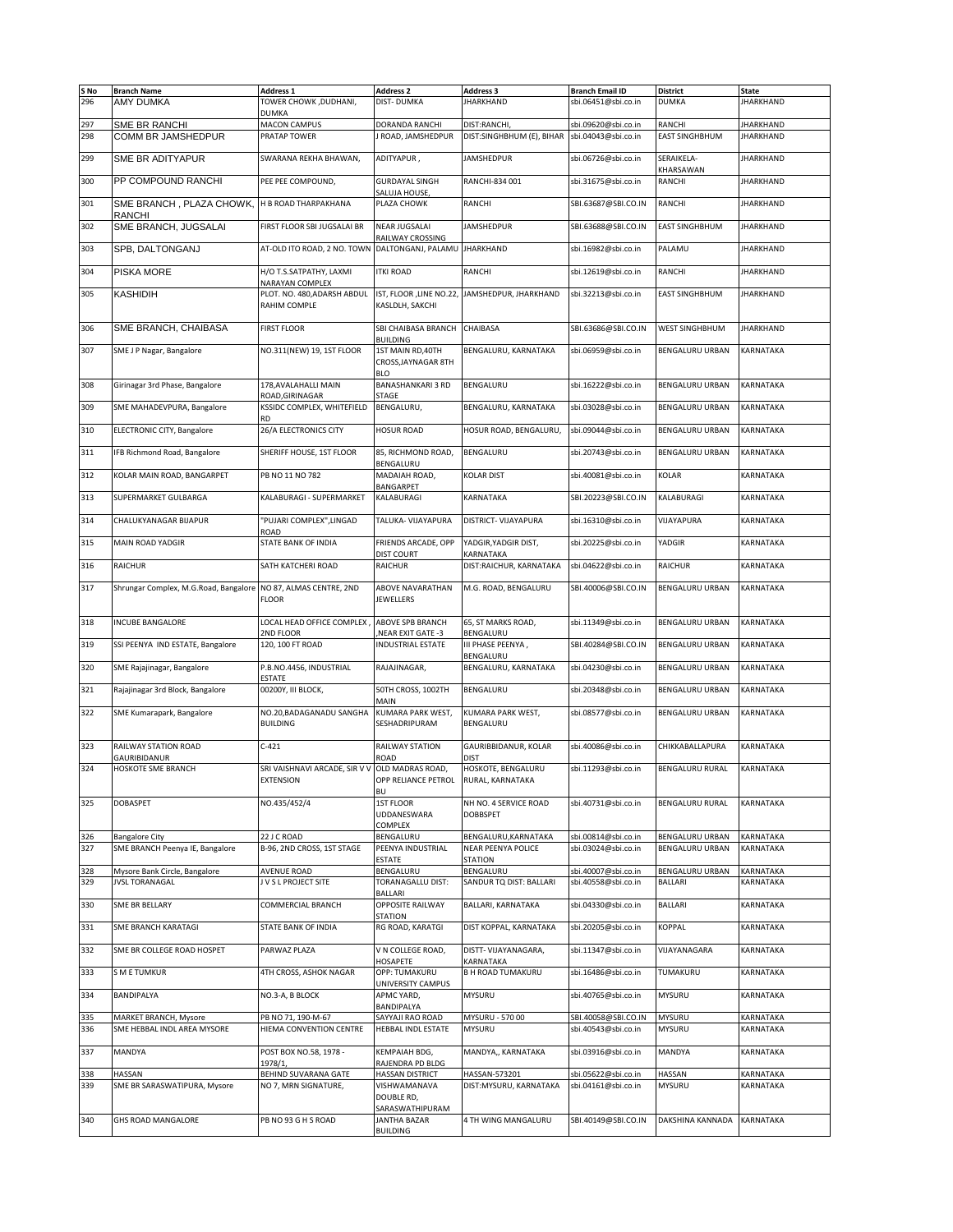| S No       | <b>Branch Name</b>                                     | Address 1                                     | <b>Address 2</b>                                                | <b>Address 3</b>                                             | <b>Branch Email ID</b>                     | <b>District</b>                          | <b>State</b>                         |
|------------|--------------------------------------------------------|-----------------------------------------------|-----------------------------------------------------------------|--------------------------------------------------------------|--------------------------------------------|------------------------------------------|--------------------------------------|
| 296        | AMY DUMKA                                              | TOWER CHOWK, DUDHANI,                         | <b>DIST-DUMKA</b>                                               | <b>JHARKHAND</b>                                             | sbi.06451@sbi.co.in                        | <b>DUMKA</b>                             | <b>JHARKHAND</b>                     |
|            |                                                        | DUMKA                                         |                                                                 |                                                              |                                            |                                          |                                      |
| 297<br>298 | SME BR RANCHI<br>COMM BR JAMSHEDPUR                    | <b>MACON CAMPUS</b><br>PRATAP TOWER           | DORANDA RANCHI<br><b>ROAD, JAMSHEDPUR</b>                       | DIST:RANCHI<br>DIST:SINGHBHUM (E), BIHAR sbi.04043@sbi.co.in | sbi.09620@sbi.co.in                        | <b>RANCHI</b><br><b>EAST SINGHBHUM</b>   | <b>JHARKHAND</b><br><b>JHARKHAND</b> |
|            |                                                        |                                               |                                                                 |                                                              |                                            |                                          |                                      |
| 299        | SME BR ADITYAPUR                                       | SWARANA REKHA BHAWAN,                         | ADITYAPUR,                                                      | <b>JAMSHEDPUR</b>                                            | sbi.06726@sbi.co.in                        | SERAIKELA-                               | <b>JHARKHAND</b>                     |
| 300        | PP COMPOUND RANCHI                                     | PEE PEE COMPOUND,                             | <b>GURDAYAL SINGH</b>                                           | RANCHI-834 001                                               | sbi.31675@sbi.co.in                        | KHARSAWAN<br>RANCHI                      | <b>JHARKHAND</b>                     |
| 301        | SME BRANCH, PLAZA CHOWK,                               | H B ROAD THARPAKHANA                          | SALUJA HOUSE,<br>PLAZA CHOWK                                    | RANCHI                                                       | SBI.63687@SBI.CO.IN                        | <b>RANCHI</b>                            | <b>JHARKHAND</b>                     |
|            | <b>RANCHI</b><br>SME BRANCH, JUGSALAI                  | FIRST FLOOR SBI JUGSALAI BR                   | <b>NEAR JUGSALAI</b>                                            | <b>JAMSHEDPUR</b>                                            | SBI.63688@SBI.CO.IN                        | <b>EAST SINGHBHUM</b>                    | <b>JHARKHAND</b>                     |
| 302        |                                                        |                                               | RAILWAY CROSSING                                                |                                                              |                                            |                                          |                                      |
| 303        | SPB, DALTONGANJ                                        | AT-OLD ITO ROAD, 2 NO. TOWN                   | DALTONGANJ, PALAMU                                              | <b>JHARKHAND</b>                                             | sbi.16982@sbi.co.in                        | PALAMU                                   | <b>JHARKHAND</b>                     |
| 304        | <b>PISKA MORE</b>                                      | H/O T.S.SATPATHY, LAXMI<br>NARAYAN COMPLEX    | <b>ITKI ROAD</b>                                                | RANCHI                                                       | sbi.12619@sbi.co.in                        | RANCHI                                   | <b>JHARKHAND</b>                     |
| 305        | KASHIDIH                                               | PLOT. NO. 480.ADARSH ABDUL<br>RAHIM COMPLE    | KASLDLH, SAKCHI                                                 | IST, FLOOR , LINE NO.22, JAMSHEDPUR, JHARKHAND               | sbi.32213@sbi.co.in                        | <b>EAST SINGHBHUM</b>                    | <b>JHARKHAND</b>                     |
| 306        | SME BRANCH, CHAIBASA                                   | <b>FIRST FLOOR</b>                            | SBI CHAIBASA BRANCH<br><b>BUILDING</b>                          | CHAIBASA                                                     | SBI.63686@SBI.CO.IN                        | <b>WEST SINGHBHUM</b>                    | <b>JHARKHAND</b>                     |
| 307        | SME J P Nagar, Bangalore                               | NO.311(NEW) 19, 1ST FLOOR                     | 1ST MAIN RD, 40TH<br>CROSS, JAYNAGAR 8TH                        | BENGALURU, KARNATAKA                                         | sbi.06959@sbi.co.in                        | <b>BENGALURU URBAN</b>                   | KARNATAKA                            |
|            |                                                        |                                               | <b>BLO</b>                                                      |                                                              |                                            |                                          |                                      |
| 308        | Girinagar 3rd Phase, Bangalore                         | 178.AVALAHALLI MAIN<br>ROAD.GIRINAGAR         | <b>BANASHANKARI 3 RD</b><br>STAGE                               | BENGALURU                                                    | sbi.16222@sbi.co.in                        | <b>BENGALURU URBAN</b>                   | KARNATAKA                            |
| 309        | SME MAHADEVPURA, Bangalore                             | KSSIDC COMPLEX, WHITEFIELD<br>RD              | BENGALURU,                                                      | BENGALURU, KARNATAKA                                         | sbi.03028@sbi.co.in                        | <b>BENGALURU URBAN</b>                   | KARNATAKA                            |
| 310        | ELECTRONIC CITY, Bangalore                             | <b>26/A ELECTRONICS CITY</b>                  | <b>HOSUR ROAD</b>                                               | HOSUR ROAD, BENGALURU,                                       | sbi.09044@sbi.co.in                        | <b>BENGALURU URBAN</b>                   | KARNATAKA                            |
| 311        | IFB Richmond Road, Bangalore                           | SHERIFF HOUSE, 1ST FLOOR                      | 85, RICHMOND ROAD,                                              | BENGALURU                                                    | sbi.20743@sbi.co.in                        | <b>BENGALURU URBAN</b>                   | <b>KARNATAKA</b>                     |
| 312        | KOLAR MAIN ROAD, BANGARPET                             | PB NO 11 NO 782                               | BENGALURU<br>MADAIAH ROAD,                                      | KOLAR DIST                                                   | sbi.40081@sbi.co.in                        | KOLAR                                    | KARNATAKA                            |
| 313        | SUPERMARKET GULBARGA                                   | KALABURAGI - SUPERMARKET                      | <b>BANGARPET</b><br>KALABURAGI                                  | KARNATAKA                                                    | SBI.20223@SBI.CO.IN                        | <b>KALABURAGI</b>                        | <b>KARNATAKA</b>                     |
| 314        | CHALUKYANAGAR BIJAPUR                                  | "PUJARI COMPLEX",LINGAD                       | TALUKA- VIJAYAPURA                                              | DISTRICT- VIJAYAPURA                                         | sbi.16310@sbi.co.in                        | VIJAYAPURA                               | KARNATAKA                            |
| 315        | MAIN ROAD YADGIR                                       | ROAD<br>STATE BANK OF INDIA                   | FRIENDS ARCADE, OPP                                             | YADGIR, YADGIR DIST,                                         | sbi.20225@sbi.co.in                        | YADGIR                                   | KARNATAKA                            |
|            |                                                        |                                               | DIST COURT                                                      | KARNATAKA                                                    |                                            |                                          |                                      |
| 316        | RAICHUR                                                | SATH KATCHERI ROAD                            | <b>RAICHUR</b>                                                  | DIST:RAICHUR, KARNATAKA                                      | sbi.04622@sbi.co.in                        | <b>RAICHUR</b>                           | KARNATAKA                            |
| 317        | Shrungar Complex, M.G.Road, Bangalore                  | NO 87, ALMAS CENTRE, 2ND<br><b>FLOOR</b>      | ABOVE NAVARATHAN<br><b>JEWELLERS</b>                            | M.G. ROAD, BENGALURU                                         | SBI.40006@SBI.CO.IN                        | <b>BENGALURU URBAN</b>                   | KARNATAKA                            |
| 318        | <b>INCUBE BANGALORE</b>                                | LOCAL HEAD OFFICE COMPLEX<br>2ND FLOOR        | <b>ABOVE SPB BRANCH</b><br>NEAR EXIT GATE -3                    | 65, ST MARKS ROAD,<br>BENGALURU                              | sbi.11349@sbi.co.in                        | <b>BENGALURU URBAN</b>                   | KARNATAKA                            |
| 319        | SSI PEENYA IND ESTATE, Bangalore                       | 120, 100 FT ROAD                              | <b>INDUSTRIAL ESTATE</b>                                        | III PHASE PEENYA,                                            | SBI.40284@SBI.CO.IN                        | <b>BENGALURU URBAN</b>                   | KARNATAKA                            |
| 320        | SME Rajajinagar, Bangalore                             | P.B.NO.4456, INDUSTRIAL                       | RAJAJINAGAR,                                                    | BENGALURU<br>BENGALURU, KARNATAKA                            | sbi.04230@sbi.co.in                        | <b>BENGALURU URBAN</b>                   | KARNATAKA                            |
| 321        | Rajajinagar 3rd Block, Bangalore                       | ESTATE<br>00200Y, III BLOCK,                  | 50TH CROSS, 1002TH                                              | BENGALURU                                                    | sbi.20348@sbi.co.in                        | <b>BENGALURU URBAN</b>                   | KARNATAKA                            |
|            |                                                        |                                               | MAIN                                                            |                                                              |                                            |                                          |                                      |
| 322        | SME Kumarapark, Bangalore                              | NO.20, BADAGANADU SANGHA<br><b>BUILDING</b>   | KUMARA PARK WEST,<br>SESHADRIPURAM                              | KUMARA PARK WEST.<br>BENGALURU                               | sbi.08577@sbi.co.in                        | <b>BENGALURU URBAN</b>                   | <b>KARNATAKA</b>                     |
| 323        | RAILWAY STATION ROAD<br>GAURIBIDANUR                   | $C-421$                                       | RAILWAY STATION<br>ROAD                                         | GAURIBBIDANUR, KOLAR<br>dist                                 | sbi.40086@sbi.co.in                        | CHIKKABALLAPURA                          | KARNATAKA                            |
| 324        | <b>HOSKOTE SME BRANCH</b>                              | SRI VAISHNAVI ARCADE, SIR V V<br>EXTENSION    | OLD MADRAS ROAD,<br>OPP RELIANCE PETROL KRURAL, KARNATAKA<br>BU | HOSKOTE, BENGALURU                                           | sbi.11293@sbi.co.in                        | <b>BENGALURU RURAL</b>                   | <b>KARNATAKA</b>                     |
| 325        | <b>DOBASPET</b>                                        | NO.435/452/4                                  | 1ST FLOOR<br>UDDANESWARA<br>COMPLEX                             | NH NO. 4 SERVICE ROAD<br>DOBBSPET                            | sbi.40731@sbi.co.in                        | <b>BENGALURU RURAL</b>                   | KARNATAKA                            |
| 326        | <b>Bangalore City</b>                                  | 22 J C ROAD                                   | BENGALURU                                                       | BENGALURU, KARNATAKA                                         | sbi.00814@sbi.co.in                        | <b>BENGALURU URBAN</b>                   | KARNATAKA                            |
| 327        | SME BRANCH Peenya IE, Bangalore                        | B-96, 2ND CROSS, 1ST STAGE                    | PEENYA INDUSTRIAL<br>ESTATE                                     | <b>NEAR PEENYA POLICE</b><br><b>STATION</b>                  | sbi.03024@sbi.co.in                        | <b>BENGALURU URBAN</b>                   | KARNATAKA                            |
| 328<br>329 | Mysore Bank Circle, Bangalore<br><b>JVSL TORANAGAL</b> | <b>AVENUE ROAD</b><br>J V S L PROJECT SITE    | BENGALURU<br>TORANAGALLU DIST:                                  | BENGALURU<br>SANDUR TQ DIST: BALLARI                         | sbi.40007@sbi.co.in<br>sbi.40558@sbi.co.in | <b>BENGALURU URBAN</b><br><b>BALLARI</b> | KARNATAKA<br>KARNATAKA               |
| 330        | SME BR BELLARY                                         | COMMERCIAL BRANCH                             | BALLARI<br>OPPOSITE RAILWAY                                     | BALLARI, KARNATAKA                                           | sbi.04330@sbi.co.in                        | <b>BALLARI</b>                           | KARNATAKA                            |
|            |                                                        |                                               | <b>STATION</b>                                                  |                                                              |                                            |                                          |                                      |
| 331        | SME BRANCH KARATAGI                                    | STATE BANK OF INDIA                           | RG ROAD, KARATGI                                                | DIST KOPPAL, KARNATAKA                                       | sbi.20205@sbi.co.in                        | <b>KOPPAL</b>                            | KARNATAKA                            |
| 332        | SME BR COLLEGE ROAD HOSPET                             | PARWAZ PLAZA                                  | V N COLLEGE ROAD,<br>HOSAPETE                                   | DISTT- VIJAYANAGARA,<br>KARNATAKA                            | sbi.11347@sbi.co.in                        | VIJAYANAGARA                             | KARNATAKA                            |
| 333        | <b>SMETUMKUR</b>                                       | 4TH CROSS, ASHOK NAGAR                        | OPP: TUMAKURU<br>UNIVERSITY CAMPUS                              | <b>B H ROAD TUMAKURU</b>                                     | sbi.16486@sbi.co.in                        | TUMAKURU                                 | KARNATAKA                            |
| 334        | BANDIPALYA                                             | NO.3-A, B BLOCK                               | APMC YARD,<br>BANDIPALYA                                        | MYSURU                                                       | sbi.40765@sbi.co.in                        | MYSURU                                   | KARNATAKA                            |
| 335<br>336 | MARKET BRANCH, Mysore<br>SME HEBBAL INDL AREA MYSORE   | PB NO 71, 190-M-67<br>HIEMA CONVENTION CENTRE | SAYYAJI RAO ROAD<br>HEBBAL INDL ESTATE                          | MYSURU - 570 00<br><b>MYSURU</b>                             | SBI.40058@SBI.CO.IN<br>sbi.40543@sbi.co.in | <b>MYSURU</b><br>MYSURU                  | KARNATAKA<br>KARNATAKA               |
|            |                                                        |                                               |                                                                 |                                                              |                                            |                                          |                                      |
| 337        | MANDYA                                                 | POST BOX NO.58, 1978 -<br>1978/1,             | KEMPAIAH BDG,<br>RAJENDRA PD BLDG                               | MANDYA,, KARNATAKA                                           | sbi.03916@sbi.co.in                        | MANDYA                                   | KARNATAKA                            |
| 338        | HASSAN                                                 | BEHIND SUVARANA GATE                          | <b>HASSAN DISTRICT</b>                                          | HASSAN-573201                                                | sbi.05622@sbi.co.in                        | HASSAN                                   | KARNATAKA                            |
| 339        | SME BR SARASWATIPURA, Mysore                           | NO 7, MRN SIGNATURE,                          | VISHWAMANAVA<br>DOUBLE RD,                                      | DIST: MYSURU, KARNATAKA                                      | sbi.04161@sbi.co.in                        | <b>MYSURU</b>                            | KARNATAKA                            |
| 340        | GHS ROAD MANGALORE                                     | PB NO 93 G H S ROAD                           | SARASWATHIPURAM<br>JANTHA BAZAR                                 | 4 TH WING MANGALURU                                          | SBI.40149@SBI.CO.IN                        | DAKSHINA KANNADA                         | KARNATAKA                            |
|            |                                                        |                                               | BUILDING                                                        |                                                              |                                            |                                          |                                      |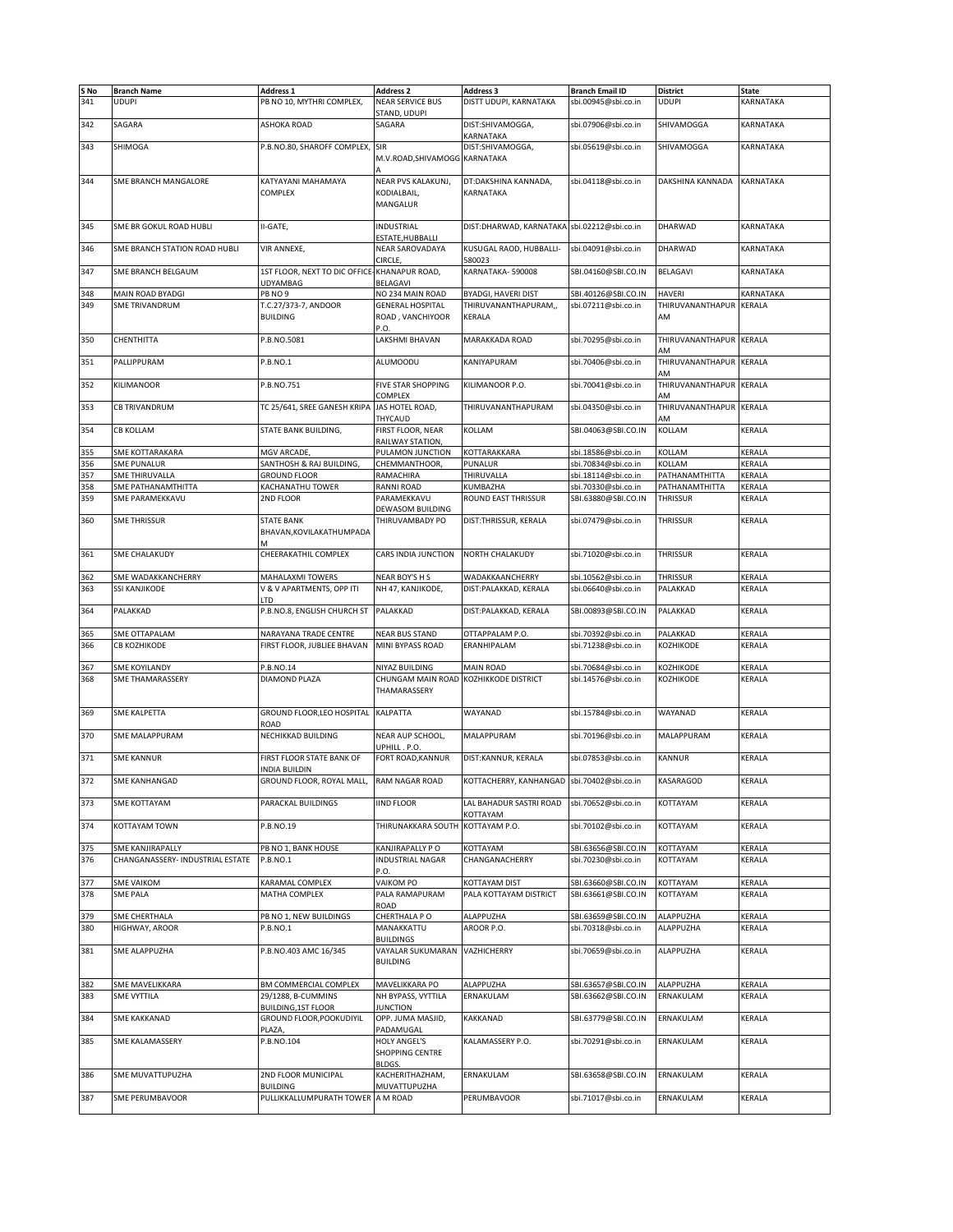| S No | <b>Branch Name</b>               | <b>Address 1</b>              | <b>Address 2</b>                      | <b>Address 3</b>                            | <b>Branch Email ID</b> | <b>District</b>         | State         |
|------|----------------------------------|-------------------------------|---------------------------------------|---------------------------------------------|------------------------|-------------------------|---------------|
|      |                                  |                               |                                       |                                             |                        |                         |               |
| 341  | <b>UDUPI</b>                     | PB NO 10, MYTHRI COMPLEX,     | <b>NEAR SERVICE BUS</b>               | DISTT UDUPI, KARNATAKA                      | sbi.00945@sbi.co.in    | <b>UDUPI</b>            | KARNATAKA     |
|      |                                  |                               | STAND, UDUPI                          |                                             |                        |                         |               |
| 342  | SAGARA                           | <b>ASHOKA ROAD</b>            | SAGARA                                | DIST:SHIVAMOGGA,                            | sbi.07906@sbi.co.in    | SHIVAMOGGA              | KARNATAKA     |
|      |                                  |                               |                                       | KARNATAKA                                   |                        |                         |               |
| 343  | <b>SHIMOGA</b>                   | P.B.NO.80, SHAROFF COMPLEX,   | <b>SIR</b>                            | DIST:SHIVAMOGGA,                            | sbi.05619@sbi.co.in    | SHIVAMOGGA              | KARNATAKA     |
|      |                                  |                               | M.V.ROAD, SHIVAMOGG KARNATAKA         |                                             |                        |                         |               |
|      |                                  |                               |                                       |                                             |                        |                         |               |
|      |                                  |                               |                                       |                                             |                        |                         |               |
| 344  | SME BRANCH MANGALORE             | KATYAYANI MAHAMAYA            | NEAR PVS KALAKUNJ,                    | DT:DAKSHINA KANNADA,                        | sbi.04118@sbi.co.in    | <b>DAKSHINA KANNADA</b> | KARNATAKA     |
|      |                                  | COMPLEX                       | KODIALBAIL,                           | KARNATAKA                                   |                        |                         |               |
|      |                                  |                               | MANGALUR                              |                                             |                        |                         |               |
|      |                                  |                               |                                       |                                             |                        |                         |               |
| 345  |                                  | II-GATE,                      | <b>INDUSTRIAL</b>                     | DIST:DHARWAD, KARNATAKA sbi.02212@sbi.co.in |                        | DHARWAD                 |               |
|      | SME BR GOKUL ROAD HUBLI          |                               |                                       |                                             |                        |                         | KARNATAKA     |
|      |                                  |                               | ESTATE,HUBBALLI                       |                                             |                        |                         |               |
| 346  | SME BRANCH STATION ROAD HUBLI    | VIR ANNEXE,                   | NEAR SAROVADAYA                       | KUSUGAL RAOD, HUBBALLI-                     | sbi.04091@sbi.co.in    | DHARWAD                 | KARNATAKA     |
|      |                                  |                               | CIRCLE,                               | 580023                                      |                        |                         |               |
| 347  | SME BRANCH BELGAUM               | 1ST FLOOR, NEXT TO DIC OFFICE | KHANAPUR ROAD,                        | KARNATAKA-590008                            | SBI.04160@SBI.CO.IN    | <b>BELAGAVI</b>         | KARNATAKA     |
|      |                                  | UDYAMBAG                      | BELAGAVI                              |                                             |                        |                         |               |
| 348  | MAIN ROAD BYADGI                 | PB NO 9                       | NO 234 MAIN ROAD                      | <b>BYADGI, HAVERI DIST</b>                  | SBI.40126@SBI.CO.IN    | <b>HAVERI</b>           | KARNATAKA     |
|      |                                  |                               |                                       |                                             |                        |                         |               |
| 349  | <b>SME TRIVANDRUM</b>            | T.C.27/373-7, ANDOOR          | <b>GENERAL HOSPITAL</b>               | THIRUVANANTHAPURAM,,                        | sbi.07211@sbi.co.in    | THIRUVANANTHAPUR        | KERALA        |
|      |                                  | <b>BUILDING</b>               | ROAD, VANCHIYOOR                      | KERALA                                      |                        | AM                      |               |
|      |                                  |                               | P.O.                                  |                                             |                        |                         |               |
| 350  | CHENTHITTA                       | P.B.NO.5081                   | LAKSHMI BHAVAN                        | MARAKKADA ROAD                              | sbi.70295@sbi.co.in    | THIRUVANANTHAPUR KERALA |               |
|      |                                  |                               |                                       |                                             |                        | AM                      |               |
| 351  | PALLIPPURAM                      | P.B.NO.1                      | ALUMOODU                              | KANIYAPURAM                                 | sbi.70406@sbi.co.in    | THIRUVANANTHAPUR KERALA |               |
|      |                                  |                               |                                       |                                             |                        |                         |               |
|      |                                  |                               |                                       |                                             |                        | AM                      |               |
| 352  | <b>KILIMANOOR</b>                | P.B.NO.751                    | <b>FIVE STAR SHOPPING</b>             | KILIMANOOR P.O.                             | sbi.70041@sbi.co.in    | THIRUVANANTHAPUR        | KERALA        |
|      |                                  |                               | COMPLEX                               |                                             |                        | AM                      |               |
| 353  | <b>CB TRIVANDRUM</b>             | TC 25/641, SREE GANESH KRIPA  | JAS HOTEL ROAD,                       | THIRUVANANTHAPURAM                          | sbi.04350@sbi.co.in    | THIRUVANANTHAPUR        | <b>KERALA</b> |
|      |                                  |                               | THYCAUD                               |                                             |                        | ۹M                      |               |
| 354  | <b>CB KOLLAM</b>                 | STATE BANK BUILDING,          | FIRST FLOOR, NEAR                     | KOLLAM                                      | SBI.04063@SBI.CO.IN    | KOLLAM                  | KERALA        |
|      |                                  |                               |                                       |                                             |                        |                         |               |
|      |                                  |                               | RAILWAY STATION,                      |                                             |                        |                         |               |
| 355  | SME KOTTARAKARA                  | MGV ARCADE,                   | PULAMON JUNCTION                      | KOTTARAKKARA                                | sbi.18586@sbi.co.in    | KOLLAM                  | <b>KERALA</b> |
| 356  | <b>SME PUNALUR</b>               | SANTHOSH & RAJ BUILDING,      | CHEMMANTHOOR,                         | PUNALUR                                     | sbi.70834@sbi.co.in    | KOLLAM                  | KERALA        |
| 357  | SME THIRUVALLA                   | <b>GROUND FLOOR</b>           | RAMACHIRA                             | THIRUVALLA                                  | sbi.18114@sbi.co.in    | PATHANAMTHITTA          | KERALA        |
| 358  | SME PATHANAMTHITTA               | KACHANATHU TOWER              | RANNI ROAD                            | KUMBAZHA                                    | sbi.70330@sbi.co.in    | PATHANAMTHITTA          | KERALA        |
| 359  | SME PARAMEKKAVU                  | 2ND FLOOR                     |                                       | ROUND EAST THRISSUR                         |                        |                         |               |
|      |                                  |                               | PARAMEKKAVU                           |                                             | SBI.63880@SBI.CO.IN    | <b>THRISSUR</b>         | KERALA        |
|      |                                  |                               | DEWASOM BUILDING                      |                                             |                        |                         |               |
| 360  | <b>SME THRISSUR</b>              | <b>STATE BANK</b>             | THIRUVAMBADY PO                       | DIST:THRISSUR, KERALA                       | sbi.07479@sbi.co.in    | THRISSUR                | KERALA        |
|      |                                  | BHAVAN, KOVILAKATHUMPADA      |                                       |                                             |                        |                         |               |
|      |                                  | M                             |                                       |                                             |                        |                         |               |
| 361  | <b>SME CHALAKUDY</b>             | CHEERAKATHIL COMPLEX          | CARS INDIA JUNCTION                   | NORTH CHALAKUDY                             | sbi.71020@sbi.co.in    | THRISSUR                | KERALA        |
|      |                                  |                               |                                       |                                             |                        |                         |               |
|      |                                  |                               |                                       |                                             |                        |                         |               |
| 362  | SME WADAKKANCHERRY               | MAHALAXMI TOWERS              | NEAR BOY'S H S                        | WADAKKAANCHERRY                             | sbi.10562@sbi.co.in    | THRISSUR                | KERALA        |
| 363  | SSI KANJIKODE                    | V & V APARTMENTS, OPP ITI     | NH 47, KANJIKODE,                     | DIST:PALAKKAD, KERALA                       | sbi.06640@sbi.co.in    | PALAKKAD                | KERALA        |
|      |                                  | LTD                           |                                       |                                             |                        |                         |               |
| 364  | PALAKKAD                         | P.B.NO.8, ENGLISH CHURCH ST   | PALAKKAD                              | DIST:PALAKKAD, KERALA                       | SBI.00893@SBI.CO.IN    | PALAKKAD                | KERALA        |
|      |                                  |                               |                                       |                                             |                        |                         |               |
|      |                                  |                               |                                       |                                             |                        |                         |               |
| 365  | SME OTTAPALAM                    | NARAYANA TRADE CENTRE         | <b>NEAR BUS STAND</b>                 | OTTAPPALAM P.O.                             | sbi.70392@sbi.co.in    | PALAKKAD                | KERALA        |
| 366  | СВ КОДНІКОДЕ                     | FIRST FLOOR, JUBLIEE BHAVAN   | MINI BYPASS ROAD                      | ERANHIPALAM                                 | sbi.71238@sbi.co.in    | KOZHIKODE               | KERALA        |
|      |                                  |                               |                                       |                                             |                        |                         |               |
| 367  | <b>SME KOYILANDY</b>             | P.B.NO.14                     | NIYAZ BUILDING                        | <b>MAIN ROAD</b>                            | sbi.70684@sbi.co.in    | KOZHIKODE               | KERALA        |
| 368  | SME THAMARASSERY                 | DIAMOND PLAZA                 | CHUNGAM MAIN ROAD KOZHIKKODE DISTRICT |                                             | sbi.14576@sbi.co.in    | KOZHIKODE               | KERALA        |
|      |                                  |                               | THAMARASSERY                          |                                             |                        |                         |               |
|      |                                  |                               |                                       |                                             |                        |                         |               |
|      |                                  |                               |                                       |                                             |                        |                         |               |
| 369  | <b>SME KALPETTA</b>              | GROUND FLOOR, LEO HOSPITAL    | <b>KALPATTA</b>                       | WAYANAD                                     | sbi.15784@sbi.co.in    | WAYANAD                 | KERALA        |
|      |                                  | ROAD                          |                                       |                                             |                        |                         |               |
| 370  | <b>SME MALAPPURAM</b>            | NECHIKKAD BUILDING            | NEAR AUP SCHOOL,                      | MALAPPURAM                                  | sbi.70196@sbi.co.in    | MALAPPURAM              | KERALA        |
|      |                                  |                               | UPHILL . P.O.                         |                                             |                        |                         |               |
| 371  | <b>SME KANNUR</b>                |                               | FORT ROAD, KANNUR                     | DIST:KANNUR, KERALA                         |                        | KANNUR                  | KERALA        |
|      |                                  | FIRST FLOOR STATE BANK OF     |                                       |                                             | sbi.07853@sbi.co.in    |                         |               |
|      |                                  | <b>INDIA BUILDIN</b>          |                                       |                                             |                        |                         |               |
| 372  | <b>SME KANHANGAD</b>             | GROUND FLOOR, ROYAL MALL,     | RAM NAGAR ROAD                        | KOTTACHERRY, KANHANGAD sbi.70402@sbi.co.in  |                        | KASARAGOD               | KERALA        |
|      |                                  |                               |                                       |                                             |                        |                         |               |
| 373  | SME KOTTAYAM                     | PARACKAL BUILDINGS            | <b>IIND FLOOR</b>                     | LAL BAHADUR SASTRI ROAD                     | sbi.70652@sbi.co.in    | KOTTAYAM                | KERALA        |
|      |                                  |                               |                                       | KOTTAYAM                                    |                        |                         |               |
| 374  | <b>KOTTAYAM TOWN</b>             | P.B.NO.19                     | THIRUNAKKARA SOUTH                    | KOTTAYAM P.O.                               | sbi.70102@sbi.co.in    | KOTTAYAM                | KERALA        |
|      |                                  |                               |                                       |                                             |                        |                         |               |
|      |                                  |                               |                                       |                                             |                        |                         |               |
| 375  | SME KANJIRAPALLY                 | PB NO 1, BANK HOUSE           | KANJIRAPALLY P O                      | KOTTAYAM                                    | SBI.63656@SBI.CO.IN    | KOTTAYAM                | KERALA        |
| 376  | CHANGANASSERY- INDUSTRIAL ESTATE | P.B.NO.1                      | <b>INDUSTRIAL NAGAR</b>               | CHANGANACHERRY                              | sbi.70230@sbi.co.in    | KOTTAYAM                | KERALA        |
|      |                                  |                               | P.O.                                  |                                             |                        |                         |               |
| 377  | <b>SME VAIKOM</b>                | KARAMAL COMPLEX               | VAIKOM PO                             | KOTTAYAM DIST                               | SBI.63660@SBI.CO.IN    | KOTTAYAM                | KERALA        |
| 378  | <b>SME PALA</b>                  | MATHA COMPLEX                 | PALA RAMAPURAM                        | PALA KOTTAYAM DISTRICT                      | SBI.63661@SBI.CO.IN    | KOTTAYAM                | KERALA        |
|      |                                  |                               | ROAD                                  |                                             |                        |                         |               |
|      |                                  |                               |                                       |                                             |                        |                         |               |
| 379  | SME CHERTHALA                    | PB NO 1, NEW BUILDINGS        | CHERTHALA PO                          | ALAPPUZHA                                   | SBI.63659@SBI.CO.IN    | ALAPPUZHA               | KERALA        |
| 380  | HIGHWAY, AROOR                   | P.B.NO.1                      | MANAKKATTU                            | AROOR P.O.                                  | sbi.70318@sbi.co.in    | ALAPPUZHA               | KERALA        |
|      |                                  |                               | <b>BUILDINGS</b>                      |                                             |                        |                         |               |
| 381  | SME ALAPPUZHA                    | P.B.NO.403 AMC 16/345         | VAYALAR SUKUMARAN                     | VAZHICHERRY                                 | sbi.70659@sbi.co.in    | ALAPPUZHA               | KERALA        |
|      |                                  |                               | <b>BUILDING</b>                       |                                             |                        |                         |               |
|      |                                  |                               |                                       |                                             |                        |                         |               |
|      |                                  |                               |                                       |                                             |                        |                         |               |
| 382  | SME MAVELIKKARA                  | BM COMMERCIAL COMPLEX         | MAVELIKKARA PO                        | ALAPPUZHA                                   | SBI.63657@SBI.CO.IN    | ALAPPUZHA               | KERALA        |
| 383  | <b>SME VYTTILA</b>               | 29/1288, B-CUMMINS            | NH BYPASS, VYTTILA                    | ERNAKULAM                                   | SBI.63662@SBI.CO.IN    | ERNAKULAM               | KERALA        |
|      |                                  | <b>BUILDING, 1ST FLOOR</b>    | <b>JUNCTION</b>                       |                                             |                        |                         |               |
| 384  | <b>SME KAKKANAD</b>              | GROUND FLOOR, POOKUDIYIL      | OPP. JUMA MASJID,                     | KAKKANAD                                    | SBI.63779@SBI.CO.IN    | ERNAKULAM               | KERALA        |
|      |                                  | <b>PLAZA</b>                  | PADAMUGAL                             |                                             |                        |                         |               |
|      |                                  |                               |                                       |                                             |                        |                         |               |
| 385  | SME KALAMASSERY                  | P.B.NO.104                    | <b>HOLY ANGEL'S</b>                   | KALAMASSERY P.O.                            | sbi.70291@sbi.co.in    | ERNAKULAM               | KERALA        |
|      |                                  |                               | SHOPPING CENTRE                       |                                             |                        |                         |               |
|      |                                  |                               | BLDGS.                                |                                             |                        |                         |               |
| 386  | SME MUVATTUPUZHA                 | 2ND FLOOR MUNICIPAL           | KACHERITHAZHAM,                       | ERNAKULAM                                   | SBI.63658@SBI.CO.IN    | ERNAKULAM               | KERALA        |
|      |                                  | <b>BUILDING</b>               | MUVATTUPUZHA                          |                                             |                        |                         |               |
| 387  | SME PERUMBAVOOR                  | PULLIKKALLUMPURATH TOWER      | A M ROAD                              | PERUMBAVOOR                                 | sbi.71017@sbi.co.in    | ERNAKULAM               | KERALA        |
|      |                                  |                               |                                       |                                             |                        |                         |               |
|      |                                  |                               |                                       |                                             |                        |                         |               |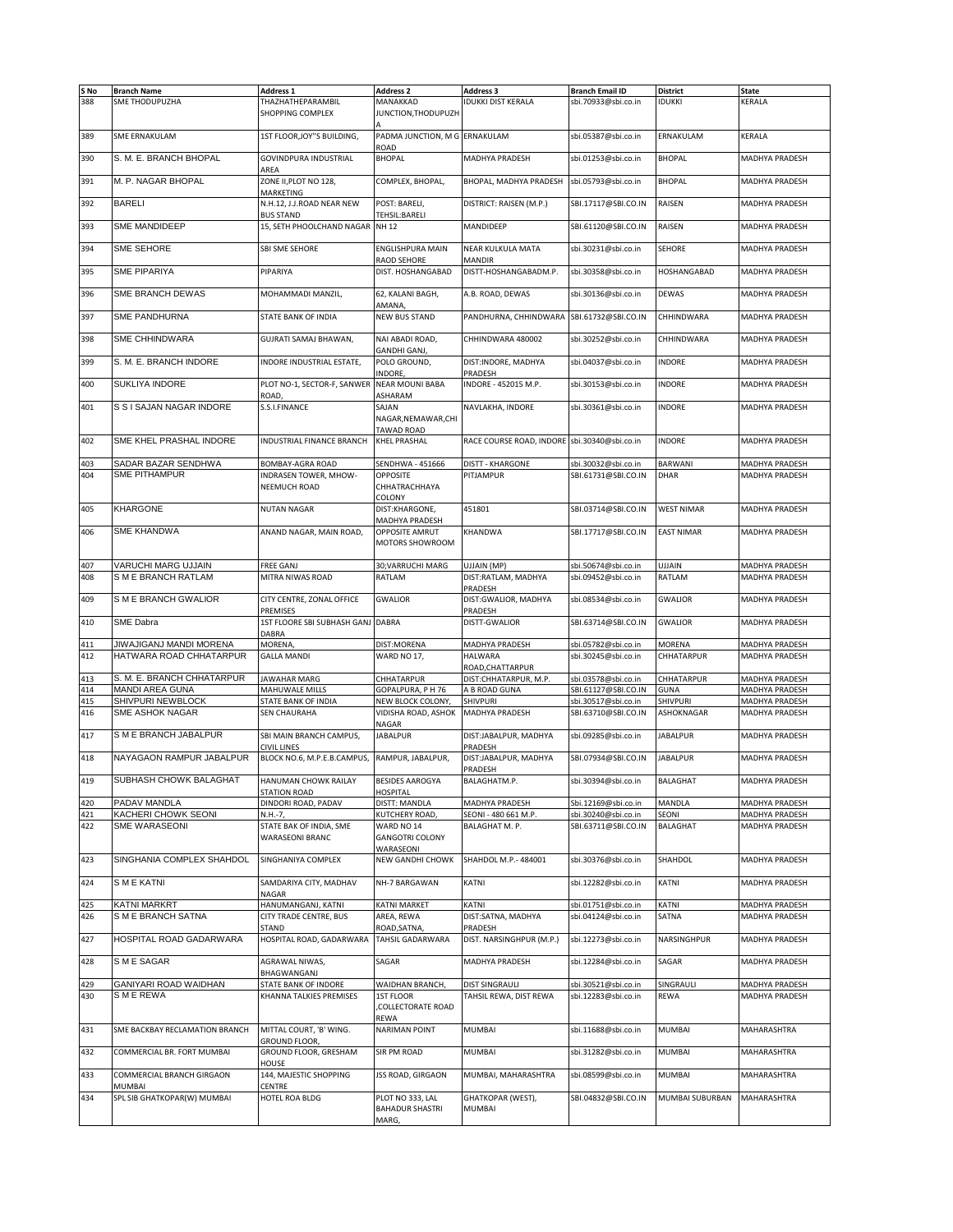| S No | <b>Branch Name</b>             | <b>Address 1</b>                 | <b>Address 2</b>                | <b>Address 3</b>                             | <b>Branch Email ID</b> | <b>District</b>   | <b>State</b>          |
|------|--------------------------------|----------------------------------|---------------------------------|----------------------------------------------|------------------------|-------------------|-----------------------|
| 388  | <b>SME THODUPUZHA</b>          |                                  |                                 | <b>IDUKKI DIST KERALA</b>                    |                        | <b>IDUKKI</b>     | <b>KERALA</b>         |
|      |                                | THAZHATHEPARAMBIL                | MANAKKAD                        |                                              | sbi.70933@sbi.co.in    |                   |                       |
|      |                                | SHOPPING COMPLEX                 | JUNCTION, THODUPUZH             |                                              |                        |                   |                       |
|      |                                |                                  |                                 |                                              |                        |                   |                       |
| 389  | <b>SME ERNAKULAM</b>           | 1ST FLOOR, JOY"S BUILDING,       | PADMA JUNCTION, M G ERNAKULAM   |                                              | sbi.05387@sbi.co.in    | ERNAKULAM         | KERALA                |
|      |                                |                                  | ROAD                            |                                              |                        |                   |                       |
| 390  | S. M. E. BRANCH BHOPAL         | <b>GOVINDPURA INDUSTRIAL</b>     | <b>BHOPAL</b>                   | MADHYA PRADESH                               | sbi.01253@sbi.co.in    | <b>BHOPAL</b>     | <b>MADHYA PRADESH</b> |
|      |                                | AREA                             |                                 |                                              |                        |                   |                       |
| 391  | M. P. NAGAR BHOPAL             | ZONE II, PLOT NO 128,            | COMPLEX, BHOPAL,                | BHOPAL, MADHYA PRADESH                       | sbi.05793@sbi.co.in    | <b>BHOPAL</b>     | <b>MADHYA PRADESH</b> |
|      |                                | MARKETING                        |                                 |                                              |                        |                   |                       |
|      | <b>BARELI</b>                  |                                  |                                 |                                              |                        |                   |                       |
| 392  |                                | N.H.12, J.J.ROAD NEAR NEW        | POST: BARELI,                   | DISTRICT: RAISEN (M.P.)                      | SBI.17117@SBI.CO.IN    | <b>RAISEN</b>     | <b>MADHYA PRADESH</b> |
|      |                                | <b>BUS STAND</b>                 | TEHSIL:BARELI                   |                                              |                        |                   |                       |
| 393  | SME MANDIDEEP                  | 15, SETH PHOOLCHAND NAGAR        | <b>NH12</b>                     | MANDIDEEP                                    | SBI.61120@SBI.CO.IN    | <b>RAISEN</b>     | MADHYA PRADESH        |
|      |                                |                                  |                                 |                                              |                        |                   |                       |
| 394  | SME SEHORE                     | SBI SME SEHORE                   | <b>ENGLISHPURA MAIN</b>         | NEAR KULKULA MATA                            | sbi.30231@sbi.co.in    | <b>SEHORE</b>     | <b>MADHYA PRADESH</b> |
|      |                                |                                  | RAOD SEHORE                     | <b>MANDIR</b>                                |                        |                   |                       |
| 395  | <b>SME PIPARIYA</b>            | PIPARIYA                         | DIST. HOSHANGABAD               | DISTT-HOSHANGABADM.P.                        | sbi.30358@sbi.co.in    | HOSHANGABAD       | <b>MADHYA PRADESH</b> |
|      |                                |                                  |                                 |                                              |                        |                   |                       |
| 396  | SME BRANCH DEWAS               | MOHAMMADI MANZIL,                | 62, KALANI BAGH,                | A.B. ROAD, DEWAS                             | sbi.30136@sbi.co.in    | <b>DEWAS</b>      | MADHYA PRADESH        |
|      |                                |                                  | AMANA,                          |                                              |                        |                   |                       |
|      | <b>SME PANDHURNA</b>           | STATE BANK OF INDIA              | <b>NEW BUS STAND</b>            |                                              |                        | CHHINDWARA        | <b>MADHYA PRADESH</b> |
| 397  |                                |                                  |                                 | PANDHURNA, CHHINDWARA SBI.61732@SBI.CO.IN    |                        |                   |                       |
|      |                                |                                  |                                 |                                              |                        |                   |                       |
| 398  | SME CHHINDWARA                 | GUJRATI SAMAJ BHAWAN,            | NAI ABADI ROAD,                 | CHHINDWARA 480002                            | sbi.30252@sbi.co.in    | CHHINDWARA        | <b>MADHYA PRADESH</b> |
|      |                                |                                  | GANDHI GANJ,                    |                                              |                        |                   |                       |
| 399  | S. M. E. BRANCH INDORE         | INDORE INDUSTRIAL ESTATE,        | POLO GROUND,                    | DIST: INDORE, MADHYA                         | sbi.04037@sbi.co.in    | <b>INDORE</b>     | MADHYA PRADESH        |
|      |                                |                                  | INDORE,                         | PRADESH                                      |                        |                   |                       |
| 400  | SUKLIYA INDORE                 | PLOT NO-1, SECTOR-F, SANWER      | <b>NEAR MOUNI BABA</b>          | INDORE - 452015 M.P.                         | sbi.30153@sbi.co.in    | <b>INDORE</b>     | <b>MADHYA PRADESH</b> |
|      |                                | ROAD                             | ASHARAM                         |                                              |                        |                   |                       |
|      |                                |                                  |                                 |                                              |                        |                   |                       |
| 401  | S S I SAJAN NAGAR INDORE       | S.S.I.FINANCE                    | SAJAN                           | NAVLAKHA, INDORE                             | sbi.30361@sbi.co.in    | <b>INDORE</b>     | MADHYA PRADESH        |
|      |                                |                                  | NAGAR, NEMAWAR, CHI             |                                              |                        |                   |                       |
|      |                                |                                  | TAWAD ROAD                      |                                              |                        |                   |                       |
| 402  | SME KHEL PRASHAL INDORE        | <b>INDUSTRIAL FINANCE BRANCH</b> | <b>KHEL PRASHAL</b>             | RACE COURSE ROAD, INDORE sbi.30340@sbi.co.in |                        | <b>INDORE</b>     | MADHYA PRADESH        |
|      |                                |                                  |                                 |                                              |                        |                   |                       |
| 403  | SADAR BAZAR SENDHWA            | <b>BOMBAY-AGRA ROAD</b>          | SENDHWA - 451666                | <b>DISTT - KHARGONE</b>                      | sbi.30032@sbi.co.in    | <b>BARWANI</b>    | <b>MADHYA PRADESH</b> |
| 404  | <b>SME PITHAMPUR</b>           | INDRASEN TOWER, MHOW-            | <b>OPPOSITE</b>                 | PITJAMPUR                                    | SBI.61731@SBI.CO.IN    | <b>DHAR</b>       | <b>MADHYA PRADESH</b> |
|      |                                |                                  |                                 |                                              |                        |                   |                       |
|      |                                | NEEMUCH ROAD                     | CHHATRACHHAYA                   |                                              |                        |                   |                       |
|      |                                |                                  | COLONY                          |                                              |                        |                   |                       |
| 405  | KHARGONE                       | <b>NUTAN NAGAR</b>               | DIST:KHARGONE,                  | 451801                                       | SBI.03714@SBI.CO.IN    | <b>WEST NIMAR</b> | <b>MADHYA PRADESH</b> |
|      |                                |                                  | MADHYA PRADESH                  |                                              |                        |                   |                       |
| 406  | <b>SME KHANDWA</b>             | ANAND NAGAR, MAIN ROAD,          | OPPOSITE AMRUT                  | KHANDWA                                      | SBI.17717@SBI.CO.IN    | <b>EAST NIMAR</b> | MADHYA PRADESH        |
|      |                                |                                  | MOTORS SHOWROOM                 |                                              |                        |                   |                       |
|      |                                |                                  |                                 |                                              |                        |                   |                       |
|      | VARUCHI MARG UJJAIN            |                                  |                                 |                                              |                        |                   |                       |
| 407  |                                | FREE GANJ                        | 30; VARRUCHI MARG               | UJJAIN (MP)                                  | sbi.50674@sbi.co.in    | UJJAIN            | <b>MADHYA PRADESH</b> |
| 408  | S M E BRANCH RATLAM            | MITRA NIWAS ROAD                 | RATLAM                          | DIST:RATLAM, MADHYA                          | sbi.09452@sbi.co.in    | RATLAM            | MADHYA PRADESH        |
|      |                                |                                  |                                 | PRADESH                                      |                        |                   |                       |
| 409  | S M E BRANCH GWALIOR           | CITY CENTRE, ZONAL OFFICE        | <b>GWALIOR</b>                  | DIST: GWALIOR, MADHYA                        | sbi.08534@sbi.co.in    | <b>GWALIOR</b>    | MADHYA PRADESH        |
|      |                                | PREMISES                         |                                 | PRADESH                                      |                        |                   |                       |
| 410  | SME Dabra                      | 1ST FLOORE SBI SUBHASH GANJ      | <b>DABRA</b>                    | DISTT-GWALIOR                                | SBI.63714@SBI.CO.IN    | <b>GWALIOR</b>    | <b>MADHYA PRADESH</b> |
|      |                                |                                  |                                 |                                              |                        |                   |                       |
|      |                                |                                  |                                 |                                              |                        |                   |                       |
|      |                                | DABRA                            |                                 |                                              |                        |                   |                       |
| 411  | JIWAJIGANJ MANDI MORENA        | <b>MORENA</b>                    | DIST:MORENA                     | MADHYA PRADESH                               | sbi.05782@sbi.co.in    | MORENA            | MADHYA PRADESH        |
| 412  | HATWARA ROAD CHHATARPUR        | <b>GALLA MANDI</b>               | WARD NO 17,                     | <b>HALWARA</b>                               | sbi.30245@sbi.co.in    | CHHATARPUR        | MADHYA PRADESH        |
|      |                                |                                  |                                 | ROAD, CHATTARPUR                             |                        |                   |                       |
| 413  | S. M. E. BRANCH CHHATARPUR     | <b>JAWAHAR MARG</b>              | CHHATARPUR                      | DIST:CHHATARPUR, M.P.                        | sbi.03578@sbi.co.in    | CHHATARPUR        | <b>MADHYA PRADESH</b> |
| 414  | <b>MANDI AREA GUNA</b>         | MAHUWALE MILLS                   | GOPALPURA, PH 76                | A B ROAD GUNA                                | SBI.61127@SBI.CO.IN    | <b>GUNA</b>       | <b>MADHYA PRADESH</b> |
| 415  | SHIVPURI NEWBLOCK              | STATE BANK OF INDIA              | NEW BLOCK COLONY,               | <b>SHIVPURI</b>                              | sbi.30517@sbi.co.in    | SHIVPURI          | MADHYA PRADESH        |
| 416  | SME ASHOK NAGAR                | <b>SEN CHAURAHA</b>              | VIDISHA ROAD, ASHOK             | MADHYA PRADESH                               |                        | ASHOKNAGAR        | MADHYA PRADESH        |
|      |                                |                                  |                                 |                                              | SBI.63710@SBI.CO.IN    |                   |                       |
|      |                                |                                  | NAGAR                           |                                              |                        |                   |                       |
| 417  | S M E BRANCH JABALPUR          | SBI MAIN BRANCH CAMPUS,          | <b>JABALPUR</b>                 | DIST:JABALPUR, MADHYA                        | sbi.09285@sbi.co.in    | <b>JABALPUR</b>   | <b>MADHYA PRADESH</b> |
|      |                                | CIVIL LINES                      |                                 | PRADESH                                      |                        |                   |                       |
| 418  | NAYAGAON RAMPUR JABALPUR       | BLOCK NO.6, M.P.E.B.CAMPUS,      | RAMPUR, JABALPUR,               | DIST:JABALPUR, MADHYA                        | SBI.07934@SBI.CO.IN    | <b>JABALPUR</b>   | MADHYA PRADESH        |
|      |                                |                                  |                                 | PRADESH                                      |                        |                   |                       |
|      | SUBHASH CHOWK BALAGHAT         | HANUMAN CHOWK RAILAY             | BESIDES AAROGYA                 | BALAGHATM.P.                                 | sbi.30394@sbi.co.in    | BALAGHAT          |                       |
| 419  |                                | STATION ROAD                     | <b>HOSPITAL</b>                 |                                              |                        |                   | MADHYA PRADESH        |
| 420  | PADAV MANDLA                   | DINDORI ROAD, PADAV              | DISTT: MANDLA                   | MADHYA PRADESH                               | Sbi.12169@sbi.co.in    | MANDLA            | MADHYA PRADESH        |
|      |                                |                                  |                                 |                                              |                        |                   |                       |
| 421  | KACHERI CHOWK SEONI            | N.H.-7,                          | KUTCHERY ROAD,                  | SEONI - 480 661 M.P.                         | sbi.30240@sbi.co.in    | SEONI             | MADHYA PRADESH        |
| 422  | SME WARASEONI                  | STATE BAK OF INDIA, SME          | WARD NO 14                      | BALAGHAT M. P.                               | SBI.63711@SBI.CO.IN    | <b>BALAGHAT</b>   | <b>MADHYA PRADESH</b> |
|      |                                | WARASEONI BRANC                  | <b>GANGOTRI COLONY</b>          |                                              |                        |                   |                       |
|      |                                |                                  | WARASEONI                       |                                              |                        |                   |                       |
| 423  | SINGHANIA COMPLEX SHAHDOL      | SINGHANIYA COMPLEX               | NEW GANDHI CHOWK                | SHAHDOL M.P.- 484001                         | sbi.30376@sbi.co.in    | SHAHDOL           | MADHYA PRADESH        |
|      |                                |                                  |                                 |                                              |                        |                   |                       |
| 424  | S M E KATNI                    | SAMDARIYA CITY, MADHAV           | NH-7 BARGAWAN                   | KATNI                                        | sbi.12282@sbi.co.in    | KATNI             | MADHYA PRADESH        |
|      |                                | NAGAR                            |                                 |                                              |                        |                   |                       |
|      |                                |                                  |                                 |                                              |                        |                   |                       |
| 425  | <b>KATNI MARKRT</b>            | HANUMANGANJ, KATNI               | KATNI MARKET                    | KATNI                                        | sbi.01751@sbi.co.in    | KATNI             | MADHYA PRADESH        |
| 426  | S M E BRANCH SATNA             | CITY TRADE CENTRE, BUS           | AREA, REWA                      | DIST:SATNA, MADHYA                           | sbi.04124@sbi.co.in    | SATNA             | MADHYA PRADESH        |
|      |                                | STAND                            | ROAD, SATNA,                    | PRADESH                                      |                        |                   |                       |
| 427  | HOSPITAL ROAD GADARWARA        | HOSPITAL ROAD, GADARWARA         | TAHSIL GADARWARA                | DIST. NARSINGHPUR (M.P.)                     | sbi.12273@sbi.co.in    | NARSINGHPUR       | MADHYA PRADESH        |
|      |                                |                                  |                                 |                                              |                        |                   |                       |
| 428  | S M E SAGAR                    | AGRAWAL NIWAS,                   | SAGAR                           | MADHYA PRADESH                               | sbi.12284@sbi.co.in    | SAGAR             | MADHYA PRADESH        |
|      |                                | BHAGWANGANJ                      |                                 |                                              |                        |                   |                       |
|      | GANIYARI ROAD WAIDHAN          |                                  |                                 |                                              |                        |                   |                       |
| 429  |                                | STATE BANK OF INDORE             | WAIDHAN BRANCH,                 | DIST SINGRAULI                               | sbi.30521@sbi.co.in    | SINGRAULI         | MADHYA PRADESH        |
| 430  | SME REWA                       | KHANNA TALKIES PREMISES          | 1ST FLOOR                       | TAHSIL REWA, DIST REWA                       | sbi.12283@sbi.co.in    | REWA              | MADHYA PRADESH        |
|      |                                |                                  | COLLECTORATE ROAD               |                                              |                        |                   |                       |
|      |                                |                                  | REWA                            |                                              |                        |                   |                       |
| 431  | SME BACKBAY RECLAMATION BRANCH | MITTAL COURT, 'B' WING.          | <b>NARIMAN POINT</b>            | MUMBAI                                       | sbi.11688@sbi.co.in    | <b>MUMBAI</b>     | MAHARASHTRA           |
|      |                                | <b>GROUND FLOOR</b>              |                                 |                                              |                        |                   |                       |
| 432  | COMMERCIAL BR. FORT MUMBAI     | GROUND FLOOR, GRESHAM            | SIR PM ROAD                     | MUMBAI                                       | sbi.31282@sbi.co.in    | <b>MUMBAI</b>     | MAHARASHTRA           |
|      |                                |                                  |                                 |                                              |                        |                   |                       |
|      |                                | HOUSE                            |                                 |                                              |                        |                   |                       |
| 433  | COMMERCIAL BRANCH GIRGAON      | 144, MAJESTIC SHOPPING           | JSS ROAD, GIRGAON               | MUMBAI, MAHARASHTRA                          | sbi.08599@sbi.co.in    | <b>MUMBAI</b>     | MAHARASHTRA           |
|      | <b>MUMBAI</b>                  | CENTRE                           |                                 |                                              |                        |                   |                       |
| 434  | SPL SIB GHATKOPAR(W) MUMBAI    | HOTEL ROA BLDG                   | PLOT NO 333, LAL                | GHATKOPAR (WEST),                            | SBI.04832@SBI.CO.IN    | MUMBAI SUBURBAN   | MAHARASHTRA           |
|      |                                |                                  | <b>BAHADUR SHASTRI</b><br>MARG, | MUMBAI                                       |                        |                   |                       |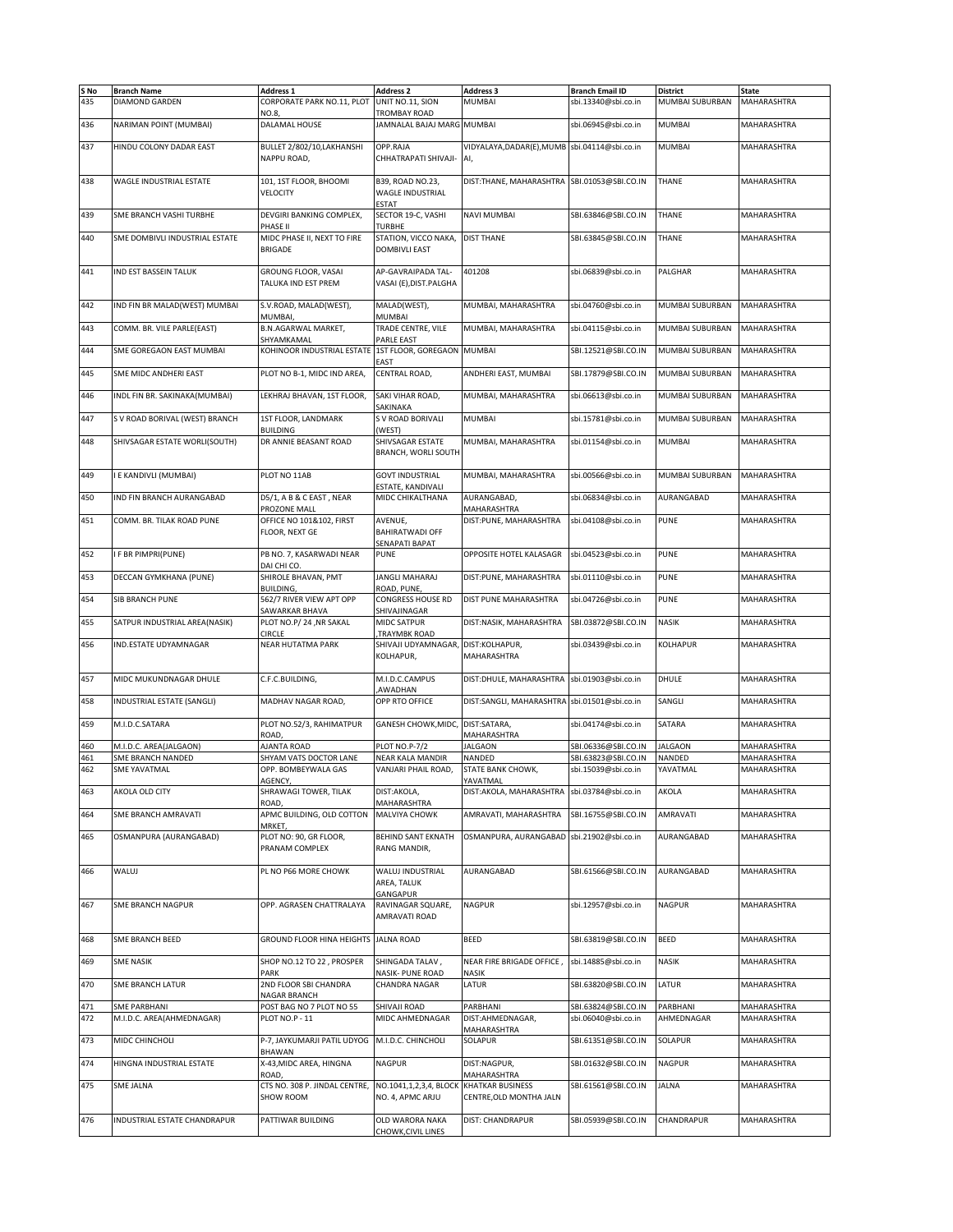| S No<br>435 | <b>Branch Name</b><br>DIAMOND GARDEN             | <b>Address 1</b><br>CORPORATE PARK NO.11, PLOT UNIT NO.11, SION | <b>Address 2</b>                                            | <b>Address 3</b><br><b>MUMBAI</b>                    | <b>Branch Email ID</b><br>sbi.13340@sbi.co.in | <b>District</b><br>MUMBAI SUBURBAN | <b>State</b><br>MAHARASHTRA |
|-------------|--------------------------------------------------|-----------------------------------------------------------------|-------------------------------------------------------------|------------------------------------------------------|-----------------------------------------------|------------------------------------|-----------------------------|
| 436         | NARIMAN POINT (MUMBAI)                           | NO.8,<br>DALAMAL HOUSE                                          | TROMBAY ROAD<br>JAMNALAL BAJAJ MARG MUMBAI                  |                                                      | sbi.06945@sbi.co.in                           | <b>MUMBAI</b>                      | <b>MAHARASHTRA</b>          |
|             |                                                  |                                                                 |                                                             |                                                      |                                               |                                    |                             |
| 437         | HINDU COLONY DADAR EAST                          | BULLET 2/802/10,LAKHANSHI<br>NAPPU ROAD,                        | OPP.RAJA<br>CHHATRAPATI SHIVAJI-                            | VIDYALAYA, DADAR(E), MUMB sbi.04114@sbi.co.in<br>Al, |                                               | <b>MUMBAI</b>                      | MAHARASHTRA                 |
| 438         | WAGLE INDUSTRIAL ESTATE                          | 101, 1ST FLOOR, BHOOMI<br>VELOCITY                              | B39, ROAD NO.23,<br><b>WAGLE INDUSTRIAL</b><br><b>ESTAT</b> | DIST:THANE, MAHARASHTRA                              | SBI.01053@SBI.CO.IN                           | THANE                              | <b>MAHARASHTRA</b>          |
| 439         | SME BRANCH VASHI TURBHE                          | DEVGIRI BANKING COMPLEX,<br>PHASE II                            | SECTOR 19-C, VASHI<br>TURBHE                                | <b>NAVI MUMBAI</b>                                   | SBI.63846@SBI.CO.IN                           | THANE                              | MAHARASHTRA                 |
| 440         | SME DOMBIVLI INDUSTRIAL ESTATE                   | MIDC PHASE II, NEXT TO FIRE<br><b>BRIGADE</b>                   | STATION, VICCO NAKA,<br><b>DOMBIVLI EAST</b>                | <b>DIST THANE</b>                                    | SBI.63845@SBI.CO.IN                           | <b>THANE</b>                       | MAHARASHTRA                 |
| 441         | IND EST BASSEIN TALUK                            | GROUNG FLOOR, VASAI<br>TALUKA IND EST PREM                      | AP-GAVRAIPADA TAL-<br>VASAI (E), DIST. PALGHA               | 401208                                               | sbi.06839@sbi.co.in                           | PALGHAR                            | <b>MAHARASHTRA</b>          |
| 442         | IND FIN BR MALAD(WEST) MUMBAI                    | S.V.ROAD, MALAD(WEST),                                          | MALAD(WEST),                                                | MUMBAI, MAHARASHTRA                                  | sbi.04760@sbi.co.in                           | MUMBAI SUBURBAN                    | MAHARASHTRA                 |
| 443         | COMM. BR. VILE PARLE(EAST)                       | MUMBAI,<br><b>B.N.AGARWAL MARKET,</b>                           | MUMBAI<br>TRADE CENTRE, VILE                                | MUMBAI, MAHARASHTRA                                  | sbi.04115@sbi.co.in                           | MUMBAI SUBURBAN                    | MAHARASHTRA                 |
| 444         | SME GOREGAON EAST MUMBAI                         | SHYAMKAMAL<br>KOHINOOR INDUSTRIAL ESTATE                        | PARLE EAST<br>1ST FLOOR, GOREGAON                           | <b>MUMBAI</b>                                        | SBI.12521@SBI.CO.IN                           | MUMBAI SUBURBAN                    | MAHARASHTRA                 |
| 445         | SME MIDC ANDHERI EAST                            | PLOT NO B-1, MIDC IND AREA,                                     | EAST<br>CENTRAL ROAD,                                       | ANDHERI EAST, MUMBAI                                 | SBI.17879@SBI.CO.IN                           | MUMBAI SUBURBAN                    | MAHARASHTRA                 |
| 446         | INDL FIN BR. SAKINAKA(MUMBAI)                    | LEKHRAJ BHAVAN, 1ST FLOOR,                                      | SAKI VIHAR ROAD,                                            | MUMBAI, MAHARASHTRA                                  | sbi.06613@sbi.co.in                           | MUMBAI SUBURBAN                    | MAHARASHTRA                 |
| 447         | S V ROAD BORIVAL (WEST) BRANCH                   | 1ST FLOOR, LANDMARK                                             | SAKINAKA<br>S V ROAD BORIVALI                               | <b>MUMBAI</b>                                        | sbi.15781@sbi.co.in                           | MUMBAI SUBURBAN                    | <b>MAHARASHTRA</b>          |
|             |                                                  | <b>BUILDING</b>                                                 | (WEST)                                                      |                                                      |                                               |                                    |                             |
| 448         | SHIVSAGAR ESTATE WORLI(SOUTH)                    | DR ANNIE BEASANT ROAD                                           | SHIVSAGAR ESTATE<br><b>BRANCH, WORLI SOUTH</b>              | MUMBAI, MAHARASHTRA                                  | sbi.01154@sbi.co.in                           | <b>MUMBAI</b>                      | MAHARASHTRA                 |
| 449         | I E KANDIVLI (MUMBAI)                            | PLOT NO 11AB                                                    | <b>GOVT INDUSTRIAL</b><br>ESTATE, KANDIVALI                 | MUMBAI, MAHARASHTRA                                  | sbi.00566@sbi.co.in                           | MUMBAI SUBURBAN                    | MAHARASHTRA                 |
| 450         | IND FIN BRANCH AURANGABAD                        | D5/1, A B & C EAST, NEAR<br>PROZONE MALL                        | MIDC CHIKALTHANA                                            | AURANGABAD.<br><b>MAHARASHTRA</b>                    | sbi.06834@sbi.co.in                           | AURANGABAD                         | <b>MAHARASHTRA</b>          |
| 451         | COMM. BR. TILAK ROAD PUNE                        | OFFICE NO 101&102, FIRST<br>FLOOR, NEXT GE                      | AVENUE.<br><b>BAHIRATWADI OFF</b><br>SENAPATI BAPAT         | DIST:PUNE, MAHARASHTRA                               | sbi.04108@sbi.co.in                           | <b>PUNE</b>                        | <b>MAHARASHTRA</b>          |
| 452         | I F BR PIMPRI(PUNE)                              | PB NO. 7, KASARWADI NEAR                                        | <b>PUNE</b>                                                 | OPPOSITE HOTEL KALASAGR                              | sbi.04523@sbi.co.in                           | <b>PUNE</b>                        | <b>MAHARASHTRA</b>          |
| 453         | DECCAN GYMKHANA (PUNE)                           | DAI CHI CO.<br>SHIROLE BHAVAN, PMT                              | JANGLI MAHARAJ                                              | DIST:PUNE, MAHARASHTRA                               | sbi.01110@sbi.co.in                           | <b>PUNE</b>                        | MAHARASHTRA                 |
| 454         | <b>SIB BRANCH PUNE</b>                           | BUILDING,<br>562/7 RIVER VIEW APT OPP                           | ROAD, PUNE,<br>CONGRESS HOUSE RD                            | DIST PUNE MAHARASHTRA                                | sbi.04726@sbi.co.in                           | <b>PUNE</b>                        | MAHARASHTRA                 |
| 455         | SATPUR INDUSTRIAL AREA(NASIK)                    | SAWARKAR BHAVA<br>PLOT NO.P/24, NR SAKAL                        | SHIVAJINAGAR<br>MIDC SATPUR                                 | DIST:NASIK, MAHARASHTRA                              | SBI.03872@SBI.CO.IN                           | <b>NASIK</b>                       | MAHARASHTRA                 |
| 456         | IND.ESTATE UDYAMNAGAR                            | CIRCLE<br>NEAR HUTATMA PARK                                     | TRAYMBK ROAD,<br>SHIVAJI UDYAMNAGAR,<br>KOLHAPUR,           | DIST:KOLHAPUR,<br>MAHARASHTRA                        | sbi.03439@sbi.co.in                           | KOLHAPUR                           | MAHARASHTRA                 |
| 457         | MIDC MUKUNDNAGAR DHULE                           | C.F.C.BUILDING,                                                 | M.I.D.C.CAMPUS<br><b>AWADHAN</b>                            | DIST:DHULE, MAHARASHTRA                              | sbi.01903@sbi.co.in                           | DHULE                              | MAHARASHTRA                 |
| 458         | INDUSTRIAL ESTATE (SANGLI)                       | MADHAV NAGAR ROAD,                                              | OPP RTO OFFICE                                              | DIST:SANGLI, MAHARASHTRA sbi.01501@sbi.co.in         |                                               | SANGLI                             | MAHARASHTRA                 |
| 459         | M.I.D.C.SATARA                                   | PLOT NO.52/3, RAHIMATPUR                                        | GANESH CHOWK, MIDC,                                         | DIST:SATARA,                                         | sbi.04174@sbi.co.in                           | <b>SATARA</b>                      | MAHARASHTRA                 |
|             | M.I.D.C. AREA(JALGAON)                           | ROAD,<br>AJANTA ROAD                                            |                                                             | <b>MAHARASHTRA</b>                                   |                                               |                                    |                             |
| 460<br>461  | SME BRANCH NANDED                                | SHYAM VATS DOCTOR LANE                                          | <b>PLOT NO.P-7/2</b><br><b>NEAR KALA MANDIR</b>             | <b>JALGAON</b><br>NANDED                             | SBI.06336@SBI.CO.IN<br>SBI.63823@SBI.CO.IN    | <b>JALGAON</b><br><b>NANDED</b>    | MAHARASHTRA<br>MAHARASHTRA  |
| 462         | <b>SME YAVATMAL</b>                              | OPP. BOMBEYWALA GAS<br>AGENCY,                                  | VANJARI PHAIL ROAD,                                         | STATE BANK CHOWK,<br>YAVATMAL                        | sbi.15039@sbi.co.in                           | YAVATMAL                           | <b>MAHARASHTRA</b>          |
| 463         | AKOLA OLD CITY                                   | SHRAWAGI TOWER, TILAK<br>ROAD,                                  | DIST:AKOLA,<br>MAHARASHTRA                                  | DIST:AKOLA, MAHARASHTRA                              | sbi.03784@sbi.co.in                           | AKOLA                              | MAHARASHTRA                 |
| 464         | SME BRANCH AMRAVATI                              | APMC BUILDING, OLD COTTON                                       | MALVIYA CHOWK                                               | AMRAVATI, MAHARASHTRA                                | SBI.16755@SBI.CO.IN                           | AMRAVATI                           | MAHARASHTRA                 |
| 465         | OSMANPURA (AURANGABAD)                           | MRKET,<br>PLOT NO: 90, GR FLOOR,<br>PRANAM COMPLEX              | BEHIND SANT EKNATH<br>RANG MANDIR,                          | OSMANPURA, AURANGABAD                                | sbi.21902@sbi.co.in                           | AURANGABAD                         | MAHARASHTRA                 |
| 466         | WALUJ                                            | PL NO P66 MORE CHOWK                                            | WALUJ INDUSTRIAL<br>AREA, TALUK<br>GANGAPUR                 | AURANGABAD                                           | SBI.61566@SBI.CO.IN                           | AURANGABAD                         | MAHARASHTRA                 |
| 467         | <b>SME BRANCH NAGPUR</b>                         | OPP. AGRASEN CHATTRALAYA                                        | RAVINAGAR SQUARE,<br>AMRAVATI ROAD                          | NAGPUR                                               | sbi.12957@sbi.co.in                           | <b>NAGPUR</b>                      | MAHARASHTRA                 |
| 468         | SME BRANCH BEED                                  | GROUND FLOOR HINA HEIGHTS JALNA ROAD                            |                                                             | <b>BEED</b>                                          | SBI.63819@SBI.CO.IN                           | <b>BEED</b>                        | MAHARASHTRA                 |
| 469         | <b>SME NASIK</b>                                 | SHOP NO.12 TO 22, PROSPER                                       | SHINGADA TALAV,                                             | NEAR FIRE BRIGADE OFFICE                             | sbi.14885@sbi.co.in                           | <b>NASIK</b>                       | MAHARASHTRA                 |
| 470         | SME BRANCH LATUR                                 | PARK<br>2ND FLOOR SBI CHANDRA                                   | <b>NASIK- PUNE ROAD</b><br><b>CHANDRA NAGAR</b>             | NASIK<br>LATUR                                       | SBI.63820@SBI.CO.IN                           | LATUR                              | MAHARASHTRA                 |
|             |                                                  | NAGAR BRANCH                                                    |                                                             |                                                      |                                               |                                    |                             |
| 471<br>472  | <b>SME PARBHANI</b><br>M.I.D.C. AREA(AHMEDNAGAR) | POST BAG NO 7 PLOT NO 55<br>PLOT NO.P - 11                      | SHIVAJI ROAD<br>MIDC AHMEDNAGAR                             | PARBHANI<br>DIST:AHMEDNAGAR,                         | SBI.63824@SBI.CO.IN<br>sbi.06040@sbi.co.in    | PARBHANI<br>AHMEDNAGAR             | MAHARASHTRA<br>MAHARASHTRA  |
| 473         | MIDC CHINCHOLI                                   | P-7, JAYKUMARJI PATIL UDYOG M.I.D.C. CHINCHOLI<br>BHAWAN        |                                                             | MAHARASHTRA<br>SOLAPUR                               | SBI.61351@SBI.CO.IN                           | SOLAPUR                            | MAHARASHTRA                 |
| 474         | HINGNA INDUSTRIAL ESTATE                         | X-43, MIDC AREA, HINGNA<br>ROAD                                 | <b>NAGPUR</b>                                               | DIST:NAGPUR,<br>MAHARASHTRA                          | SBI.01632@SBI.CO.IN                           | <b>NAGPUR</b>                      | MAHARASHTRA                 |
| 475         | <b>SME JALNA</b>                                 | CTS NO. 308 P. JINDAL CENTRE,<br>SHOW ROOM                      | NO.1041,1,2,3,4, BLOCK<br>NO. 4, APMC ARJU                  | <b>KHATKAR BUSINESS</b><br>CENTRE,OLD MONTHA JALN    | SBI.61561@SBI.CO.IN                           | <b>JALNA</b>                       | <b>MAHARASHTRA</b>          |
| 476         | INDUSTRIAL ESTATE CHANDRAPUR                     | PATTIWAR BUILDING                                               | OLD WARORA NAKA                                             | DIST: CHANDRAPUR                                     | SBI.05939@SBI.CO.IN                           | CHANDRAPUR                         | MAHARASHTRA                 |
|             |                                                  |                                                                 | CHOWK, CIVIL LINES                                          |                                                      |                                               |                                    |                             |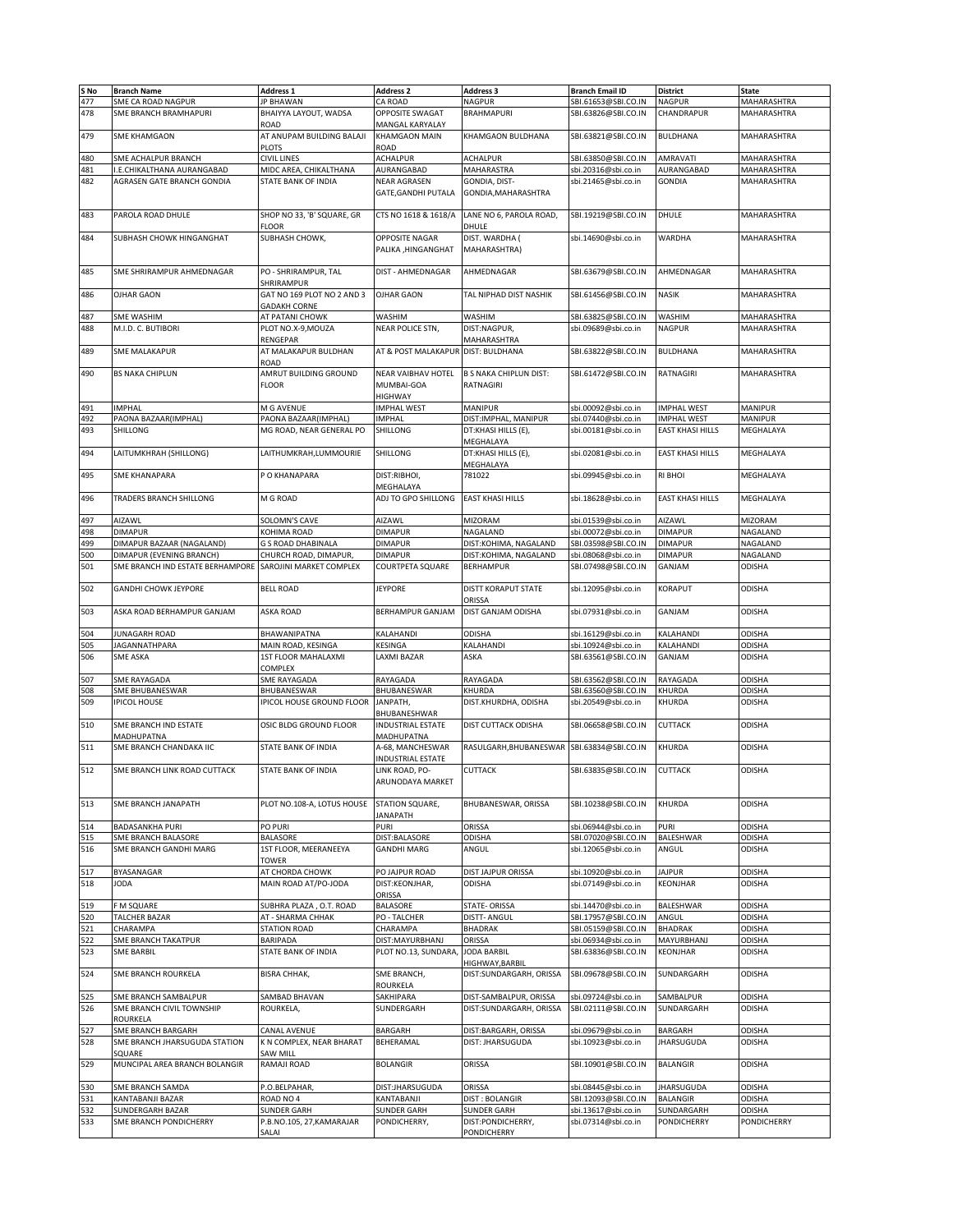| S No<br>477 | <b>Branch Name</b>               | <b>Address 1</b>                   | <b>Address 2</b>         | <b>Address 3</b>                 | <b>Branch Email ID</b> | <b>District</b>         | <b>State</b>   |
|-------------|----------------------------------|------------------------------------|--------------------------|----------------------------------|------------------------|-------------------------|----------------|
|             |                                  |                                    |                          |                                  |                        |                         |                |
|             | SME CA ROAD NAGPUR               | <b>JP BHAWAN</b>                   | CA ROAD                  | <b>NAGPUR</b>                    | SBI.61653@SBI.CO.IN    | <b>NAGPUR</b>           | MAHARASHTRA    |
| 478         | SME BRANCH BRAMHAPURI            | BHAIYYA LAYOUT, WADSA              | OPPOSITE SWAGAT          | <b>BRAHMAPURI</b>                | SBI.63826@SBI.CO.IN    | CHANDRAPUR              | MAHARASHTRA    |
|             |                                  | ROAD                               | MANGAL KARYALAY          |                                  |                        |                         |                |
|             |                                  |                                    |                          |                                  |                        |                         |                |
| 479         | <b>SME KHAMGAON</b>              | AT ANUPAM BUILDING BALAJI          | <b>KHAMGAON MAIN</b>     | KHAMGAON BULDHANA                | SBI.63821@SBI.CO.IN    | <b>BULDHANA</b>         | MAHARASHTRA    |
|             |                                  | <b>PLOTS</b>                       | ROAD                     |                                  |                        |                         |                |
| 480         | SME ACHALPUR BRANCH              | <b>CIVIL LINES</b>                 | ACHALPUR                 | <b>ACHALPUR</b>                  | SBI.63850@SBI.CO.IN    | AMRAVATI                | MAHARASHTRA    |
| 481         | <b>LE.CHIKALTHANA AURANGABAD</b> | MIDC AREA, CHIKALTHANA             | AURANGABAD               | MAHARASTRA                       | sbi.20316@sbi.co.in    | AURANGABAD              | MAHARASHTRA    |
|             |                                  |                                    |                          |                                  |                        |                         |                |
| 482         | AGRASEN GATE BRANCH GONDIA       | STATE BANK OF INDIA                | <b>NEAR AGRASEN</b>      | GONDIA, DIST-                    | sbi.21465@sbi.co.in    | <b>GONDIA</b>           | MAHARASHTRA    |
|             |                                  |                                    | GATE.GANDHI PUTALA       | GONDIA, MAHARASHTRA              |                        |                         |                |
|             |                                  |                                    |                          |                                  |                        |                         |                |
|             |                                  |                                    |                          |                                  |                        |                         |                |
| 483         | PAROLA ROAD DHULE                | SHOP NO 33, 'B' SQUARE, GR         | CTS NO 1618 & 1618/A     | LANE NO 6, PAROLA ROAD,          | SBI.19219@SBI.CO.IN    | DHULE                   | MAHARASHTRA    |
|             |                                  | FLOOR                              |                          | DHULE                            |                        |                         |                |
| 484         | SUBHASH CHOWK HINGANGHAT         | SUBHASH CHOWK,                     | OPPOSITE NAGAR           | DIST. WARDHA (                   | sbi.14690@sbi.co.in    | WARDHA                  | MAHARASHTRA    |
|             |                                  |                                    | PALIKA, HINGANGHAT       | MAHARASHTRA)                     |                        |                         |                |
|             |                                  |                                    |                          |                                  |                        |                         |                |
|             |                                  |                                    |                          |                                  |                        |                         |                |
| 485         | SME SHRIRAMPUR AHMEDNAGAR        | PO - SHRIRAMPUR, TAL               | DIST - AHMEDNAGAR        | AHMEDNAGAR                       | SBI.63679@SBI.CO.IN    | AHMEDNAGAR              | MAHARASHTRA    |
|             |                                  | SHRIRAMPUR                         |                          |                                  |                        |                         |                |
| 486         | <b>OJHAR GAON</b>                | GAT NO 169 PLOT NO 2 AND 3         | OJHAR GAON               | TAL NIPHAD DIST NASHIK           | SBI.61456@SBI.CO.IN    | <b>NASIK</b>            | MAHARASHTRA    |
|             |                                  |                                    |                          |                                  |                        |                         |                |
|             |                                  | <b>GADAKH CORNE</b>                |                          |                                  |                        |                         |                |
| 487         | SME WASHIM                       | AT PATANI CHOWK                    | WASHIM                   | WASHIM                           | SBI.63825@SBI.CO.IN    | WASHIM                  | MAHARASHTRA    |
| 488         | M.I.D. C. BUTIBORI               | PLOT NO.X-9, MOUZA                 | NEAR POLICE STN,         | DIST:NAGPUR,                     | sbi.09689@sbi.co.in    | <b>NAGPUR</b>           | MAHARASHTRA    |
|             |                                  | RENGEPAR                           |                          | MAHARASHTRA                      |                        |                         |                |
|             |                                  |                                    |                          | DIST: BULDHANA                   |                        |                         | MAHARASHTRA    |
| 489         | SME MALAKAPUR                    | AT MALAKAPUR BULDHAN               | AT & POST MALAKAPUR      |                                  | SBI.63822@SBI.CO.IN    | BULDHANA                |                |
|             |                                  | ROAD                               |                          |                                  |                        |                         |                |
| 490         | <b>BS NAKA CHIPLUN</b>           | AMRUT BUILDING GROUND              | NEAR VAIBHAV HOTEL       | <b>B S NAKA CHIPLUN DIST:</b>    | SBI.61472@SBI.CO.IN    | <b>RATNAGIRI</b>        | MAHARASHTRA    |
|             |                                  | <b>FLOOR</b>                       | MUMBAI-GOA               | RATNAGIRI                        |                        |                         |                |
|             |                                  |                                    |                          |                                  |                        |                         |                |
|             |                                  |                                    | HIGHWAY                  |                                  |                        |                         |                |
| 491         | <b>IMPHAL</b>                    | M G AVENUE                         | <b>IMPHAL WEST</b>       | <b>MANIPUR</b>                   | sbi.00092@sbi.co.in    | <b>IMPHAL WEST</b>      | <b>MANIPUR</b> |
| 492         | PAONA BAZAAR(IMPHAL)             | PAONA BAZAAR(IMPHAL)               | IMPHAL                   | DIST: IMPHAL, MANIPUR            | sbi.07440@sbi.co.in    | <b>IMPHAL WEST</b>      | MANIPUR        |
| 493         | SHILLONG                         | MG ROAD, NEAR GENERAL PO           | SHILLONG                 | DT:KHASI HILLS (E),              | sbi.00181@sbi.co.in    | <b>EAST KHASI HILLS</b> | MEGHALAYA      |
|             |                                  |                                    |                          |                                  |                        |                         |                |
|             |                                  |                                    |                          | MEGHALAYA                        |                        |                         |                |
| 494         | LAITUMKHRAH (SHILLONG)           | LAITHUMKRAH, LUMMOURIE             | SHILLONG                 | DT:KHASI HILLS (E),              | sbi.02081@sbi.co.in    | <b>EAST KHASI HILLS</b> | MEGHALAYA      |
|             |                                  |                                    |                          | MEGHALAYA                        |                        |                         |                |
|             |                                  |                                    |                          |                                  |                        |                         | MEGHALAYA      |
| 495         | <b>SME KHANAPARA</b>             | P O KHANAPARA                      | DIST:RIBHOI,             | 781022                           | sbi.09945@sbi.co.in    | <b>RI BHOI</b>          |                |
|             |                                  |                                    | MEGHALAYA                |                                  |                        |                         |                |
| 496         | TRADERS BRANCH SHILLONG          | M G ROAD                           | ADJ TO GPO SHILLONG      | <b>EAST KHASI HILLS</b>          | sbi.18628@sbi.co.in    | <b>EAST KHASI HILLS</b> | MEGHALAYA      |
|             |                                  |                                    |                          |                                  |                        |                         |                |
|             |                                  |                                    |                          |                                  |                        |                         |                |
| 497         | AIZAWL                           | SOLOMN'S CAVE                      | AIZAWL                   | MIZORAM                          | sbi.01539@sbi.co.in    | AIZAWL                  | MIZORAM        |
| 498         | <b>DIMAPUR</b>                   | KOHIMA ROAD                        | <b>DIMAPUR</b>           | NAGALAND                         | sbi.00072@sbi.co.in    | <b>DIMAPUR</b>          | NAGALAND       |
| 499         | DIMAPUR BAZAAR (NAGALAND)        | G S ROAD DHABINALA                 | <b>DIMAPUR</b>           | DIST:KOHIMA, NAGALAND            | SBI.03598@SBI.CO.IN    | <b>DIMAPUR</b>          | NAGALAND       |
| 500         | DIMAPUR (EVENING BRANCH)         | CHURCH ROAD, DIMAPUR,              | DIMAPUR                  | DIST:KOHIMA, NAGALAND            | sbi.08068@sbi.co.in    | <b>DIMAPUR</b>          | NAGALAND       |
|             |                                  |                                    |                          |                                  |                        |                         |                |
| 501         | SME BRANCH IND ESTATE BERHAMPORE | SAROJINI MARKET COMPLEX            | <b>COURTPETA SQUARE</b>  | <b>BERHAMPUR</b>                 | SBI.07498@SBI.CO.IN    | GANJAM                  | ODISHA         |
|             |                                  |                                    |                          |                                  |                        |                         |                |
| 502         | <b>GANDHI CHOWK JEYPORE</b>      | <b>BELL ROAD</b>                   | <b>JEYPORE</b>           | DISTT KORAPUT STATE              | sbi.12095@sbi.co.in    | KORAPUT                 | ODISHA         |
|             |                                  |                                    |                          | ORISSA                           |                        |                         |                |
|             |                                  |                                    |                          |                                  |                        |                         |                |
| 503         | ASKA ROAD BERHAMPUR GANJAM       | <b>ASKA ROAD</b>                   | BERHAMPUR GANJAM         | DIST GANJAM ODISHA               | sbi.07931@sbi.co.in    | GANJAM                  | <b>ODISHA</b>  |
|             |                                  |                                    |                          |                                  |                        |                         |                |
| 504         | JUNAGARH ROAD                    | BHAWANIPATNA                       | KALAHANDI                | ODISHA                           | sbi.16129@sbi.co.in    | KALAHANDI               | ODISHA         |
| 505         | JAGANNATHPARA                    | MAIN ROAD, KESINGA                 | KESINGA                  | KALAHANDI                        | sbi.10924@sbi.co.in    | KALAHANDI               | ODISHA         |
|             |                                  |                                    |                          |                                  |                        |                         |                |
| 506         | <b>SME ASKA</b>                  | 1ST FLOOR MAHALAXMI                | LAXMI BAZAR              | ASKA                             | SBI.63561@SBI.CO.IN    | GANJAM                  | <b>ODISHA</b>  |
|             |                                  | COMPLEX                            |                          |                                  |                        |                         |                |
| 507         | SME RAYAGADA                     | SME RAYAGADA                       | RAYAGADA                 | RAYAGADA                         | SBI.63562@SBI.CO.IN    | RAYAGADA                | <b>ODISHA</b>  |
| 508         | SME BHUBANESWAR                  | BHUBANESWAR                        | BHUBANESWAR              | KHURDA                           | SBI.63560@SBI.CO.IN    | KHURDA                  | <b>ODISHA</b>  |
| 509         |                                  |                                    |                          |                                  |                        |                         |                |
|             | <b>IPICOL HOUSE</b>              | IPICOL HOUSE GROUND FLOOR          | JANPATH,                 | DIST.KHURDHA, ODISHA             | sbi.20549@sbi.co.in    | KHURDA                  | <b>ODISHA</b>  |
|             |                                  |                                    | BHUBANESHWAR             |                                  |                        |                         |                |
|             |                                  |                                    |                          |                                  |                        |                         |                |
|             |                                  |                                    |                          |                                  |                        | <b>CUTTACK</b>          |                |
| 510         | SME BRANCH IND ESTATE            | OSIC BLDG GROUND FLOOR             | INDUSTRIAL ESTATE        | DIST CUTTACK ODISHA              | SBI.06658@SBI.CO.IN    |                         | <b>ODISHA</b>  |
|             | MADHUPATNA                       |                                    | MADHUPATNA               |                                  |                        |                         |                |
| 511         | SME BRANCH CHANDAKA IIC          | STATE BANK OF INDIA                | A-68, MANCHESWAR         | RASULGARH, BHUBANESWAR           | SBI.63834@SBI.CO.IN    | KHURDA                  | ODISHA         |
|             |                                  |                                    | <b>INDUSTRIAL ESTATE</b> |                                  |                        |                         |                |
| 512         | SME BRANCH LINK ROAD CUTTACK     | STATE BANK OF INDIA                | LINK ROAD, PO-           | <b>CUTTACK</b>                   | SBI.63835@SBI.CO.IN    | <b>CUTTACK</b>          | <b>ODISHA</b>  |
|             |                                  |                                    |                          |                                  |                        |                         |                |
|             |                                  |                                    | ARUNODAYA MARKET         |                                  |                        |                         |                |
|             |                                  |                                    |                          |                                  |                        |                         |                |
| 513         | SME BRANCH JANAPATH              | PLOT NO.108-A, LOTUS HOUSE         | STATION SQUARE,          | BHUBANESWAR, ORISSA              | SBI.10238@SBI.CO.IN    | KHURDA                  | <b>ODISHA</b>  |
|             |                                  |                                    | <b>JANAPATH</b>          |                                  |                        |                         |                |
|             |                                  |                                    |                          |                                  |                        |                         |                |
| 514         | <b>BADASANKHA PURI</b>           | PO PURI                            | PURI                     | ORISSA                           | sbi.06944@sbi.co.in    | <b>PURI</b>             | <b>ODISHA</b>  |
| 515         | SME BRANCH BALASORE              | BALASORE                           | DIST:BALASORE            | ODISHA                           | SBI.07020@SBI.CO.IN    | BALESHWAR               | <b>ODISHA</b>  |
| 516         | SME BRANCH GANDHI MARG           | 1ST FLOOR, MEERANEEYA              | <b>GANDHI MARG</b>       | ANGUL                            | sbi.12065@sbi.co.in    | ANGUL                   | <b>ODISHA</b>  |
|             |                                  | <b>TOWER</b>                       |                          |                                  |                        |                         |                |
|             |                                  |                                    |                          |                                  |                        |                         |                |
| 517         | BYASANAGAR                       | AT CHORDA CHOWK                    | PO JAJPUR ROAD           | DIST JAJPUR ORISSA               | sbi.10920@sbi.co.in    | <b>JAJPUR</b>           | <b>ODISHA</b>  |
| 518         | <b>JODA</b>                      | MAIN ROAD AT/PO-JODA               | DIST:KEONJHAR,           | ODISHA                           | sbi.07149@sbi.co.in    | KEONJHAR                | <b>ODISHA</b>  |
|             |                                  |                                    | ORISSA                   |                                  |                        |                         |                |
| 519         | F M SQUARE                       |                                    | BALASORE                 | STATE- ORISSA                    | sbi.14470@sbi.co.in    | BALESHWAR               | <b>ODISHA</b>  |
|             |                                  | SUBHRA PLAZA, O.T. ROAD            |                          |                                  |                        |                         |                |
| 520         | TALCHER BAZAR                    | AT - SHARMA CHHAK                  | PO - TALCHER             | <b>DISTT- ANGUL</b>              | SBI.17957@SBI.CO.IN    | ANGUL                   | <b>ODISHA</b>  |
| 521         | CHARAMPA                         | STATION ROAD                       | CHARAMPA                 | BHADRAK                          | SBI.05159@SBI.CO.IN    | <b>BHADRAK</b>          | <b>ODISHA</b>  |
| 522         | SME BRANCH TAKATPUR              | <b>BARIPADA</b>                    | DIST:MAYURBHANJ          | ORISSA                           | sbi.06934@sbi.co.in    | MAYURBHANJ              | ODISHA         |
| 523         | <b>SME BARBIL</b>                | STATE BANK OF INDIA                | PLOT NO.13, SUNDARA.     | <b>JODA BARBIL</b>               | SBI.63836@SBI.CO.IN    | KEONJHAR                | <b>ODISHA</b>  |
|             |                                  |                                    |                          |                                  |                        |                         |                |
|             |                                  |                                    |                          | HIGHWAY, BARBIL                  |                        |                         |                |
| 524         | SME BRANCH ROURKELA              | <b>BISRA CHHAK,</b>                | SME BRANCH,              | DIST:SUNDARGARH, ORISSA          | SBI.09678@SBI.CO.IN    | SUNDARGARH              | ODISHA         |
|             |                                  |                                    | ROURKELA                 |                                  |                        |                         |                |
| 525         | SME BRANCH SAMBALPUR             | SAMBAD BHAVAN                      | SAKHIPARA                | DIST-SAMBALPUR, ORISSA           | sbi.09724@sbi.co.in    | SAMBALPUR               | ODISHA         |
|             |                                  |                                    |                          |                                  |                        |                         |                |
| 526         | SME BRANCH CIVIL TOWNSHIP        | ROURKELA,                          | SUNDERGARH               | DIST:SUNDARGARH, ORISSA          | SBI.02111@SBI.CO.IN    | SUNDARGARH              | <b>ODISHA</b>  |
|             | ROURKELA                         |                                    |                          |                                  |                        |                         |                |
| 527         | SME BRANCH BARGARH               | <b>CANAL AVENUE</b>                | <b>BARGARH</b>           | DIST:BARGARH, ORISSA             | sbi.09679@sbi.co.in    | BARGARH                 | ODISHA         |
| 528         | SME BRANCH JHARSUGUDA STATION    | K N COMPLEX, NEAR BHARAT           | BEHERAMAL                | DIST: JHARSUGUDA                 | sbi.10923@sbi.co.in    | <b>JHARSUGUDA</b>       | ODISHA         |
|             | SQUARE                           |                                    |                          |                                  |                        |                         |                |
|             |                                  | SAW MILL                           |                          |                                  |                        |                         |                |
| 529         | MUNCIPAL AREA BRANCH BOLANGIR    | RAMAJI ROAD                        | <b>BOLANGIR</b>          | ORISSA                           | SBI.10901@SBI.CO.IN    | <b>BALANGIR</b>         | <b>ODISHA</b>  |
|             |                                  |                                    |                          |                                  |                        |                         |                |
| 530         | SME BRANCH SAMDA                 | P.O.BELPAHAR,                      | DIST:JHARSUGUDA          | ORISSA                           | sbi.08445@sbi.co.in    | <b>JHARSUGUDA</b>       | <b>ODISHA</b>  |
| 531         | KANTABANJI BAZAR                 | ROAD NO 4                          | <b>ANTABANJI</b>         | <b>DIST: BOLANGIR</b>            | SBI.12093@SBI.CO.IN    | BALANGIR                | <b>ODISHA</b>  |
|             |                                  |                                    |                          |                                  |                        |                         |                |
| 532         | SUNDERGARH BAZAR                 | SUNDER GARH                        | SUNDER GARH              | <b>SUNDER GARH</b>               | sbi.13617@sbi.co.in    | SUNDARGARH              | ODISHA         |
| 533         | SME BRANCH PONDICHERRY           | P.B.NO.105, 27, KAMARAJAR<br>SALAI | PONDICHERRY,             | DIST:PONDICHERRY,<br>PONDICHERRY | sbi.07314@sbi.co.in    | PONDICHERRY             | PONDICHERRY    |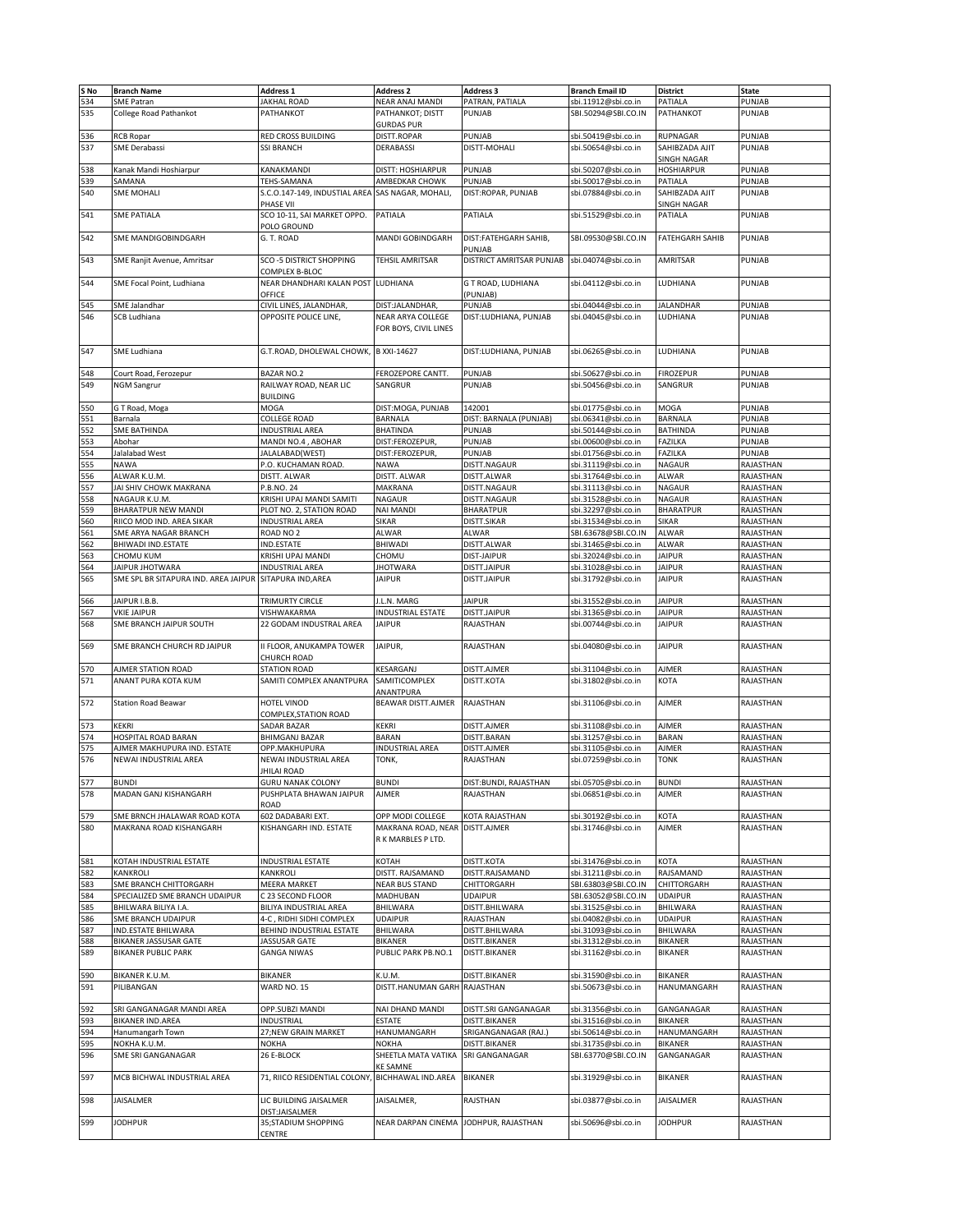| S No | <b>Branch Name</b>                   | Address 1                                        | <b>Address 2</b>                      | <b>Address 3</b>         | <b>Branch Email ID</b> | <b>District</b>        | <b>State</b> |
|------|--------------------------------------|--------------------------------------------------|---------------------------------------|--------------------------|------------------------|------------------------|--------------|
| 534  | <b>SME Patran</b>                    | <b>JAKHAL ROAD</b>                               | NEAR ANAJ MANDI                       | PATRAN, PATIALA          | sbi.11912@sbi.co.in    | PATIALA                | PUNJAB       |
|      |                                      |                                                  |                                       |                          |                        |                        |              |
| 535  | College Road Pathankot               | PATHANKOT                                        | PATHANKOT; DISTT                      | PUNJAB                   | SBI.50294@SBI.CO.IN    | PATHANKOT              | PUNJAB       |
|      |                                      |                                                  | <b>GURDAS PUR</b>                     |                          |                        |                        |              |
| 536  | <b>RCB Ropar</b>                     | RED CROSS BUILDING                               | DISTT.ROPAR                           | PUNJAB                   | sbi.50419@sbi.co.in    | RUPNAGAR               | PUNJAB       |
| 537  | SME Derabassi                        | <b>SSI BRANCH</b>                                | DERABASSI                             | DISTT-MOHALI             | sbi.50654@sbi.co.in    | SAHIBZADA AJIT         | PUNJAB       |
|      |                                      |                                                  |                                       |                          |                        | SINGH NAGAR            |              |
| 538  | Kanak Mandi Hoshiarpur               | KANAKMANDI                                       | DISTT: HOSHIARPUR                     | PUNJAB                   | sbi.50207@sbi.co.in    | HOSHIARPUR             | PUNJAB       |
|      |                                      |                                                  | AMBEDKAR CHOWK                        | PUNJAB                   |                        |                        | PUNJAB       |
| 539  | SAMANA                               | TEHS-SAMANA                                      |                                       |                          | sbi.50017@sbi.co.in    | PATIALA                |              |
| 540  | <b>SME MOHALI</b>                    | S.C.O.147-149, INDUSTIAL AREA                    | SAS NAGAR, MOHALI,                    | DIST:ROPAR, PUNJAB       | sbi.07884@sbi.co.in    | SAHIBZADA AJIT         | PUNJAB       |
|      |                                      | PHASE VII                                        |                                       |                          |                        | SINGH NAGAR            |              |
| 541  | <b>SME PATIALA</b>                   | SCO 10-11, SAI MARKET OPPO.                      | PATIALA                               | PATIALA                  | sbi.51529@sbi.co.in    | PATIALA                | PUNJAB       |
|      |                                      | POLO GROUND                                      |                                       |                          |                        |                        |              |
| 542  | SME MANDIGOBINDGARH                  | G. T. ROAD                                       | MANDI GOBINDGARH                      | DIST:FATEHGARH SAHIB,    | SBI.09530@SBI.CO.IN    | <b>FATEHGARH SAHIB</b> | PUNJAB       |
|      |                                      |                                                  |                                       |                          |                        |                        |              |
|      |                                      |                                                  |                                       | PUNJAB                   |                        |                        |              |
| 543  | SME Ranjit Avenue, Amritsar          | SCO-5 DISTRICT SHOPPING                          | TEHSIL AMRITSAR                       | DISTRICT AMRITSAR PUNJAB | sbi.04074@sbi.co.in    | AMRITSAR               | PUNJAB       |
|      |                                      | COMPLEX B-BLOC                                   |                                       |                          |                        |                        |              |
| 544  | SME Focal Point, Ludhiana            | NEAR DHANDHARI KALAN POST                        | LUDHIANA                              | G T ROAD, LUDHIANA       | sbi.04112@sbi.co.in    | LUDHIANA               | PUNJAB       |
|      |                                      | OFFICE                                           |                                       | (PUNJAB)                 |                        |                        |              |
| 545  | SME Jalandhar                        | CIVIL LINES, JALANDHAR,                          | DIST:JALANDHAR,                       | PUNJAB                   | sbi.04044@sbi.co.in    | <b>JALANDHAR</b>       | PUNJAB       |
|      |                                      |                                                  |                                       |                          |                        |                        |              |
| 546  | <b>SCB Ludhiana</b>                  | OPPOSITE POLICE LINE,                            | NEAR ARYA COLLEGE                     | DIST:LUDHIANA, PUNJAB    | sbi.04045@sbi.co.in    | LUDHIANA               | PUNJAB       |
|      |                                      |                                                  | FOR BOYS, CIVIL LINES                 |                          |                        |                        |              |
|      |                                      |                                                  |                                       |                          |                        |                        |              |
| 547  | <b>SME Ludhiana</b>                  | G.T.ROAD, DHOLEWAL CHOWK,                        | B XXI-14627                           | DIST:LUDHIANA, PUNJAB    | sbi.06265@sbi.co.in    | LUDHIANA               | PUNJAB       |
|      |                                      |                                                  |                                       |                          |                        |                        |              |
|      |                                      |                                                  |                                       |                          |                        |                        |              |
| 548  | Court Road, Ferozepur                | <b>BAZAR NO.2</b>                                | FEROZEPORE CANTT.                     | PUNJAB                   | sbi.50627@sbi.co.in    | <b>FIROZEPUR</b>       | PUNJAB       |
| 549  | <b>NGM Sangrur</b>                   | RAILWAY ROAD, NEAR LIC                           | SANGRUR                               | PUNJAB                   | sbi.50456@sbi.co.in    | SANGRUR                | PUNJAB       |
|      |                                      | <b>BUILDING</b>                                  |                                       |                          |                        |                        |              |
| 550  | G T Road, Moga                       | MOGA                                             | DIST:MOGA, PUNJAB                     | 142001                   | sbi.01775@sbi.co.in    | MOGA                   | PUNJAB       |
| 551  | Barnala                              | COLLEGE ROAD                                     | BARNALA                               | DIST: BARNALA (PUNJAB)   | sbi.06341@sbi.co.in    | BARNALA                | PUNJAB       |
|      |                                      |                                                  |                                       |                          |                        |                        |              |
| 552  | <b>SME BATHINDA</b>                  | <b>INDUSTRIAL AREA</b>                           | <b>BHATINDA</b>                       | PUNJAB                   | sbi.50144@sbi.co.in    | BATHINDA               | PUNJAB       |
| 553  | Abohar                               | MANDI NO.4, ABOHAR                               | DIST:FEROZEPUR,                       | PUNJAB                   | sbi.00600@sbi.co.in    | FAZILKA                | PUNJAB       |
| 554  | Jalalabad West                       | JALALABAD(WEST)                                  | DIST:FEROZEPUR,                       | PUNJAB                   | sbi.01756@sbi.co.in    | FAZILKA                | PUNJAB       |
| 555  | <b>NAWA</b>                          | P.O. KUCHAMAN ROAD.                              | <b>NAWA</b>                           | DISTT.NAGAUR             | sbi.31119@sbi.co.in    | NAGAUR                 | RAJASTHAN    |
| 556  | ALWAR K.U.M.                         | DISTT. ALWAR                                     | DISTT. ALWAR                          | DISTT.ALWAR              | sbi.31764@sbi.co.in    | ALWAR                  | RAJASTHAN    |
|      |                                      |                                                  |                                       |                          |                        |                        |              |
| 557  | JAI SHIV CHOWK MAKRANA               | P.B.NO. 24                                       | MAKRANA                               | DISTT.NAGAUR             | sbi.31113@sbi.co.in    | NAGAUR                 | RAJASTHAN    |
| 558  | NAGAUR K.U.M.                        | KRISHI UPAJ MANDI SAMITI                         | NAGAUR                                | DISTT.NAGAUR             | sbi.31528@sbi.co.in    | <b>NAGAUR</b>          | RAJASTHAN    |
| 559  | BHARATPUR NEW MANDI                  | PLOT NO. 2, STATION ROAD                         | NAI MANDI                             | <b>BHARATPUR</b>         | sbi.32297@sbi.co.in    | BHARATPUR              | RAJASTHAN    |
| 560  | RIICO MOD IND. AREA SIKAR            | INDUSTRIAL AREA                                  | SIKAR                                 | DISTT.SIKAR              | sbi.31534@sbi.co.in    | SIKAR                  | RAJASTHAN    |
| 561  | SME ARYA NAGAR BRANCH                | ROAD NO <sub>2</sub>                             | ALWAR                                 | ALWAR                    | SBI.63678@SBI.CO.IN    | ALWAR                  | RAJASTHAN    |
|      |                                      |                                                  |                                       |                          |                        |                        |              |
| 562  | BHIWADI IND.ESTATE                   | IND.ESTATE                                       | BHIWADI                               | DISTT.ALWAR              | sbi.31465@sbi.co.in    | ALWAR                  | RAJASTHAN    |
| 563  | CHOMU KUM                            | KRISHI UPAJ MANDI                                | CHOMU                                 | <b>DIST-JAIPUR</b>       | sbi.32024@sbi.co.in    | <b>JAIPUR</b>          | RAJASTHAN    |
| 564  | JAIPUR JHOTWARA                      | <b>INDUSTRIAL AREA</b>                           | <b>JHOTWARA</b>                       | DISTT.JAIPUR             | sbi.31028@sbi.co.in    | <b>JAIPUR</b>          | RAJASTHAN    |
| 565  | SME SPL BR SITAPURA IND. AREA JAIPUR | SITAPURA IND, AREA                               | <b>JAIPUR</b>                         | DISTT.JAIPUR             | sbi.31792@sbi.co.in    | <b>JAIPUR</b>          | RAJASTHAN    |
|      |                                      |                                                  |                                       |                          |                        |                        |              |
|      |                                      |                                                  |                                       |                          |                        |                        |              |
| 566  | JAIPUR I.B.B.                        | TRIMURTY CIRCLE                                  | J.L.N. MARG                           | <b>JAIPUR</b>            | sbi.31552@sbi.co.in    | <b>JAIPUR</b>          | RAJASTHAN    |
| 567  | <b>VKIE JAIPUR</b>                   | VISHWAKARMA                                      | INDUSTRIAL ESTATE                     | DISTT.JAIPUR             | bi.31365@sbi.co.in     | <b>JAIPUR</b>          | RAJASTHAN    |
| 568  | SME BRANCH JAIPUR SOUTH              | 22 GODAM INDUSTRAL AREA                          | JAIPUR                                | RAJASTHAN                | sbi.00744@sbi.co.in    | <b>JAIPUR</b>          | RAJASTHAN    |
|      |                                      |                                                  |                                       |                          |                        |                        |              |
| 569  | SME BRANCH CHURCH RD JAIPUR          | II FLOOR, ANUKAMPA TOWER                         | JAIPUR,                               | RAJASTHAN                | sbi.04080@sbi.co.in    | <b>JAIPUR</b>          | RAJASTHAN    |
|      |                                      |                                                  |                                       |                          |                        |                        |              |
|      |                                      | CHURCH ROAD                                      |                                       |                          |                        |                        |              |
| 570  | AJMER STATION ROAD                   | <b>STATION ROAD</b>                              | KESARGANJ                             | DISTT.AJMER              | sbi.31104@sbi.co.in    | AJMER                  | RAJASTHAN    |
| 571  | ANANT PURA KOTA KUM                  | SAMITI COMPLEX ANANTPURA                         | SAMITICOMPLEX                         | DISTT.KOTA               | sbi.31802@sbi.co.in    | KOTA                   | RAJASTHAN    |
|      |                                      |                                                  | ANANTPURA                             |                          |                        |                        |              |
| 572  | <b>Station Road Beawar</b>           | HOTEL VINOD                                      | BEAWAR DISTT.AJMER                    | RAJASTHAN                | sbi.31106@sbi.co.in    | AJMER                  | RAJASTHAN    |
|      |                                      | COMPLEX, STATION ROAD                            |                                       |                          |                        |                        |              |
|      |                                      |                                                  |                                       |                          |                        |                        |              |
| 573  | KEKRI                                | SADAR BAZAR                                      | KEKRI                                 | DISTT.AJMER              | sbi.31108@sbi.co.in    | <b>AJMER</b>           | RAJASTHAN    |
| 574  | HOSPITAL ROAD BARAN                  | BHIMGANJ BAZAR                                   | <b>BARAN</b>                          | DISTT.BARAN              | sbi.31257@sbi.co.in    | BARAN                  | RAJASTHAN    |
| 575  | AJMER MAKHUPURA IND. ESTATE          | OPP.MAKHUPURA                                    | INDUSTRIAL AREA                       | DISTT.AJMER              | sbi.31105@sbi.co.in    | AJMER                  | RAJASTHAN    |
| 576  | NEWAI INDUSTRIAL AREA                | NEWAI INDUSTRIAL AREA                            | TONK,                                 | RAJASTHAN                | sbi.07259@sbi.co.in    | TONK                   | RAJASTHAN    |
|      |                                      | <b>JHILAI ROAD</b>                               |                                       |                          |                        |                        |              |
|      |                                      |                                                  |                                       |                          |                        |                        |              |
| 577  | <b>BUNDI</b>                         | GURU NANAK COLONY                                | <b>BUNDI</b>                          | DIST:BUNDI, RAJASTHAN    | sbi.05705@sbi.co.in    | <b>BUNDI</b>           | RAJASTHAN    |
| 578  | MADAN GANJ KISHANGARH                | PUSHPLATA BHAWAN JAIPUR                          | AJMER                                 | RAJASTHAN                | sbi.06851@sbi.co.in    | AJMER                  | RAJASTHAN    |
|      |                                      | ROAD                                             |                                       |                          |                        |                        |              |
| 579  | SME BRNCH JHALAWAR ROAD KOTA         | 602 DADABARI EXT.                                | OPP MODI COLLEGE                      | KOTA RAJASTHAN           | sbi.30192@sbi.co.in    | KOTA                   | RAJASTHAN    |
| 580  | MAKRANA ROAD KISHANGARH              | KISHANGARH IND. ESTATE                           | MAKRANA ROAD, NEAR DISTT.AJMER        |                          | sbi.31746@sbi.co.in    | AJMER                  | RAJASTHAN    |
|      |                                      |                                                  | R K MARBLES P LTD.                    |                          |                        |                        |              |
|      |                                      |                                                  |                                       |                          |                        |                        |              |
|      |                                      |                                                  |                                       |                          |                        |                        |              |
| 581  | KOTAH INDUSTRIAL ESTATE              | INDUSTRIAL ESTATE                                | КОТАН                                 | DISTT.KOTA               | sbi.31476@sbi.co.in    | KOTA                   | RAJASTHAN    |
| 582  | KANKROLI                             | KANKROLI                                         | DISTT. RAJSAMAND                      | DISTT.RAJSAMAND          | sbi.31211@sbi.co.in    | RAJSAMAND              | RAJASTHAN    |
| 583  | SME BRANCH CHITTORGARH               | MEERA MARKET                                     | <b>NEAR BUS STAND</b>                 | CHITTORGARH              | SBI.63803@SBI.CO.IN    | CHITTORGARH            | RAJASTHAN    |
| 584  | SPECIALIZED SME BRANCH UDAIPUR       | C 23 SECOND FLOOR                                | MADHUBAN                              | <b>UDAIPUR</b>           | SBI.63052@SBI.CO.IN    | <b>UDAIPUR</b>         | RAJASTHAN    |
| 585  | BHILWARA BILIYA I.A.                 | BILIYA INDUSTRIAL AREA                           | BHILWARA                              | DISTT.BHILWARA           | sbi.31525@sbi.co.in    | BHILWARA               | RAJASTHAN    |
|      | SME BRANCH UDAIPUR                   | 4-C, RIDHI SIDHI COMPLEX                         | <b>UDAIPUR</b>                        |                          |                        |                        |              |
| 586  |                                      |                                                  |                                       | RAJASTHAN                | sbi.04082@sbi.co.in    | UDAIPUR                | RAJASTHAN    |
| 587  | IND.ESTATE BHILWARA                  | BEHIND INDUSTRIAL ESTATE                         | BHILWARA                              | DISTT.BHILWARA           | sbi.31093@sbi.co.in    | BHILWARA               | RAJASTHAN    |
| 588  | BIKANER JASSUSAR GATE                | JASSUSAR GATE                                    | BIKANER                               | DISTT.BIKANER            | sbi.31312@sbi.co.in    | BIKANER                | RAJASTHAN    |
| 589  | <b>BIKANER PUBLIC PARK</b>           | <b>GANGA NIWAS</b>                               | PUBLIC PARK PB.NO.1                   | DISTT.BIKANER            | sbi.31162@sbi.co.in    | BIKANER                | RAJASTHAN    |
|      |                                      |                                                  |                                       |                          |                        |                        |              |
| 590  | BIKANER K.U.M.                       | BIKANER                                          | K.U.M.                                | DISTT.BIKANER            | sbi.31590@sbi.co.in    | BIKANER                | RAJASTHAN    |
|      |                                      |                                                  |                                       |                          |                        |                        |              |
| 591  | PILIBANGAN                           | WARD NO. 15                                      | DISTT.HANUMAN GARH RAJASTHAN          |                          | sbi.50673@sbi.co.in    | HANUMANGARH            | RAJASTHAN    |
|      |                                      |                                                  |                                       |                          |                        |                        |              |
| 592  | SRI GANGANAGAR MANDI AREA            | OPP.SUBZI MANDI                                  | NAI DHAND MANDI                       | DISTT.SRI GANGANAGAR     | sbi.31356@sbi.co.in    | GANGANAGAR             | RAJASTHAN    |
| 593  | BIKANER IND.AREA                     | INDUSTRIAL                                       | ESTATE                                | DISTT.BIKANER            | sbi.31516@sbi.co.in    | BIKANER                | RAJASTHAN    |
| 594  | Hanumangarh Town                     | 27;NEW GRAIN MARKET                              | HANUMANGARH                           | SRIGANGANAGAR (RAJ.)     | sbi.50614@sbi.co.in    | HANUMANGARH            | RAJASTHAN    |
|      |                                      |                                                  |                                       |                          |                        |                        |              |
| 595  | NOKHA K.U.M.                         | NOKHA                                            | NOKHA                                 | DISTT.BIKANER            | sbi.31735@sbi.co.in    | BIKANER                | RAJASTHAN    |
| 596  | SME SRI GANGANAGAR                   | 26 E-BLOCK                                       | SHEETLA MATA VATIKA                   | SRI GANGANAGAR           | SBI.63770@SBI.CO.IN    | GANGANAGAR             | RAJASTHAN    |
|      |                                      |                                                  | <b>KE SAMNE</b>                       |                          |                        |                        |              |
| 597  | MCB BICHWAL INDUSTRIAL AREA          | 71, RIICO RESIDENTIAL COLONY, BICHHAWAL IND.AREA |                                       | <b>BIKANER</b>           | sbi.31929@sbi.co.in    | BIKANER                | RAJASTHAN    |
|      |                                      |                                                  |                                       |                          |                        |                        |              |
|      |                                      |                                                  |                                       |                          |                        |                        |              |
| 598  | JAISALMER                            | LIC BUILDING JAISALMER                           | JAISALMER,                            | RAJSTHAN                 | sbi.03877@sbi.co.in    | JAISALMER              | RAJASTHAN    |
|      |                                      | DIST:JAISALMER                                   |                                       |                          |                        |                        |              |
| 599  | <b>JODHPUR</b>                       | 35;STADIUM SHOPPING                              | NEAR DARPAN CINEMA JODHPUR, RAJASTHAN |                          | sbi.50696@sbi.co.in    | <b>JODHPUR</b>         | RAJASTHAN    |
|      |                                      | CENTRE                                           |                                       |                          |                        |                        |              |
|      |                                      |                                                  |                                       |                          |                        |                        |              |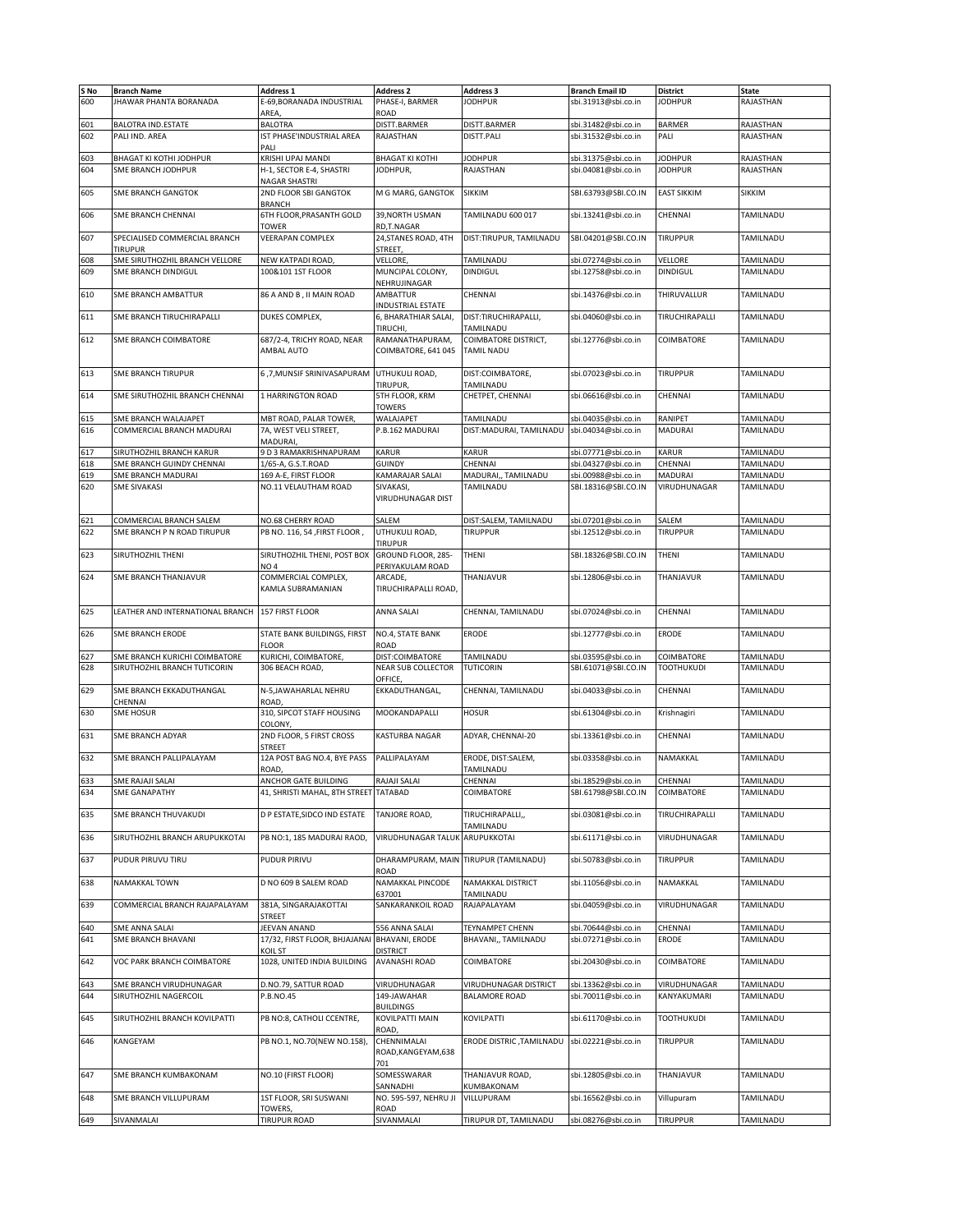| S No<br>600 |                                              |                                        |                              |                                    |                                               |                                   |                           |
|-------------|----------------------------------------------|----------------------------------------|------------------------------|------------------------------------|-----------------------------------------------|-----------------------------------|---------------------------|
|             | <b>Branch Name</b><br>JHAWAR PHANTA BORANADA | Address 1<br>E-69, BORANADA INDUSTRIAL | Address 2<br>PHASE-I, BARMER | <b>Address 3</b><br><b>JODHPUR</b> | <b>Branch Email ID</b><br>sbi.31913@sbi.co.in | <b>District</b><br><b>JODHPUR</b> | <b>State</b><br>RAJASTHAN |
|             |                                              | AREA                                   | ROAD                         |                                    |                                               |                                   |                           |
| 601         | <b>BALOTRA IND ESTATE</b>                    | <b>BALOTRA</b>                         | DISTT.BARMER                 | DISTT.BARMER                       | sbi.31482@sbi.co.in                           | <b>BARMER</b>                     | RAJASTHAN                 |
| 602         | PALI IND. AREA                               | IST PHASE'INDUSTRIAL AREA              | RAJASTHAN                    | DISTT.PALI                         | sbi.31532@sbi.co.in                           | PALI                              | RAJASTHAN                 |
|             |                                              | PALI                                   |                              |                                    |                                               |                                   |                           |
| 603         | BHAGAT KI KOTHI JODHPUR                      | KRISHI UPAJ MANDI                      | <b>BHAGAT KI KOTHI</b>       | <b>JODHPUR</b>                     | sbi.31375@sbi.co.in                           | <b>JODHPUR</b>                    | RAJASTHAN                 |
| 604         | SME BRANCH JODHPUR                           | H-1, SECTOR E-4, SHASTRI               | JODHPUR,                     | RAJASTHAN                          | sbi.04081@sbi.co.in                           | <b>JODHPUR</b>                    | RAJASTHAN                 |
|             |                                              | <b>NAGAR SHASTRI</b>                   |                              |                                    |                                               |                                   |                           |
| 605         | <b>SME BRANCH GANGTOK</b>                    | 2ND FLOOR SBI GANGTOK                  | M G MARG, GANGTOK            | SIKKIM                             | SBI.63793@SBI.CO.IN                           | <b>EAST SIKKIM</b>                | <b>SIKKIM</b>             |
|             |                                              | <b>BRANCH</b>                          |                              |                                    |                                               |                                   |                           |
| 606         | SME BRANCH CHENNAI                           | 6TH FLOOR, PRASANTH GOLD               | 39, NORTH USMAN              | TAMILNADU 600 017                  | sbi.13241@sbi.co.in                           | CHENNAI                           | TAMILNADU                 |
|             |                                              | TOWER                                  | RD,T.NAGAR                   |                                    |                                               |                                   |                           |
| 607         | SPECIALISED COMMERCIAL BRANCH                | <b>VEERAPAN COMPLEX</b>                | 24, STANES ROAD, 4TH         | DIST:TIRUPUR, TAMILNADU            | SBI.04201@SBI.CO.IN                           | <b>TIRUPPUR</b>                   | TAMILNADU                 |
|             | <b>TIRUPUR</b>                               |                                        | STREET,                      |                                    |                                               |                                   |                           |
| 608         | SME SIRUTHOZHIL BRANCH VELLORE               | NEW KATPADI ROAD,                      | <b>VELLORE</b>               | TAMILNADU                          | sbi.07274@sbi.co.in                           | VELLORE                           | TAMILNADU                 |
| 609         | SME BRANCH DINDIGUL                          | 100&101 1ST FLOOR                      | MUNCIPAL COLONY,             | <b>DINDIGUL</b>                    | sbi.12758@sbi.co.in                           | <b>DINDIGUL</b>                   | TAMILNADU                 |
|             |                                              |                                        | NEHRUJINAGAR                 |                                    |                                               |                                   |                           |
| 610         | SME BRANCH AMBATTUR                          | 86 A AND B. II MAIN ROAD               | AMBATTUR                     | CHENNAI                            | sbi.14376@sbi.co.in                           | THIRUVALLUR                       | TAMILNADU                 |
|             |                                              |                                        | INDUSTRIAL ESTATE            |                                    |                                               |                                   |                           |
| 611         | SME BRANCH TIRUCHIRAPALLI                    | DUKES COMPLEX,                         | 6, BHARATHIAR SALAI,         | DIST:TIRUCHIRAPALLI,               | sbi.04060@sbi.co.in                           | TIRUCHIRAPALLI                    | TAMILNADU                 |
|             |                                              |                                        | <b>TIRUCHI</b>               | TAMILNADU                          |                                               |                                   |                           |
| 612         | SME BRANCH COIMBATORE                        | 687/2-4, TRICHY ROAD, NEAR             | RAMANATHAPURAM,              | COIMBATORE DISTRICT,               | sbi.12776@sbi.co.in                           | COIMBATORE                        | TAMILNADU                 |
|             |                                              | AMBAL AUTO                             | COIMBATORE, 641 045          | <b>TAMIL NADU</b>                  |                                               |                                   |                           |
|             |                                              |                                        |                              |                                    |                                               |                                   |                           |
| 613         | <b>SME BRANCH TIRUPUR</b>                    | 6,7, MUNSIF SRINIVASAPURAM             | UTHUKULI ROAD,               | DIST:COIMBATORE,                   | sbi.07023@sbi.co.in                           | <b>TIRUPPUR</b>                   | TAMILNADU                 |
|             |                                              |                                        | TIRUPUR,                     | TAMILNADU                          |                                               |                                   |                           |
| 614         | SME SIRUTHOZHIL BRANCH CHENNAI               | 1 HARRINGTON ROAD                      | 5TH FLOOR, KRM               | CHETPET, CHENNAI                   | sbi.06616@sbi.co.in                           | CHENNAI                           | TAMILNADU                 |
|             |                                              |                                        | <b>TOWERS</b>                |                                    |                                               |                                   |                           |
| 615         | SME BRANCH WALAJAPET                         | MBT ROAD, PALAR TOWER,                 | WALAJAPET                    | TAMILNADU                          | sbi.04035@sbi.co.in                           | RANIPET                           | TAMILNADU                 |
| 616         | COMMERCIAL BRANCH MADURAI                    | 7A, WEST VELI STREET,                  | P.B.162 MADURAI              | DIST: MADURAI, TAMILNADU           | sbi.04034@sbi.co.in                           | <b>MADURAI</b>                    | TAMILNADU                 |
|             |                                              | MADURAI,                               |                              |                                    |                                               |                                   |                           |
| 617         | SIRUTHOZHIL BRANCH KARUR                     | 9 D 3 RAMAKRISHNAPURAM                 | KARUR                        | KARUR                              | sbi.07771@sbi.co.in                           | <b>KARUR</b>                      | TAMILNADU                 |
| 618         | SME BRANCH GUINDY CHENNAI                    | 1/65-A, G.S.T.ROAD                     | GUINDY                       | CHENNAI                            | sbi.04327@sbi.co.in                           | CHENNAI                           | TAMILNADU                 |
| 619         | SME BRANCH MADURAI                           | 169 A-E, FIRST FLOOR                   | KAMARAJAR SALAI              | MADURAI,, TAMILNADU                | sbi.00988@sbi.co.in                           | <b>MADURAI</b>                    | TAMILNADU                 |
| 620         | <b>SME SIVAKASI</b>                          | NO.11 VELAUTHAM ROAD                   | SIVAKASI,                    | TAMILNADU                          | SBI.18316@SBI.CO.IN                           | VIRUDHUNAGAR                      | TAMILNADU                 |
|             |                                              |                                        | VIRUDHUNAGAR DIST            |                                    |                                               |                                   |                           |
|             |                                              |                                        |                              |                                    |                                               |                                   |                           |
| 621         | COMMERCIAL BRANCH SALEM                      | <b>NO.68 CHERRY ROAD</b>               | SALEM                        | DIST:SALEM, TAMILNADU              | sbi.07201@sbi.co.in                           | SALEM                             | TAMILNADU                 |
| 622         | SME BRANCH P N ROAD TIRUPUR                  | PB NO. 116, 54, FIRST FLOOR,           | UTHUKULI ROAD,               | <b>TIRUPPUR</b>                    | sbi.12512@sbi.co.in                           | <b>TIRUPPUR</b>                   | TAMILNADU                 |
|             |                                              |                                        | TIRUPUR                      |                                    |                                               |                                   |                           |
| 623         | SIRUTHOZHIL THENI                            | SIRUTHOZHIL THENI, POST BOX            | GROUND FLOOR, 285-           | THENI                              | SBI.18326@SBI.CO.IN                           | THENI                             | TAMILNADU                 |
|             |                                              | NO <sub>4</sub>                        | PERIYAKULAM ROAD             |                                    |                                               |                                   |                           |
| 624         | SME BRANCH THANJAVUR                         | COMMERCIAL COMPLEX,                    | ARCADE,                      | THANJAVUR                          | sbi.12806@sbi.co.in                           | THANJAVUR                         | TAMILNADU                 |
|             |                                              | KAMLA SUBRAMANIAN                      | TIRUCHIRAPALLI ROAD,         |                                    |                                               |                                   |                           |
|             |                                              |                                        |                              |                                    |                                               |                                   |                           |
| 625         | LEATHER AND INTERNATIONAL BRANCH             | 157 FIRST FLOOR                        | ANNA SALAI                   | CHENNAI, TAMILNADU                 | sbi.07024@sbi.co.in                           | CHENNAI                           | TAMILNADU                 |
|             |                                              |                                        |                              |                                    |                                               |                                   |                           |
| 626         | SME BRANCH ERODE                             | STATE BANK BUILDINGS, FIRST            | NO.4, STATE BANK             | ERODE                              | sbi.12777@sbi.co.in                           | <b>ERODE</b>                      | TAMILNADU                 |
|             |                                              | <b>FLOOR</b>                           | ROAD                         |                                    |                                               |                                   |                           |
|             |                                              |                                        |                              |                                    |                                               |                                   |                           |
|             |                                              |                                        |                              |                                    |                                               |                                   |                           |
| 627         | SME BRANCH KURICHI COIMBATORE                | KURICHI, COIMBATORE,                   | DIST:COIMBATORE              | TAMILNADU                          | sbi.03595@sbi.co.in                           | COIMBATORE                        | TAMILNADU                 |
| 628         | SIRUTHOZHIL BRANCH TUTICORIN                 | 306 BEACH ROAD,                        | <b>NEAR SUB COLLECTOR</b>    | <b>TUTICORIN</b>                   | SBI.61071@SBI.CO.IN                           | <b>TOOTHUKUDI</b>                 | TAMILNADU                 |
|             |                                              |                                        | OFFICE,                      |                                    |                                               |                                   |                           |
| 629         | SME BRANCH EKKADUTHANGAL                     | N-5, JAWAHARLAL NEHRU                  | EKKADUTHANGAL,               | CHENNAI, TAMILNADU                 | sbi.04033@sbi.co.in                           | CHENNAI                           | TAMILNADU                 |
|             | CHENNAI                                      | ROAD                                   |                              |                                    |                                               |                                   |                           |
| 630         | <b>SME HOSUR</b>                             | 310, SIPCOT STAFF HOUSING              | MOOKANDAPALLI                | <b>HOSUR</b>                       | sbi.61304@sbi.co.in                           | Krishnagiri                       | TAMILNADU                 |
|             |                                              | COLONY,                                |                              |                                    |                                               |                                   |                           |
| 631         | <b>SME BRANCH ADYAR</b>                      | 2ND FLOOR, 5 FIRST CROSS               | KASTURBA NAGAR               | ADYAR, CHENNAI-20                  | sbi.13361@sbi.co.in                           | CHENNAI                           | TAMILNADU                 |
|             |                                              | STREET                                 | PALLIPALAYAM                 |                                    |                                               |                                   | TAMILNADU                 |
| 632         | SME BRANCH PALLIPALAYAM                      | 12A POST BAG NO.4, BYE PASS            |                              | ERODE, DIST:SALEM,                 | sbi.03358@sbi.co.in                           | NAMAKKAL                          |                           |
|             |                                              | ROAD                                   |                              | TAMILNADU                          |                                               |                                   |                           |
| 633         | SME RAJAJI SALAI<br><b>SME GANAPATHY</b>     | ANCHOR GATE BUILDING                   | RAJAJI SALAI                 | CHENNAI                            | sbi.18529@sbi.co.in                           | CHENNAI<br><b>COIMBATORE</b>      | TAMILNADU<br>TAMILNADU    |
| 634         |                                              | 41, SHRISTI MAHAL, 8TH STREET TATABAD  |                              | COIMBATORE                         | SBI.61798@SBI.CO.IN                           |                                   |                           |
|             | SME BRANCH THUVAKUDI                         | D P ESTATE SIDCO IND ESTATE            |                              |                                    |                                               | TIRUCHIRAPALLI                    | TAMILNADU                 |
| 635         |                                              |                                        | TANJORE ROAD,                | TIRUCHIRAPALLI,                    | sbi.03081@sbi.co.in                           |                                   |                           |
| 636         | SIRUTHOZHIL BRANCH ARUPUKKOTAI               | PB NO:1, 185 MADURAI RAOD,             | VIRUDHUNAGAR TALUK           | TAMILNADU<br>ARUPUKKOTAI           | sbi.61171@sbi.co.in                           | VIRUDHUNAGAR                      | TAMILNADU                 |
|             |                                              |                                        |                              |                                    |                                               |                                   |                           |
|             |                                              |                                        |                              | TIRUPUR (TAMILNADU)                |                                               |                                   |                           |
| 637         | PUDUR PIRUVU TIRU                            | PUDUR PIRIVU                           | DHARAMPURAM, MAIN<br>ROAD    |                                    | sbi.50783@sbi.co.in                           | <b>TIRUPPUR</b>                   | TAMILNADU                 |
| 638         | NAMAKKAL TOWN                                | D NO 609 B SALEM ROAD                  | NAMAKKAL PINCODE             | NAMAKKAL DISTRICT                  | sbi.11056@sbi.co.in                           | NAMAKKAL                          | TAMILNADU                 |
|             |                                              |                                        | 637001                       | TAMILNADU                          |                                               |                                   |                           |
| 639         | COMMERCIAL BRANCH RAJAPALAYAM                | 381A, SINGARAJAKOTTAI                  | SANKARANKOIL ROAD            | RAJAPALAYAM                        | sbi.04059@sbi.co.in                           | VIRUDHUNAGAR                      | TAMILNADU                 |
|             |                                              | <b>STREET</b>                          |                              |                                    |                                               |                                   |                           |
| 640         | SME ANNA SALAI                               | JEEVAN ANAND                           | 556 ANNA SALAI               | <b>TEYNAMPET CHENN</b>             | sbi.70644@sbi.co.in                           | CHENNAI                           | TAMILNADU                 |
| 641         | <b>SME BRANCH BHAVANI</b>                    | 17/32, FIRST FLOOR, BHJAJANAI          | <b>BHAVANI, ERODE</b>        | BHAVANI,, TAMILNADU                | sbi.07271@sbi.co.in                           | ERODE                             | TAMILNADU                 |
|             |                                              | KOIL ST                                | <b>DISTRICT</b>              |                                    |                                               |                                   |                           |
| 642         | VOC PARK BRANCH COIMBATORE                   | 1028, UNITED INDIA BUILDING            | AVANASHI ROAD                | COIMBATORE                         | sbi.20430@sbi.co.in                           | COIMBATORE                        | TAMILNADU                 |
|             |                                              |                                        |                              |                                    |                                               |                                   |                           |
| 643         | SME BRANCH VIRUDHUNAGAR                      | D.NO.79, SATTUR ROAD                   | VIRUDHUNAGAR                 | <b>VIRUDHUNAGAR DISTRICT</b>       | sbi.13362@sbi.co.in                           | VIRUDHUNAGAR                      | TAMILNADU                 |
| 644         | SIRUTHOZHIL NAGERCOIL                        | P.B.NO.45                              | 149-JAWAHAR                  | <b>BALAMORE ROAD</b>               | sbi.70011@sbi.co.in                           | KANYAKUMARI                       | TAMILNADU                 |
|             |                                              |                                        | <b>BUILDINGS</b>             |                                    |                                               |                                   |                           |
| 645         | SIRUTHOZHIL BRANCH KOVILPATTI                | PB NO:8, CATHOLI CCENTRE,              | KOVILPATTI MAIN              | KOVILPATTI                         | sbi.61170@sbi.co.in                           | <b>TOOTHUKUDI</b>                 | TAMILNADU                 |
|             |                                              |                                        | ROAD,                        |                                    |                                               |                                   |                           |
| 646         | KANGEYAM                                     | PB NO.1, NO.70(NEW NO.158),            | CHENNIMALAI                  | ERODE DISTRIC , TAMILNADU          | sbi.02221@sbi.co.in                           | TIRUPPUR                          | TAMILNADU                 |
|             |                                              |                                        | ROAD, KANGEYAM, 638          |                                    |                                               |                                   |                           |
|             |                                              |                                        | 701                          |                                    |                                               |                                   |                           |
| 647         | SME BRANCH KUMBAKONAM                        | NO.10 (FIRST FLOOR)                    | SOMESSWARAR                  | THANJAVUR ROAD,                    | sbi.12805@sbi.co.in                           | THANJAVUR                         | TAMILNADU                 |
|             |                                              |                                        | SANNADHI                     |                                    |                                               |                                   |                           |
| 648         | SME BRANCH VILLUPURAM                        | 1ST FLOOR, SRI SUSWANI                 | NO. 595-597, NEHRU JI        | KUMBAKONAM<br>VILLUPURAM           | sbi.16562@sbi.co.in                           | Villupuram                        | TAMILNADU                 |
|             |                                              | TOWERS,                                | ROAD<br>SIVANMALAI           |                                    |                                               |                                   |                           |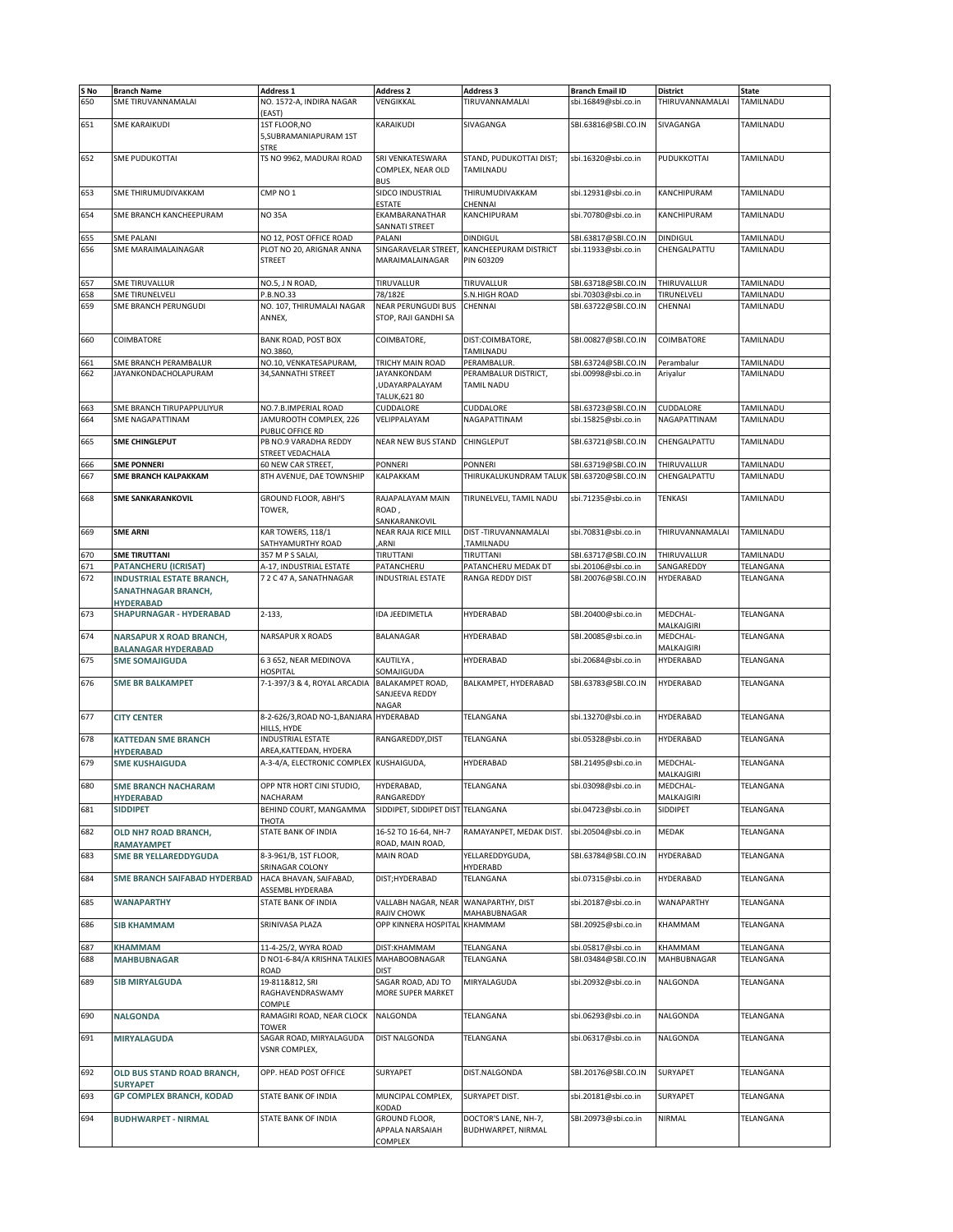| S No<br>650 | <b>Branch Name</b><br>SME TIRUVANNAMALAI              | <b>Address 1</b><br>NO. 1572-A, INDIRA NAGAR           | <b>Address 2</b><br>VENGIKKAL                        | <b>Address 3</b><br>TIRUVANNAMALAI         | <b>Branch Email ID</b><br>sbi.16849@sbi.co.in | <b>District</b><br>THIRUVANNAMALAI | State<br>TAMILNADU |
|-------------|-------------------------------------------------------|--------------------------------------------------------|------------------------------------------------------|--------------------------------------------|-----------------------------------------------|------------------------------------|--------------------|
|             |                                                       | (EAST)                                                 |                                                      |                                            |                                               |                                    |                    |
| 651         | <b>SME KARAIKUDI</b>                                  | 1ST FLOOR, NO<br>5, SUBRAMANIAPURAM 1ST<br><b>STRE</b> | KARAIKUDI                                            | SIVAGANGA                                  | SBI.63816@SBI.CO.IN                           | SIVAGANGA                          | TAMILNADU          |
| 652         | <b>SME PUDUKOTTAI</b>                                 | TS NO 9962, MADURAI ROAD                               | SRI VENKATESWARA<br>COMPLEX. NEAR OLD<br><b>BUS</b>  | STAND, PUDUKOTTAI DIST;<br>TAMILNADU       | sbi.16320@sbi.co.in                           | PUDUKKOTTAI                        | TAMILNADU          |
| 653         | SME THIRUMUDIVAKKAM                                   | CMP NO 1                                               | SIDCO INDUSTRIAL<br>ESTATE                           | THIRUMUDIVAKKAM<br>CHENNAI                 | sbi.12931@sbi.co.in                           | KANCHIPURAM                        | TAMILNADU          |
| 654         | SME BRANCH KANCHEEPURAM                               | <b>NO35A</b>                                           | EKAMBARANATHAR<br>SANNATI STREET                     | KANCHIPURAM                                | sbi.70780@sbi.co.in                           | KANCHIPURAM                        | TAMILNADU          |
| 655         | SME PALANI                                            | NO 12, POST OFFICE ROAD                                | PALANI                                               | <b>DINDIGUL</b>                            | SBI.63817@SBI.CO.IN                           | <b>DINDIGUL</b>                    | TAMILNADU          |
| 656         | SME MARAIMALAINAGAR                                   | PLOT NO 20, ARIGNAR ANNA                               | SINGARAVELAR STREET.                                 | KANCHEEPURAM DISTRICT                      | sbi.11933@sbi.co.in                           | CHENGALPATTU                       | TAMILNADU          |
|             |                                                       | <b>STREET</b>                                          | MARAIMALAINAGAR                                      | PIN 603209                                 |                                               |                                    |                    |
| 657         | <b>SME TIRUVALLUR</b>                                 | NO.5, J N ROAD,                                        | TIRUVALLUR                                           | TIRUVALLUR                                 | SBI.63718@SBI.CO.IN                           | THIRUVALLUR                        | TAMILNADU          |
| 658         | <b>SME TIRUNELVELI</b>                                | P.B.NO.33                                              | 78/182E                                              | <b>S.N.HIGH ROAD</b>                       | sbi.70303@sbi.co.in                           | TIRUNELVELI                        | TAMILNADU          |
| 659         | SME BRANCH PERUNGUDI                                  | NO. 107, THIRUMALAI NAGAR<br>ANNEX,                    | NEAR PERUNGUDI BUS<br>STOP, RAJI GANDHI SA           | CHENNAI                                    | SBI.63722@SBI.CO.IN                           | CHENNAI                            | TAMILNADU          |
| 660         | COIMBATORE                                            | BANK ROAD, POST BOX<br>NO.3860                         | COIMBATORE,                                          | DIST:COIMBATORE,<br>TAMILNADU              | SBI.00827@SBI.CO.IN                           | COIMBATORE                         | TAMILNADU          |
| 661         | SME BRANCH PERAMBALUR                                 | NO.10, VENKATESAPURAM,                                 | TRICHY MAIN ROAD                                     | PERAMBALUR                                 | SBI.63724@SBI.CO.IN                           | Perambalur                         | TAMILNADU          |
| 662         | JAYANKONDACHOLAPURAM                                  | 34, SANNATHI STREET                                    | JAYANKONDAM<br><b>UDAYARPALAYAM</b><br>TALUK, 621 80 | PERAMBALUR DISTRICT,<br>TAMIL NADU         | sbi.00998@sbi.co.in                           | Ariyalur                           | TAMILNADU          |
| 663         | SME BRANCH TIRUPAPPULIYUR                             | NO.7.B.IMPERIAL ROAD                                   | CUDDALORE                                            | CUDDALORE                                  | SBI.63723@SBI.CO.IN                           | CUDDALORE                          | TAMILNADU          |
| 664         | <b>SME NAGAPATTINAM</b>                               | JAMUROOTH COMPLEX, 226<br>PUBLIC OFFICE RD             | VELIPPALAYAM                                         | NAGAPATTINAM                               | sbi.15825@sbi.co.in                           | NAGAPATTINAM                       | TAMILNADU          |
| 665         | <b>SME CHINGLEPUT</b>                                 | PB NO.9 VARADHA REDDY<br>STREET VEDACHALA              | <b>NEAR NEW BUS STAND</b>                            | CHINGLEPUT                                 | SBI.63721@SBI.CO.IN                           | CHENGALPATTU                       | TAMILNADU          |
| 666         | <b>SME PONNERI</b>                                    | 60 NEW CAR STREET,                                     | <b>PONNERI</b>                                       | <b>PONNERI</b>                             | SBI.63719@SBI.CO.IN                           | THIRUVALLUR                        | TAMILNADU          |
| 667         | <b>SME BRANCH KALPAKKAM</b>                           | 8TH AVENUE, DAE TOWNSHIP                               | KALPAKKAM                                            | THIRUKALUKUNDRAM TALUK SBI.63720@SBI.CO.IN |                                               | CHENGALPATTU                       | TAMILNADU          |
| 668         | <b>SME SANKARANKOVIL</b>                              | GROUND FLOOR, ABHI'S<br>TOWER,                         | RAJAPALAYAM MAIN<br>ROAD,                            | TIRUNELVELI, TAMIL NADU                    | sbi.71235@sbi.co.in                           | <b>TENKASI</b>                     | TAMILNADU          |
| 669         | <b>SME ARNI</b>                                       | KAR TOWERS, 118/1                                      | SANKARANKOVIL<br>NEAR RAJA RICE MILL                 | DIST-TIRUVANNAMALAI                        | sbi.70831@sbi.co.in                           | THIRUVANNAMALAI                    | TAMILNADU          |
| 670         | <b>SME TIRUTTANI</b>                                  | SATHYAMURTHY ROAD                                      | <b>ARNI</b><br>TIRUTTANI                             | ,TAMILNADU<br>TIRUTTANI                    | SBI.63717@SBI.CO.IN                           | THIRUVALLUR                        | TAMILNADU          |
| 671         | <b>PATANCHERU (ICRISAT)</b>                           | 357 M P S SALAI,<br>A-17, INDUSTRIAL ESTATE            | PATANCHERU                                           | PATANCHERU MEDAK DT                        | sbi.20106@sbi.co.in                           | SANGAREDDY                         | TELANGANA          |
| 672         | <b>INDUSTRIAL ESTATE BRANCH,</b>                      | 7 2 C 47 A, SANATHNAGAR                                | <b>INDUSTRIAL ESTATE</b>                             | RANGA REDDY DIST                           | SBI.20076@SBI.CO.IN                           | HYDERABAD                          | TELANGANA          |
|             | SANATHNAGAR BRANCH,<br><b>HYDERABAD</b>               |                                                        |                                                      |                                            |                                               |                                    |                    |
| 673         | SHAPURNAGAR - HYDERABAD                               | $2 - 133,$                                             | IDA JEEDIMETLA                                       | HYDERABAD                                  | SBI.20400@sbi.co.in                           | MEDCHAL-<br>MALKAJGIRI             | TELANGANA          |
| 674         | NARSAPUR X ROAD BRANCH,<br><b>BALANAGAR HYDERABAD</b> | NARSAPUR X ROADS                                       | BALANAGAR                                            | HYDERABAD                                  | SBI.20085@sbi.co.in                           | MEDCHAL-<br>MALKAJGIRI             | TELANGANA          |
| 675         | <b>SME SOMAJIGUDA</b>                                 | 6 3 652, NEAR MEDINOVA<br>HOSPITAL                     | KAUTILYA,<br>SOMAJIGUDA                              | HYDERABAD                                  | sbi.20684@sbi.co.in                           | HYDERABAD                          | TELANGANA          |
| 676         | <b>SME BR BALKAMPET</b>                               | 7-1-397/3 & 4, ROYAL ARCADIA                           | BALAKAMPET ROAD,<br>SANJEEVA REDDY<br>NAGAR          | BALKAMPET, HYDERABAD                       | SBI.63783@SBI.CO.IN                           | HYDERABAD                          | TELANGANA          |
| 677         | <b>CITY CENTER</b>                                    | 8-2-626/3, ROAD NO-1, BANJARA HYDERABAD<br>HILLS, HYDE |                                                      | TELANGANA                                  | sbi.13270@sbi.co.in                           | HYDERABAD                          | TELANGANA          |
| 678         | <b>KATTEDAN SME BRANCH</b>                            | <b>INDUSTRIAL ESTATE</b><br>AREA, KATTEDAN, HYDERA     | RANGAREDDY, DIST                                     | TELANGANA                                  | sbi.05328@sbi.co.in                           | <b>HYDERABAD</b>                   | TELANGANA          |
| 679         | <b>HYDERABAD</b><br><b>SME KUSHAIGUDA</b>             | A-3-4/A, ELECTRONIC COMPLEX KUSHAIGUDA,                |                                                      | HYDERABAD                                  | SBI.21495@sbi.co.in                           | MEDCHAL-                           | TELANGANA          |
| 680         | <b>SME BRANCH NACHARAM</b>                            | OPP NTR HORT CINI STUDIO,                              | HYDERABAD,                                           | TELANGANA                                  | sbi.03098@sbi.co.in                           | MALKAJGIRI<br>MEDCHAL-             | TELANGANA          |
| 681         | <b>HYDERABAD</b><br><b>SIDDIPET</b>                   | <b>NACHARAM</b><br>BEHIND COURT, MANGAMMA              | RANGAREDDY<br>SIDDIPET, SIDDIPET DIST                | TELANGANA                                  | sbi.04723@sbi.co.in                           | MALKAJGIRI<br>SIDDIPET             | TELANGANA          |
| 682         | OLD NH7 ROAD BRANCH,                                  | THOTA<br>STATE BANK OF INDIA                           | 16-52 TO 16-64, NH-7                                 | RAMAYANPET, MEDAK DIST.                    | sbi.20504@sbi.co.in                           | MEDAK                              | TELANGANA          |
| 683         | RAMAYAMPET<br><b>SME BR YELLAREDDYGUDA</b>            | 8-3-961/B, 1ST FLOOR,                                  | ROAD, MAIN ROAD,<br><b>MAIN ROAD</b>                 | YELLAREDDYGUDA,                            | SBI.63784@SBI.CO.IN                           | HYDERABAD                          | TELANGANA          |
|             |                                                       | SRINAGAR COLONY<br>HACA BHAVAN, SAIFABAD,              |                                                      | HYDERABD                                   |                                               |                                    |                    |
| 684         | SME BRANCH SAIFABAD HYDERBAD                          | ASSEMBL HYDERABA                                       | DIST;HYDERABAD                                       | TELANGANA                                  | sbi.07315@sbi.co.in                           | HYDERABAD                          | TELANGANA          |
| 685         | <b>WANAPARTHY</b>                                     | STATE BANK OF INDIA                                    | VALLABH NAGAR, NEAR<br>RAJIV CHOWK                   | WANAPARTHY, DIST<br>MAHABUBNAGAR           | sbi.20187@sbi.co.in                           | WANAPARTHY                         | TELANGANA          |
| 686         | <b>SIB KHAMMAM</b>                                    | SRINIVASA PLAZA                                        | OPP KINNERA HOSPITAL                                 | KHAMMAM                                    | SBI.20925@sbi.co.in                           | KHAMMAM                            | TELANGANA          |
| 687         | <b>KHAMMAM</b>                                        | 11-4-25/2, WYRA ROAD                                   | DIST:KHAMMAM                                         | TELANGANA                                  | sbi.05817@sbi.co.in                           | KHAMMAM                            | TELANGANA          |
| 688         | <b>MAHBUBNAGAR</b>                                    | D NO1-6-84/A KRISHNA TALKIES<br>ROAD                   | MAHABOOBNAGAR<br>dist                                | TELANGANA                                  | SBI.03484@SBI.CO.IN                           | MAHBUBNAGAR                        | TELANGANA          |
| 689         | <b>SIB MIRYALGUDA</b>                                 | 19-811&812, SRI<br>RAGHAVENDRASWAMY<br>COMPLE          | SAGAR ROAD, ADJ TO<br>MORE SUPER MARKET              | MIRYALAGUDA                                | sbi.20932@sbi.co.in                           | NALGONDA                           | TELANGANA          |
| 690         | <b>NALGONDA</b>                                       | RAMAGIRI ROAD, NEAR CLOCK<br><b>TOWER</b>              | NALGONDA                                             | TELANGANA                                  | sbi.06293@sbi.co.in                           | NALGONDA                           | TELANGANA          |
| 691         | MIRYALAGUDA                                           | SAGAR ROAD, MIRYALAGUDA<br>VSNR COMPLEX,               | DIST NALGONDA                                        | TELANGANA                                  | sbi.06317@sbi.co.in                           | NALGONDA                           | TELANGANA          |
| 692         | OLD BUS STAND ROAD BRANCH,                            | OPP. HEAD POST OFFICE                                  | SURYAPET                                             | DIST.NALGONDA                              | SBI.20176@SBI.CO.IN                           | SURYAPET                           | TELANGANA          |
| 693         | <b>SURYAPET</b><br>GP COMPLEX BRANCH, KODAD           | STATE BANK OF INDIA                                    | MUNCIPAL COMPLEX,                                    | SURYAPET DIST.                             | sbi.20181@sbi.co.in                           | SURYAPET                           | TELANGANA          |
| 694         | <b>BUDHWARPET - NIRMAL</b>                            | STATE BANK OF INDIA                                    | KODAD<br>GROUND FLOOR,                               | DOCTOR'S LANE, NH-7,                       | SBI.20973@sbi.co.in                           | NIRMAL                             | TELANGANA          |
|             |                                                       |                                                        | APPALA NARSAIAH<br>COMPLEX                           | BUDHWARPET, NIRMAL                         |                                               |                                    |                    |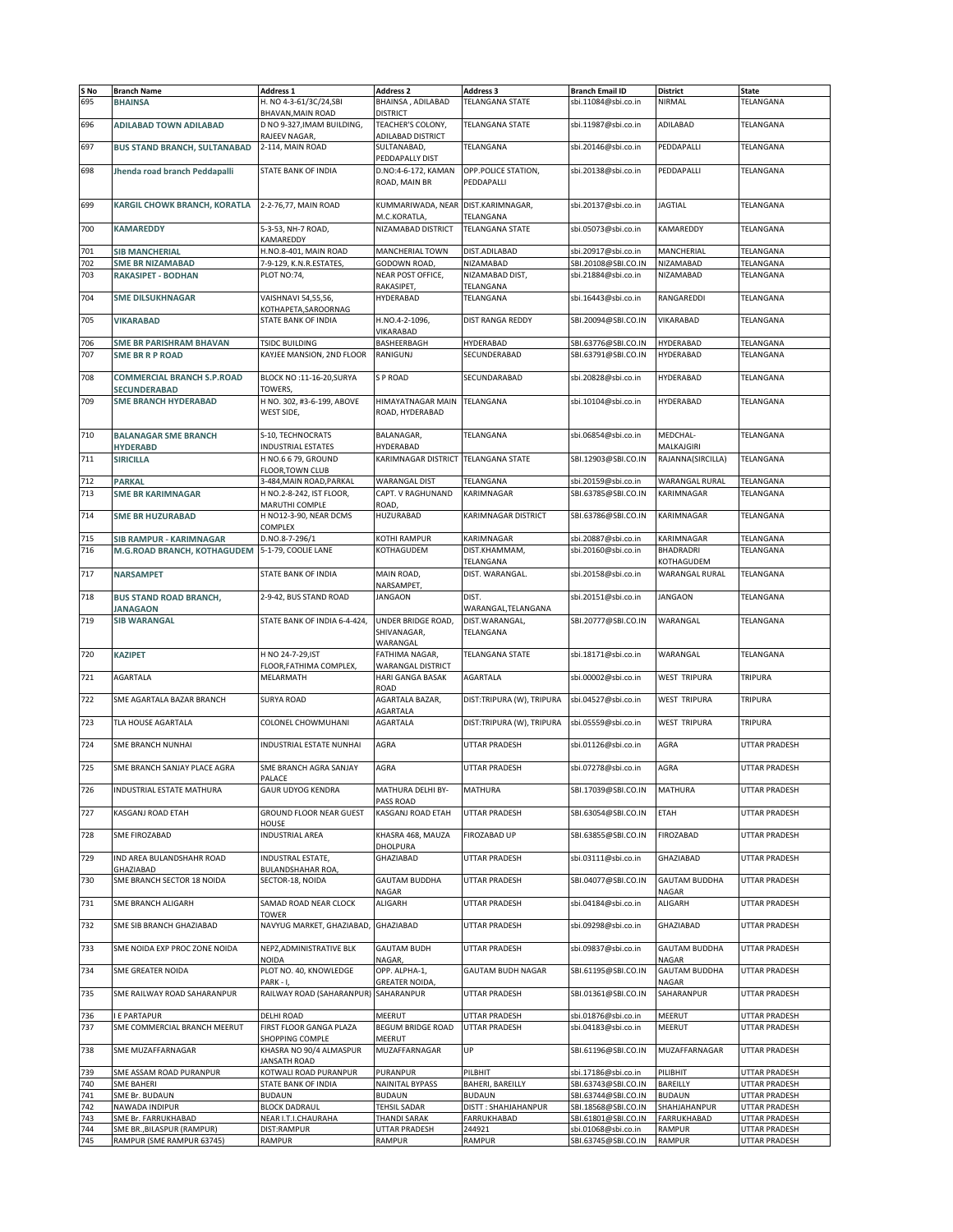| S No | <b>Branch Name</b>                  | Address 1                    | <b>Address 2</b>         | <b>Address 3</b>           | <b>Branch Email ID</b> | District             | State                |
|------|-------------------------------------|------------------------------|--------------------------|----------------------------|------------------------|----------------------|----------------------|
| 695  | <b>BHAINSA</b>                      | H. NO 4-3-61/3C/24,SBI       | BHAINSA, ADILABAD        | TELANGANA STATE            | sbi.11084@sbi.co.in    | NIRMAL               | TELANGANA            |
|      |                                     | BHAVAN, MAIN ROAD            | <b>DISTRICT</b>          |                            |                        |                      |                      |
| 696  | <b>ADILABAD TOWN ADILABAD</b>       | D NO 9-327, IMAM BUILDING,   | TEACHER'S COLONY,        | <b>TELANGANA STATE</b>     | sbi.11987@sbi.co.in    | ADILABAD             | TELANGANA            |
|      |                                     | RAJEEV NAGAR,                | ADILABAD DISTRICT        |                            |                        |                      |                      |
| 697  | <b>BUS STAND BRANCH, SULTANABAD</b> | 2-114, MAIN ROAD             | SULTANABAD,              | TELANGANA                  | sbi.20146@sbi.co.in    | PEDDAPALLI           | TELANGANA            |
|      |                                     |                              | PEDDAPALLY DIST          |                            |                        |                      |                      |
| 698  | Jhenda road branch Peddapalli       | STATE BANK OF INDIA          | D.NO:4-6-172, KAMAN      | OPP.POLICE STATION.        | sbi.20138@sbi.co.in    | PEDDAPALLI           | TELANGANA            |
|      |                                     |                              | ROAD, MAIN BR            | PEDDAPALLI                 |                        |                      |                      |
|      |                                     |                              |                          |                            |                        |                      |                      |
| 699  | KARGIL CHOWK BRANCH, KORATLA        | 2-2-76,77, MAIN ROAD         | KUMMARIWADA, NEAR        | DIST.KARIMNAGAR,           | sbi.20137@sbi.co.in    | <b>JAGTIAL</b>       | TELANGANA            |
|      |                                     |                              |                          |                            |                        |                      |                      |
|      |                                     |                              | M.C.KORATLA,             | TELANGANA                  |                        |                      |                      |
| 700  | <b>KAMAREDDY</b>                    | 5-3-53, NH-7 ROAD,           | NIZAMABAD DISTRICT       | <b>TELANGANA STATE</b>     | sbi.05073@sbi.co.in    | KAMAREDDY            | TELANGANA            |
|      |                                     | KAMAREDDY                    |                          |                            |                        |                      |                      |
| 701  | <b>SIB MANCHERIAL</b>               | H.NO.8-401, MAIN ROAD        | MANCHERIAL TOWN          | DIST.ADILABAD              | sbi.20917@sbi.co.in    | MANCHERIAL           | TELANGANA            |
| 702  | <b>SME BR NIZAMABAD</b>             | 7-9-129, K.N.R.ESTATES,      | GODOWN ROAD,             | NIZAMABAD                  | SBI.20108@SBI.CO.IN    | NIZAMABAD            | TELANGANA            |
| 703  | <b>RAKASIPET - BODHAN</b>           | PLOT NO:74,                  | NEAR POST OFFICE,        | NIZAMABAD DIST,            | sbi.21884@sbi.co.in    | NIZAMABAD            | TELANGANA            |
|      |                                     |                              | RAKASIPET,               | TELANGANA                  |                        |                      |                      |
| 704  | <b>SME DILSUKHNAGAR</b>             | VAISHNAVI 54,55,56,          | HYDERABAD                | TELANGANA                  | sbi.16443@sbi.co.in    | RANGAREDDI           | TELANGANA            |
|      |                                     | KOTHAPETA,SAROORNAG          |                          |                            |                        |                      |                      |
| 705  | <b>VIKARABAD</b>                    | STATE BANK OF INDIA          | H.NO.4-2-1096,           | DIST RANGA REDDY           | SBI.20094@SBI.CO.IN    | VIKARABAD            | TELANGANA            |
|      |                                     |                              | VIKARABAD                |                            |                        |                      |                      |
| 706  |                                     | TSIDC BUILDING               | BASHEERBAGH              | HYDERABAD                  | SBI.63776@SBI.CO.IN    | HYDERABAD            | TELANGANA            |
|      | <b>SME BR PARISHRAM BHAVAN</b>      |                              |                          |                            |                        |                      |                      |
| 707  | <b>SME BR R P ROAD</b>              | KAYJEE MANSION, 2ND FLOOR    | RANIGUNJ                 | SECUNDERABAD               | SBI.63791@SBI.CO.IN    | HYDERABAD            | TELANGANA            |
|      |                                     |                              |                          |                            |                        |                      |                      |
| 708  | <b>COMMERCIAL BRANCH S.P.ROAD</b>   | BLOCK NO :11-16-20, SURYA    | S P ROAD                 | SECUNDARABAD               | sbi.20828@sbi.co.in    | HYDERABAD            | TELANGANA            |
|      | <b>SECUNDERABAD</b>                 | TOWERS,                      |                          |                            |                        |                      |                      |
| 709  | <b>SME BRANCH HYDERABAD</b>         | H NO. 302, #3-6-199, ABOVE   | HIMAYATNAGAR MAIN        | TELANGANA                  | sbi.10104@sbi.co.in    | HYDERABAD            | TELANGANA            |
|      |                                     | WEST SIDE,                   | ROAD, HYDERABAD          |                            |                        |                      |                      |
|      |                                     |                              |                          |                            |                        |                      |                      |
| 710  | <b>BALANAGAR SME BRANCH</b>         | S-10, TECHNOCRATS            | BALANAGAR,               | TELANGANA                  | sbi.06854@sbi.co.in    | MEDCHAL-             | <b>TELANGANA</b>     |
|      | <b>HYDERABD</b>                     | INDUSTRIAL ESTATES           | HYDERABAD                |                            |                        | MALKAJGIRI           |                      |
|      |                                     |                              |                          |                            |                        |                      | TELANGANA            |
| 711  | <b>SIRICILLA</b>                    | H NO.6 6 79, GROUND          | KARIMNAGAR DISTRICT      | <b>TELANGANA STATE</b>     | SBI.12903@SBI.CO.IN    | RAJANNA(SIRCILLA)    |                      |
|      |                                     | FLOOR, TOWN CLUB             |                          |                            |                        |                      |                      |
| 712  | <b>PARKAL</b>                       | 3-484, MAIN ROAD, PARKAL     | <b>WARANGAL DIST</b>     | TELANGANA                  | sbi.20159@sbi.co.in    | WARANGAL RURAL       | <b>TELANGANA</b>     |
| 713  | <b>SME BR KARIMNAGAR</b>            | H NO.2-8-242, IST FLOOR,     | CAPT. V RAGHUNAND        | KARIMNAGAR                 | SBI.63785@SBI.CO.IN    | KARIMNAGAR           | TELANGANA            |
|      |                                     | MARUTHI COMPLE               | ROAD,                    |                            |                        |                      |                      |
| 714  | <b>SME BR HUZURABAD</b>             | H NO12-3-90, NEAR DCMS       | HUZURABAD                | <b>KARIMNAGAR DISTRICT</b> | SBI.63786@SBI.CO.IN    | KARIMNAGAR           | TELANGANA            |
|      |                                     | COMPLEX                      |                          |                            |                        |                      |                      |
| 715  | <b>SIB RAMPUR - KARIMNAGAR</b>      | D.NO.8-7-296/1               | KOTHI RAMPUR             | KARIMNAGAR                 | sbi.20887@sbi.co.in    | KARIMNAGAR           | TELANGANA            |
| 716  | M.G.ROAD BRANCH, KOTHAGUDEM         | 5-1-79, COOLIE LANE          | KOTHAGUDEM               | DIST.KHAMMAM,              | sbi.20160@sbi.co.in    | BHADRADRI            | TELANGANA            |
|      |                                     |                              |                          | TELANGANA                  |                        | KOTHAGUDEM           |                      |
| 717  |                                     | STATE BANK OF INDIA          |                          | DIST. WARANGAL.            |                        | WARANGAL RURAL       | TELANGANA            |
|      | <b>NARSAMPET</b>                    |                              | MAIN ROAD,               |                            | sbi.20158@sbi.co.in    |                      |                      |
|      |                                     |                              | NARSAMPET,               |                            |                        |                      |                      |
| 718  | <b>BUS STAND ROAD BRANCH,</b>       | 2-9-42, BUS STAND ROAD       | <b>JANGAON</b>           | DIST.                      | sbi.20151@sbi.co.in    | <b>JANGAON</b>       | TELANGANA            |
|      | <b>JANAGAON</b>                     |                              |                          | WARANGAL, TELANGANA        |                        |                      |                      |
| 719  | <b>SIB WARANGAL</b>                 | STATE BANK OF INDIA 6-4-424, | UNDER BRIDGE ROAD,       | DIST. WARANGAL,            | SBI.20777@SBI.CO.IN    | WARANGAL             | TELANGANA            |
|      |                                     |                              | SHIVANAGAR,              | TELANGANA                  |                        |                      |                      |
|      |                                     |                              | WARANGAL                 |                            |                        |                      |                      |
| 720  | <b>KAZIPET</b>                      | H NO 24-7-29, IST            | FATHIMA NAGAR,           | <b>TELANGANA STATE</b>     | sbi.18171@sbi.co.in    | WARANGAL             | TELANGANA            |
|      |                                     | FLOOR, FATHIMA COMPLEX,      | <b>WARANGAL DISTRICT</b> |                            |                        |                      |                      |
| 721  | <b>AGARTALA</b>                     | MELARMATH                    | HARI GANGA BASAK         | <b>AGARTALA</b>            | sbi.00002@sbi.co.in    | WEST TRIPURA         | TRIPURA              |
|      |                                     |                              | ROAD                     |                            |                        |                      |                      |
| 722  | SME AGARTALA BAZAR BRANCH           | <b>SURYA ROAD</b>            | AGARTALA BAZAR,          | DIST:TRIPURA (W), TRIPURA  | sbi.04527@sbi.co.in    | WEST TRIPURA         | <b>TRIPURA</b>       |
|      |                                     |                              |                          |                            |                        |                      |                      |
|      |                                     |                              | AGARTALA                 |                            |                        | <b>WEST TRIPURA</b>  |                      |
| 723  | TLA HOUSE AGARTALA                  | COLONEL CHOWMUHANI           | <b>AGARTALA</b>          | DIST:TRIPURA (W), TRIPURA  | sbi.05559@sbi.co.in    |                      | TRIPURA              |
|      |                                     |                              |                          |                            |                        |                      |                      |
| 724  | SME BRANCH NUNHAI                   | INDUSTRIAL ESTATE NUNHAI     | AGRA                     | UTTAR PRADESH              | sbi.01126@sbi.co.in    | AGRA                 | UTTAR PRADESH        |
|      |                                     |                              |                          |                            |                        |                      |                      |
| 725  | SME BRANCH SANJAY PLACE AGRA        | SME BRANCH AGRA SANJAY       | AGRA                     | UTTAR PRADESH              | sbi.07278@sbi.co.in    | AGRA                 | UTTAR PRADESH        |
|      |                                     | PALACE                       |                          |                            |                        |                      |                      |
| 726  | INDUSTRIAL ESTATE MATHURA           | <b>GAUR UDYOG KENDRA</b>     | MATHURA DELHI BY-        | MATHURA                    | SBI.17039@SBI.CO.IN    | MATHURA              | UTTAR PRADESH        |
|      |                                     |                              | PASS ROAD                |                            |                        |                      |                      |
| 727  | KASGANJ ROAD ETAH                   | GROUND FLOOR NEAR GUEST      | KASGANJ ROAD ETAH        | UTTAR PRADESH              | SBI.63054@SBI.CO.IN    | ETAH                 | UTTAR PRADESH        |
|      |                                     | <b>HOUSE</b>                 |                          |                            |                        |                      |                      |
| 728  | SME FIROZABAD                       | <b>INDUSTRIAL AREA</b>       | KHASRA 468, MAUZA        | FIROZABAD UP               | SBI.63855@SBI.CO.IN    | FIROZABAD            | UTTAR PRADESH        |
|      |                                     |                              | DHOLPURA                 |                            |                        |                      |                      |
| 729  | IND AREA BULANDSHAHR ROAD           | INDUSTRAL ESTATE,            | GHAZIABAD                | <b>UTTAR PRADESH</b>       | sbi.03111@sbi.co.in    | GHAZIABAD            | UTTAR PRADESH        |
|      | GHAZIABAD                           | BULANDSHAHAR ROA,            |                          |                            |                        |                      |                      |
|      |                                     |                              | <b>GAUTAM BUDDHA</b>     |                            |                        |                      | <b>UTTAR PRADESH</b> |
| 730  | SME BRANCH SECTOR 18 NOIDA          | SECTOR-18, NOIDA             |                          | <b>UTTAR PRADESH</b>       | SBI.04077@SBI.CO.IN    | <b>GAUTAM BUDDHA</b> |                      |
|      |                                     |                              | NAGAR                    |                            |                        | NAGAR                |                      |
| 731  | SME BRANCH ALIGARH                  | SAMAD ROAD NEAR CLOCK        | ALIGARH                  | UTTAR PRADESH              | sbi.04184@sbi.co.in    | ALIGARH              | UTTAR PRADESH        |
|      |                                     | TOWER                        |                          |                            |                        |                      |                      |
| 732  | SME SIB BRANCH GHAZIABAD            | NAVYUG MARKET, GHAZIABAD,    | GHAZIABAD                | UTTAR PRADESH              | sbi.09298@sbi.co.in    | GHAZIABAD            | UTTAR PRADESH        |
|      |                                     |                              |                          |                            |                        |                      |                      |
| 733  | SME NOIDA EXP PROC ZONE NOIDA       | NEPZ, ADMINISTRATIVE BLK     | <b>GAUTAM BUDH</b>       | UTTAR PRADESH              | sbi.09837@sbi.co.in    | <b>GAUTAM BUDDHA</b> | UTTAR PRADESH        |
|      |                                     | NOIDA                        | NAGAR,                   |                            |                        | NAGAR                |                      |
| 734  | SME GREATER NOIDA                   | PLOT NO. 40, KNOWLEDGE       | OPP. ALPHA-1,            | <b>GAUTAM BUDH NAGAR</b>   | SBI.61195@SBI.CO.IN    | <b>GAUTAM BUDDHA</b> | UTTAR PRADESH        |
|      |                                     | PARK-I,                      | GREATER NOIDA,           |                            |                        | NAGAR                |                      |
| 735  | SME RAILWAY ROAD SAHARANPUR         | RAILWAY ROAD (SAHARANPUR)    | SAHARANPUR               | UTTAR PRADESH              | SBI.01361@SBI.CO.IN    | SAHARANPUR           | UTTAR PRADESH        |
|      |                                     |                              |                          |                            |                        |                      |                      |
| 736  | <b>E PARTAPUR</b>                   | DELHI ROAD                   | MEERUT                   | UTTAR PRADESH              | sbi.01876@sbi.co.in    | MEERUT               | UTTAR PRADESH        |
| 737  | SME COMMERCIAL BRANCH MEERUT        | FIRST FLOOR GANGA PLAZA      | BEGUM BRIDGE ROAD        | UTTAR PRADESH              | sbi.04183@sbi.co.in    | MEERUT               | UTTAR PRADESH        |
|      |                                     |                              | MEERUT                   |                            |                        |                      |                      |
|      |                                     | SHOPPING COMPLE              |                          | UP                         |                        |                      |                      |
| 738  | SME MUZAFFARNAGAR                   | KHASRA NO 90/4 ALMASPUR      | MUZAFFARNAGAR            |                            | SBI.61196@SBI.CO.IN    | MUZAFFARNAGAR        | UTTAR PRADESH        |
|      |                                     | JANSATH ROAD                 |                          |                            |                        |                      |                      |
| 739  | SME ASSAM ROAD PURANPUR             | KOTWALI ROAD PURANPUR        | PURANPUR                 | PILBHIT                    | sbi.17186@sbi.co.in    | PILIBHIT             | UTTAR PRADESH        |
| 740  | <b>SME BAHERI</b>                   | STATE BANK OF INDIA          | NAINITAL BYPASS          | <b>BAHERI, BAREILLY</b>    | SBI.63743@SBI.CO.IN    | BAREILLY             | UTTAR PRADESH        |
| 741  | SME Br. BUDAUN                      | <b>BUDAUN</b>                | <b>BUDAUN</b>            | <b>BUDAUN</b>              | SBI.63744@SBI.CO.IN    | <b>BUDAUN</b>        | UTTAR PRADESH        |
| 742  | NAWADA INDIPUR                      | <b>BLOCK DADRAUL</b>         | <b>TEHSIL SADAR</b>      | DISTT: SHAHJAHANPUR        | SBI.18568@SBI.CO.IN    | SHAHJAHANPUR         | UTTAR PRADESH        |
| 743  | SME Br. FARRUKHABAD                 | NEAR I.T.I.CHAURAHA          | <b>THANDI SARAK</b>      | <b>FARRUKHABAD</b>         | SBI.61801@SBI.CO.IN    | <b>FARRUKHABAD</b>   | UTTAR PRADESH        |
| 744  | SME BR., BILASPUR (RAMPUR)          | DIST:RAMPUR                  | <b>UTTAR PRADESH</b>     | 244921                     | sbi.01068@sbi.co.in    | RAMPUR               | UTTAR PRADESH        |
| 745  | RAMPUR (SME RAMPUR 63745)           | RAMPUR                       | RAMPUR                   | RAMPUR                     | SBI.63745@SBI.CO.IN    | RAMPUR               | UTTAR PRADESH        |
|      |                                     |                              |                          |                            |                        |                      |                      |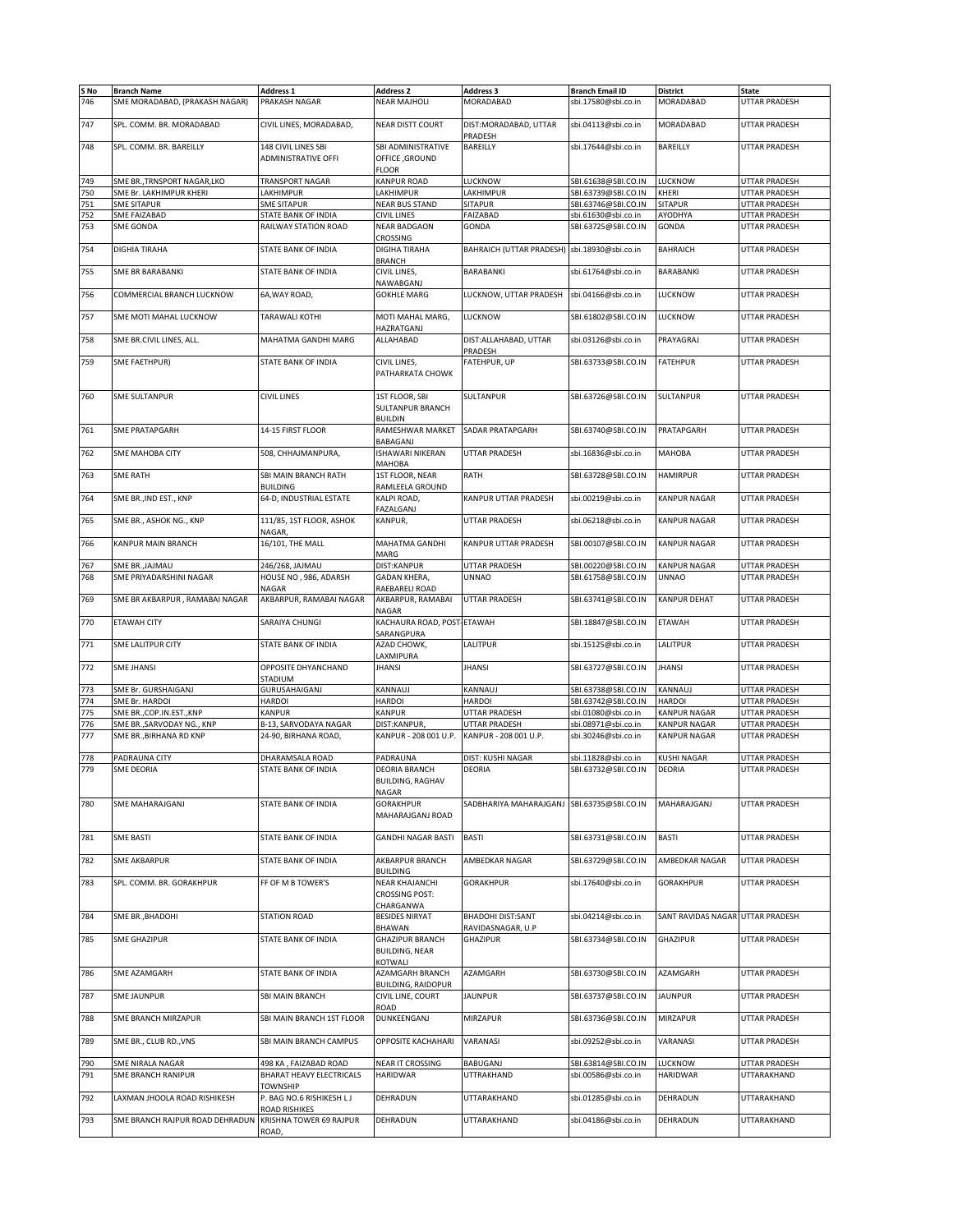| S No<br>746 | <b>Branch Name</b><br>SME MORADABAD, (PRAKASH NAGAR) | Address 1<br>PRAKASH NAGAR                        | <b>Address 2</b><br><b>NEAR MAJHOLI</b>                    | Address 3<br>MORADABAD                        | <b>Branch Email ID</b><br>sbi.17580@sbi.co.in | District<br>MORADABAD            | <b>State</b><br>UTTAR PRADESH       |
|-------------|------------------------------------------------------|---------------------------------------------------|------------------------------------------------------------|-----------------------------------------------|-----------------------------------------------|----------------------------------|-------------------------------------|
| 747         | SPL. COMM. BR. MORADABAD                             | CIVIL LINES, MORADABAD,                           | <b>NEAR DISTT COURT</b>                                    | DIST:MORADABAD, UTTAR                         | sbi.04113@sbi.co.in                           | MORADABAD                        | <b>UTTAR PRADESH</b>                |
|             |                                                      |                                                   |                                                            | PRADESH                                       |                                               |                                  |                                     |
| 748         | SPL. COMM. BR. BAREILLY                              | 148 CIVIL LINES SBI<br>ADMINISTRATIVE OFFI        | SBI ADMINISTRATIVE<br>OFFICE, GROUND<br><b>FLOOR</b>       | BAREILLY                                      | sbi.17644@sbi.co.in                           | BAREILLY                         | UTTAR PRADESH                       |
| 749         | SME BR., TRNSPORT NAGAR, LKO                         | <b>TRANSPORT NAGAR</b>                            | <b>KANPUR ROAD</b>                                         | LUCKNOW                                       | SBI.61638@SBI.CO.IN                           | LUCKNOW                          | UTTAR PRADESH                       |
| 750         | SME Br. LAKHIMPUR KHERI                              | LAKHIMPUR                                         | LAKHIMPUR                                                  | LAKHIMPUR                                     | SBI.63739@SBI.CO.IN                           | KHERI                            | UTTAR PRADESH                       |
| 751         | <b>SME SITAPUR</b>                                   | <b>SME SITAPUR</b>                                | <b>NEAR BUS STAND</b>                                      | <b>SITAPUR</b>                                | SBI.63746@SBI.CO.IN                           | <b>SITAPUR</b>                   | UTTAR PRADESH                       |
|             |                                                      |                                                   |                                                            |                                               |                                               |                                  |                                     |
| 752         | SME FAIZABAD                                         | STATE BANK OF INDIA                               | <b>CIVIL LINES</b>                                         | FAIZABAD                                      | sbi.61630@sbi.co.in                           | AYODHYA                          | UTTAR PRADESH                       |
| 753         | <b>SME GONDA</b>                                     | RAILWAY STATION ROAD                              | <b>NEAR BADGAON</b><br>CROSSING                            | GONDA                                         | SBI.63725@SBI.CO.IN                           | GONDA                            | UTTAR PRADESH                       |
| 754         | DIGHIA TIRAHA                                        | STATE BANK OF INDIA                               | <b>DIGIHA TIRAHA</b><br><b>BRANCH</b>                      | BAHRAICH (UTTAR PRADESH) sbi.18930@sbi.co.in  |                                               | <b>BAHRAICH</b>                  | UTTAR PRADESH                       |
| 755         | <b>SME BR BARABANKI</b>                              | STATE BANK OF INDIA                               | CIVIL LINES,<br>NAWABGANJ                                  | <b>BARABANKI</b>                              | sbi.61764@sbi.co.in                           | BARABANKI                        | UTTAR PRADESH                       |
| 756         | COMMERCIAL BRANCH LUCKNOW                            | 6A, WAY ROAD,                                     | <b>GOKHLE MARG</b>                                         | LUCKNOW, UTTAR PRADESH                        | sbi.04166@sbi.co.in                           | LUCKNOW                          | UTTAR PRADESH                       |
| 757         | SME MOTI MAHAL LUCKNOW                               | TARAWALI KOTHI                                    | MOTI MAHAL MARG,                                           | LUCKNOW                                       | SBI.61802@SBI.CO.IN                           | LUCKNOW                          | UTTAR PRADESH                       |
| 758         | SME BR.CIVIL LINES, ALL.                             | MAHATMA GANDHI MARG                               | HAZRATGANJ<br>ALLAHABAD                                    | DIST: ALLAHABAD, UTTAR                        | sbi.03126@sbi.co.in                           | PRAYAGRAJ                        | UTTAR PRADESH                       |
| 759         | SME FAETHPUR)                                        | STATE BANK OF INDIA                               | CIVIL LINES,                                               | PRADESH<br>FATEHPUR, UP                       | SBI.63733@SBI.CO.IN                           | <b>FATEHPUR</b>                  | UTTAR PRADESH                       |
|             |                                                      |                                                   | PATHARKATA CHOWK                                           |                                               |                                               |                                  |                                     |
| 760         | <b>SME SULTANPUR</b>                                 | <b>CIVIL LINES</b>                                | 1ST FLOOR, SBI<br>SULTANPUR BRANCH<br><b>BUILDIN</b>       | SULTANPUR                                     | SBI.63726@SBI.CO.IN                           | SULTANPUR                        | UTTAR PRADESH                       |
| 761         | <b>SME PRATAPGARH</b>                                | 14-15 FIRST FLOOR                                 | RAMESHWAR MARKET<br>BABAGANJ                               | SADAR PRATAPGARH                              | SBI.63740@SBI.CO.IN                           | PRATAPGARH                       | UTTAR PRADESH                       |
| 762         | <b>SME MAHOBA CITY</b>                               | 508, CHHAJMANPURA,                                | <b>ISHAWARI NIKERAN</b>                                    | UTTAR PRADESH                                 | sbi.16836@sbi.co.in                           | <b>MAHOBA</b>                    | UTTAR PRADESH                       |
| 763         | <b>SME RATH</b>                                      | SBI MAIN BRANCH RATH                              | МАНОВА<br>1ST FLOOR, NEAR                                  | RATH                                          | SBI.63728@SBI.CO.IN                           | <b>HAMIRPUR</b>                  | UTTAR PRADESH                       |
| 764         | SME BR., IND EST., KNP                               | <b>BUILDING</b><br>64-D, INDUSTRIAL ESTATE        | RAMLEELA GROUND<br>KALPI ROAD,                             | KANPUR UTTAR PRADESH                          | sbi.00219@sbi.co.in                           | <b>KANPUR NAGAR</b>              | UTTAR PRADESH                       |
| 765         | SME BR., ASHOK NG., KNP                              | 111/85, 1ST FLOOR, ASHOK                          | FAZALGANJ<br><b>KANPUR.</b>                                | UTTAR PRADESH                                 | sbi.06218@sbi.co.in                           | <b>KANPUR NAGAR</b>              | UTTAR PRADESH                       |
| 766         | KANPUR MAIN BRANCH                                   | NAGAR,<br>16/101, THE MALL                        | MAHATMA GANDHI                                             | KANPUR UTTAR PRADESH                          | SBI.00107@SBI.CO.IN                           | <b>KANPUR NAGAR</b>              | UTTAR PRADESH                       |
| 767         | SME BR., JAJMAU                                      | 246/268, JAJMAU                                   | MARG<br>DIST:KANPUR                                        | UTTAR PRADESH                                 | SBI.00220@SBI.CO.IN                           | <b>KANPUR NAGAR</b>              | UTTAR PRADESH                       |
| 768         | SME PRIYADARSHINI NAGAR                              | HOUSE NO, 986, ADARSH                             | <b>GADAN KHERA,</b>                                        | <b>UNNAO</b>                                  | SBI.61758@SBI.CO.IN                           | <b>UNNAO</b>                     | UTTAR PRADESH                       |
|             |                                                      |                                                   |                                                            |                                               |                                               |                                  |                                     |
| 769         | SME BR AKBARPUR, RAMABAI NAGAR                       | NAGAR<br>AKBARPUR, RAMABAI NAGAR                  | RAEBARELI ROAD<br>AKBARPUR, RAMABAI                        | UTTAR PRADESH                                 | SBI.63741@SBI.CO.IN                           | <b>KANPUR DEHAT</b>              | UTTAR PRADESH                       |
|             |                                                      |                                                   | NAGAR                                                      |                                               |                                               |                                  |                                     |
| 770         | <b>ETAWAH CITY</b>                                   | SARAIYA CHUNGI                                    | KACHAURA ROAD, POST-ETAWAH<br>SARANGPURA                   |                                               | SBI.18847@SBI.CO.IN                           | <b>ETAWAH</b>                    | UTTAR PRADESH                       |
| 771         | <b>SME LALITPUR CITY</b>                             | STATE BANK OF INDIA                               | AZAD CHOWK,<br>LAXMIPURA                                   | LALITPUR                                      | sbi.15125@sbi.co.in                           | LALITPUR                         | UTTAR PRADESH                       |
| 772         | <b>SME JHANSI</b>                                    | OPPOSITE DHYANCHAND<br>STADIUM                    | <b>JHANSI</b>                                              | <b>JHANSI</b>                                 | SBI.63727@SBI.CO.IN                           | <b>JHANSI</b>                    | UTTAR PRADESH                       |
| 773         | SME Br. GURSHAIGANJ                                  | GURUSAHAIGANJ                                     | KANNAUJ                                                    | KANNAUJ                                       | SBI.63738@SBI.CO.IN                           | KANNAUJ                          | UTTAR PRADESH                       |
| 774         | SME Br. HARDOI                                       | <b>HARDOI</b>                                     | <b>HARDOI</b>                                              | <b>HARDOI</b>                                 | SBI.63742@SBI.CO.IN                           | <b>HARDOI</b>                    | UTTAR PRADESH                       |
| 775         | SME BR., COP. IN. EST., KNP                          | KANPUR                                            | <b>KANPUR</b>                                              | UTTAR PRADESH                                 | sbi.01080@sbi.co.in                           | <b>KANPUR NAGAR</b>              | UTTAR PRADESH                       |
| 776         | SME BR.,SARVODAY NG., KNP                            | B-13, SARVODAYA NAGAR                             | DIST:KANPUR,                                               | <b>UTTAR PRADESH</b>                          | sbi.08971@sbi.co.in                           | <b>KANPUR NAGAR</b>              | UTTAR PRADESH                       |
|             |                                                      |                                                   | KANPUR - 208 001 U.P.                                      |                                               |                                               |                                  |                                     |
| 777         | SME BR., BIRHANA RD KNP                              | 24-90, BIRHANA ROAD,                              |                                                            | KANPUR - 208 001 U.P.                         | sbi.30246@sbi.co.in                           | <b>KANPUR NAGAR</b>              | UTTAR PRADESH                       |
|             |                                                      |                                                   |                                                            |                                               |                                               |                                  |                                     |
| 778         | PADRAUNA CITY                                        | DHARAMSALA ROAD                                   | PADRAUNA                                                   | DIST: KUSHI NAGAR                             | sbi.11828@sbi.co.in                           | <b>KUSHI NAGAR</b>               | UTTAR PRADESH                       |
| 779         | <b>SME DEORIA</b>                                    | STATE BANK OF INDIA                               | <b>DEORIA BRANCH</b><br>BUILDING, RAGHAV<br>NAGAR          | DEORIA                                        | SBI.63732@SBI.CO.IN                           | DEORIA                           | UTTAR PRADESH                       |
| 780         | SME MAHARAJGANJ                                      | STATE BANK OF INDIA                               | <b>GORAKHPUR</b><br>MAHARAJGANJ ROAD                       | SADBHARIYA MAHARAJGANJ SBI.63735@SBI.CO.IN    |                                               | MAHARAJGANJ                      | <b>UTTAR PRADESH</b>                |
| 781         | <b>SME BASTI</b>                                     | STATE BANK OF INDIA                               | <b>GANDHI NAGAR BASTI</b>                                  | <b>BASTI</b>                                  | SBI.63731@SBI.CO.IN                           | BASTI                            | UTTAR PRADESH                       |
| 782         | <b>SME AKBARPUR</b>                                  | STATE BANK OF INDIA                               | AKBARPUR BRANCH                                            | AMBEDKAR NAGAR                                | SBI.63729@SBI.CO.IN                           | AMBEDKAR NAGAR                   | UTTAR PRADESH                       |
| 783         | SPL. COMM. BR. GORAKHPUR                             | FF OF M B TOWER'S                                 | <b>BUILDING</b><br><b>NEAR KHAJANCHI</b>                   | <b>GORAKHPUR</b>                              | sbi.17640@sbi.co.in                           | GORAKHPUR                        | UTTAR PRADESH                       |
|             |                                                      |                                                   | <b>CROSSING POST:</b><br>CHARGANWA                         |                                               |                                               |                                  |                                     |
| 784         | SME BR., BHADOHI                                     | <b>STATION ROAD</b>                               | <b>BESIDES NIRYAT</b><br><b>BHAWAN</b>                     | <b>BHADOHI DIST:SANT</b><br>RAVIDASNAGAR, U.P | sbi.04214@sbi.co.in                           | SANT RAVIDAS NAGAR UTTAR PRADESH |                                     |
| 785         | <b>SME GHAZIPUR</b>                                  | STATE BANK OF INDIA                               | <b>GHAZIPUR BRANCH</b><br><b>BUILDING, NEAR</b><br>KOTWALI | <b>GHAZIPUR</b>                               | SBI.63734@SBI.CO.IN                           | GHAZIPUR                         | UTTAR PRADESH                       |
| 786         | SME AZAMGARH                                         | STATE BANK OF INDIA                               | AZAMGARH BRANCH<br><b>BUILDING, RAIDOPUR</b>               | AZAMGARH                                      | SBI.63730@SBI.CO.IN                           | <b>AZAMGARH</b>                  | <b>UTTAR PRADESH</b>                |
| 787         | <b>SME JAUNPUR</b>                                   | SBI MAIN BRANCH                                   | CIVIL LINE, COURT<br>ROAD                                  | <b>JAUNPUR</b>                                | SBI.63737@SBI.CO.IN                           | JAUNPUR                          | UTTAR PRADESH                       |
| 788         | SME BRANCH MIRZAPUR                                  | SBI MAIN BRANCH 1ST FLOOR                         | DUNKEENGANJ                                                | MIRZAPUR                                      | SBI.63736@SBI.CO.IN                           | MIRZAPUR                         | UTTAR PRADESH                       |
| 789         | SME BR., CLUB RD., VNS                               | SBI MAIN BRANCH CAMPUS                            | <b>OPPOSITE KACHAHARI</b>                                  | VARANASI                                      | sbi.09252@sbi.co.in                           | VARANASI                         | UTTAR PRADESH                       |
|             |                                                      |                                                   |                                                            |                                               |                                               |                                  |                                     |
| 790<br>791  | SME NIRALA NAGAR<br><b>SME BRANCH RANIPUR</b>        | 498 KA, FAIZABAD ROAD<br>BHARAT HEAVY ELECTRICALS | <b>NEAR IT CROSSING</b><br><b>HARIDWAR</b>                 | BABUGANJ<br>UTTRAKHAND                        | SBI.63814@SBI.CO.IN<br>sbi.00586@sbi.co.in    | LUCKNOW<br>HARIDWAR              | <b>JTTAR PRADESH</b><br>UTTARAKHAND |
|             |                                                      | <b>TOWNSHIP</b>                                   |                                                            |                                               |                                               |                                  |                                     |
| 792         | LAXMAN JHOOLA ROAD RISHIKESH                         | P. BAG NO.6 RISHIKESH LJ<br>ROAD RISHIKES         | DEHRADUN                                                   | UTTARAKHAND                                   | sbi.01285@sbi.co.in                           | DEHRADUN                         | UTTARAKHAND                         |
| 793         | SME BRANCH RAJPUR ROAD DEHRADUN                      | KRISHNA TOWER 69 RAJPUR<br>ROAD,                  | DEHRADUN                                                   | UTTARAKHAND                                   | sbi.04186@sbi.co.in                           | DEHRADUN                         | UTTARAKHAND                         |